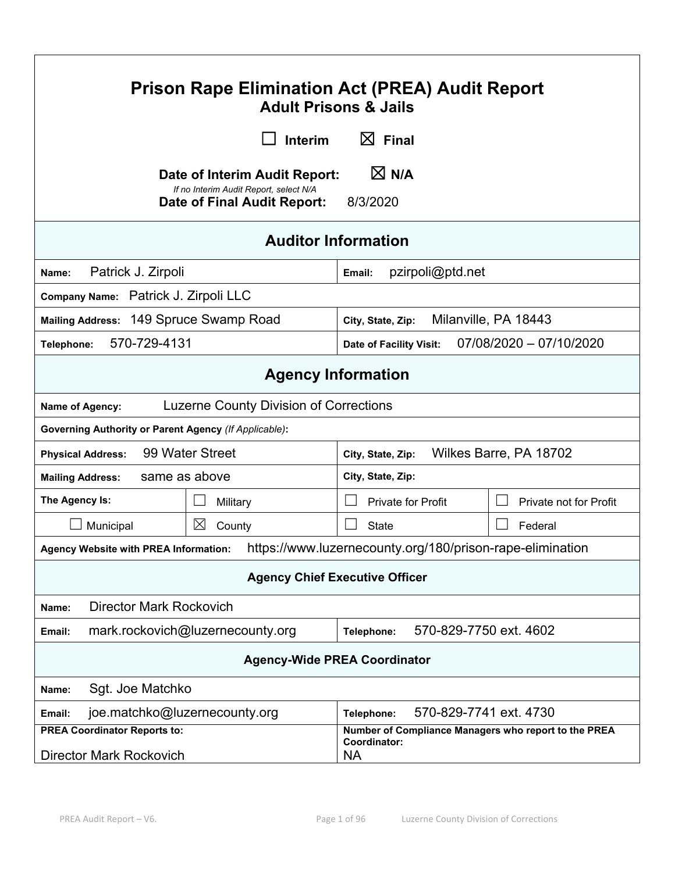| <b>Prison Rape Elimination Act (PREA) Audit Report</b><br><b>Adult Prisons &amp; Jails</b>                |                                                                                                        |                                                                                   |                         |
|-----------------------------------------------------------------------------------------------------------|--------------------------------------------------------------------------------------------------------|-----------------------------------------------------------------------------------|-------------------------|
| $\boxtimes$ Final<br>Interim                                                                              |                                                                                                        |                                                                                   |                         |
|                                                                                                           | Date of Interim Audit Report:<br>If no Interim Audit Report, select N/A<br>Date of Final Audit Report: | $\boxtimes$ N/A<br>8/3/2020                                                       |                         |
|                                                                                                           | <b>Auditor Information</b>                                                                             |                                                                                   |                         |
| Patrick J. Zirpoli<br>Name:                                                                               |                                                                                                        | pzirpoli@ptd.net<br>Email:                                                        |                         |
| Company Name: Patrick J. Zirpoli LLC                                                                      |                                                                                                        |                                                                                   |                         |
| Mailing Address: 149 Spruce Swamp Road                                                                    |                                                                                                        | City, State, Zip:                                                                 | Milanville, PA 18443    |
| 570-729-4131<br>Telephone:                                                                                |                                                                                                        | Date of Facility Visit:                                                           | 07/08/2020 - 07/10/2020 |
|                                                                                                           |                                                                                                        | <b>Agency Information</b>                                                         |                         |
| Name of Agency:                                                                                           | <b>Luzerne County Division of Corrections</b>                                                          |                                                                                   |                         |
| Governing Authority or Parent Agency (If Applicable):                                                     |                                                                                                        |                                                                                   |                         |
| 99 Water Street<br>Wilkes Barre, PA 18702<br><b>Physical Address:</b><br>City, State, Zip:                |                                                                                                        |                                                                                   |                         |
| same as above<br>City, State, Zip:<br><b>Mailing Address:</b>                                             |                                                                                                        |                                                                                   |                         |
| The Agency Is:                                                                                            | Military                                                                                               | <b>Private for Profit</b>                                                         | Private not for Profit  |
| Municipal                                                                                                 | $\boxtimes$<br>County                                                                                  | <b>State</b>                                                                      | Federal                 |
| https://www.luzernecounty.org/180/prison-rape-elimination<br><b>Agency Website with PREA Information:</b> |                                                                                                        |                                                                                   |                         |
| <b>Agency Chief Executive Officer</b>                                                                     |                                                                                                        |                                                                                   |                         |
| <b>Director Mark Rockovich</b><br>Name:                                                                   |                                                                                                        |                                                                                   |                         |
| mark.rockovich@luzernecounty.org<br>570-829-7750 ext. 4602<br>Telephone:<br>Email:                        |                                                                                                        |                                                                                   |                         |
| <b>Agency-Wide PREA Coordinator</b>                                                                       |                                                                                                        |                                                                                   |                         |
| Sgt. Joe Matchko<br>Name:                                                                                 |                                                                                                        |                                                                                   |                         |
| 570-829-7741 ext. 4730<br>joe.matchko@luzernecounty.org<br>Telephone:<br>Email:                           |                                                                                                        |                                                                                   |                         |
| <b>PREA Coordinator Reports to:</b><br><b>Director Mark Rockovich</b>                                     |                                                                                                        | Number of Compliance Managers who report to the PREA<br>Coordinator:<br><b>NA</b> |                         |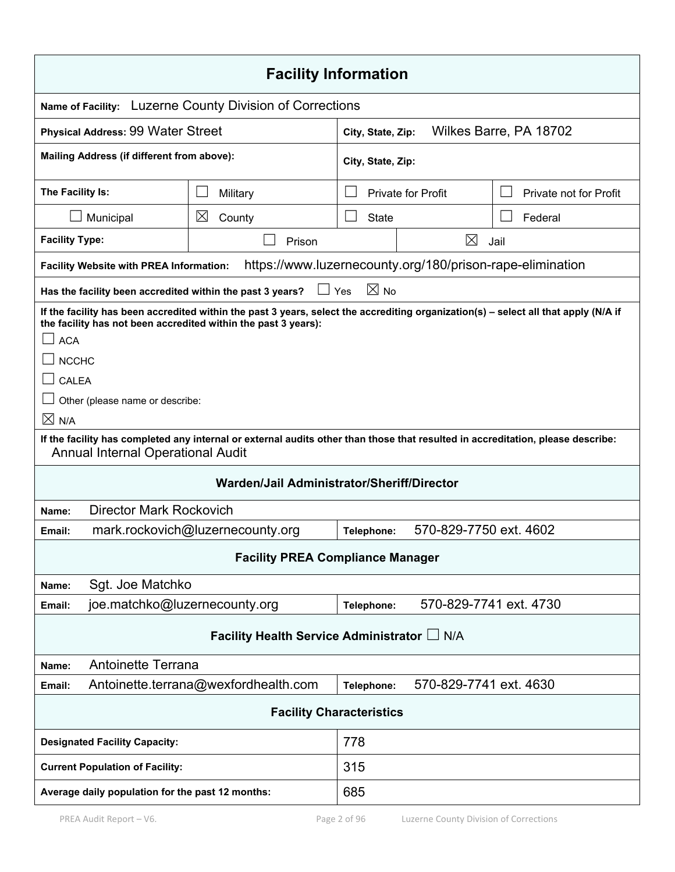| <b>Facility Information</b>                                                                                                                                                                                                                                                                               |                                                                                                                                 |                   |                           |                                                           |
|-----------------------------------------------------------------------------------------------------------------------------------------------------------------------------------------------------------------------------------------------------------------------------------------------------------|---------------------------------------------------------------------------------------------------------------------------------|-------------------|---------------------------|-----------------------------------------------------------|
|                                                                                                                                                                                                                                                                                                           | Name of Facility: Luzerne County Division of Corrections                                                                        |                   |                           |                                                           |
| <b>Physical Address: 99 Water Street</b>                                                                                                                                                                                                                                                                  |                                                                                                                                 | City, State, Zip: |                           | Wilkes Barre, PA 18702                                    |
| Mailing Address (if different from above):                                                                                                                                                                                                                                                                |                                                                                                                                 | City, State, Zip: |                           |                                                           |
| The Facility Is:                                                                                                                                                                                                                                                                                          | Military                                                                                                                        |                   | <b>Private for Profit</b> | Private not for Profit                                    |
| Municipal                                                                                                                                                                                                                                                                                                 | $\boxtimes$<br>County                                                                                                           | State             |                           | Federal                                                   |
| <b>Facility Type:</b>                                                                                                                                                                                                                                                                                     | Prison                                                                                                                          |                   | $\boxtimes$               | Jail                                                      |
| <b>Facility Website with PREA Information:</b>                                                                                                                                                                                                                                                            |                                                                                                                                 |                   |                           | https://www.luzernecounty.org/180/prison-rape-elimination |
| Has the facility been accredited within the past 3 years?                                                                                                                                                                                                                                                 | $\Box$ Yes                                                                                                                      | $\boxtimes$ No    |                           |                                                           |
| If the facility has been accredited within the past 3 years, select the accrediting organization(s) - select all that apply (N/A if<br>the facility has not been accredited within the past 3 years):<br><b>ACA</b><br><b>NCCHC</b><br><b>CALEA</b><br>Other (please name or describe:<br>$\boxtimes$ N/A |                                                                                                                                 |                   |                           |                                                           |
| <b>Annual Internal Operational Audit</b>                                                                                                                                                                                                                                                                  | If the facility has completed any internal or external audits other than those that resulted in accreditation, please describe: |                   |                           |                                                           |
| Warden/Jail Administrator/Sheriff/Director                                                                                                                                                                                                                                                                |                                                                                                                                 |                   |                           |                                                           |
| <b>Director Mark Rockovich</b><br>Name:                                                                                                                                                                                                                                                                   |                                                                                                                                 |                   |                           |                                                           |
| Email:                                                                                                                                                                                                                                                                                                    | 570-829-7750 ext. 4602<br>mark.rockovich@luzernecounty.org<br>Telephone:                                                        |                   |                           |                                                           |
|                                                                                                                                                                                                                                                                                                           | <b>Facility PREA Compliance Manager</b>                                                                                         |                   |                           |                                                           |
| Sgt. Joe Matchko<br>Name:                                                                                                                                                                                                                                                                                 |                                                                                                                                 |                   |                           |                                                           |
| joe.matchko@luzernecounty.org<br>Email:                                                                                                                                                                                                                                                                   |                                                                                                                                 | Telephone:        | 570-829-7741 ext. 4730    |                                                           |
| Facility Health Service Administrator L N/A                                                                                                                                                                                                                                                               |                                                                                                                                 |                   |                           |                                                           |
| <b>Antoinette Terrana</b><br>Name:                                                                                                                                                                                                                                                                        |                                                                                                                                 |                   |                           |                                                           |
| Email:                                                                                                                                                                                                                                                                                                    | Antoinette.terrana@wexfordhealth.com                                                                                            | Telephone:        | 570-829-7741 ext. 4630    |                                                           |
| <b>Facility Characteristics</b>                                                                                                                                                                                                                                                                           |                                                                                                                                 |                   |                           |                                                           |
| <b>Designated Facility Capacity:</b>                                                                                                                                                                                                                                                                      | 778                                                                                                                             |                   |                           |                                                           |
| <b>Current Population of Facility:</b>                                                                                                                                                                                                                                                                    | 315                                                                                                                             |                   |                           |                                                           |
| 685<br>Average daily population for the past 12 months:                                                                                                                                                                                                                                                   |                                                                                                                                 |                   |                           |                                                           |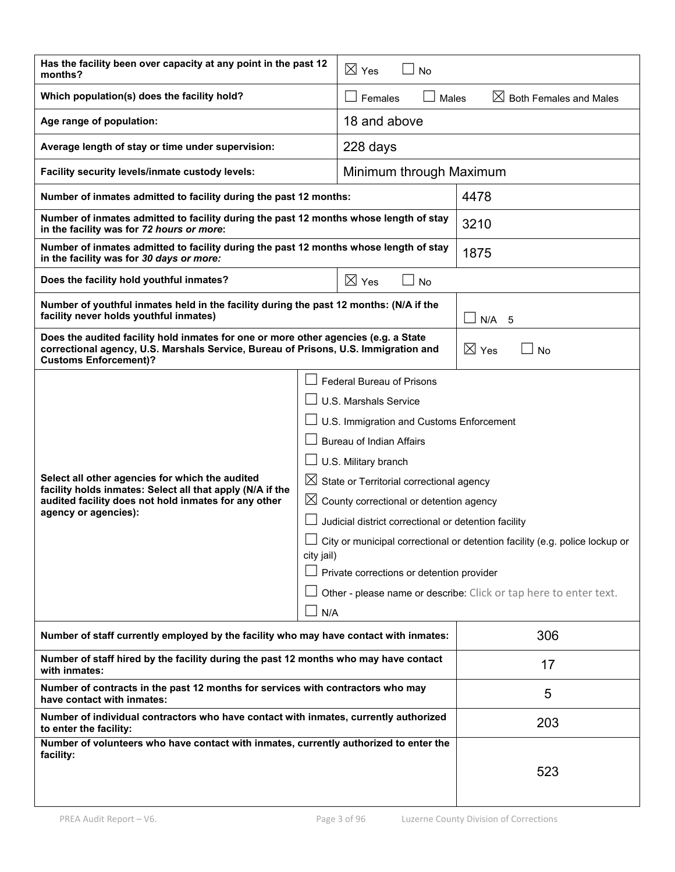| Has the facility been over capacity at any point in the past 12<br>months?                                                                                                                                                                                                                                                                                                                                                                                                                                                                                                                                                                                                                                                                                       |  | $\boxtimes$ Yes<br><b>No</b>                           |            |
|------------------------------------------------------------------------------------------------------------------------------------------------------------------------------------------------------------------------------------------------------------------------------------------------------------------------------------------------------------------------------------------------------------------------------------------------------------------------------------------------------------------------------------------------------------------------------------------------------------------------------------------------------------------------------------------------------------------------------------------------------------------|--|--------------------------------------------------------|------------|
| Which population(s) does the facility hold?                                                                                                                                                                                                                                                                                                                                                                                                                                                                                                                                                                                                                                                                                                                      |  | $\boxtimes$ Both Females and Males<br>Females<br>Males |            |
| Age range of population:                                                                                                                                                                                                                                                                                                                                                                                                                                                                                                                                                                                                                                                                                                                                         |  | 18 and above                                           |            |
| Average length of stay or time under supervision:                                                                                                                                                                                                                                                                                                                                                                                                                                                                                                                                                                                                                                                                                                                |  | 228 days                                               |            |
| Facility security levels/inmate custody levels:                                                                                                                                                                                                                                                                                                                                                                                                                                                                                                                                                                                                                                                                                                                  |  | Minimum through Maximum                                |            |
| Number of inmates admitted to facility during the past 12 months:                                                                                                                                                                                                                                                                                                                                                                                                                                                                                                                                                                                                                                                                                                |  |                                                        | 4478       |
| Number of inmates admitted to facility during the past 12 months whose length of stay<br>in the facility was for 72 hours or more:                                                                                                                                                                                                                                                                                                                                                                                                                                                                                                                                                                                                                               |  |                                                        | 3210       |
| Number of inmates admitted to facility during the past 12 months whose length of stay<br>in the facility was for 30 days or more:                                                                                                                                                                                                                                                                                                                                                                                                                                                                                                                                                                                                                                |  |                                                        | 1875       |
| Does the facility hold youthful inmates?                                                                                                                                                                                                                                                                                                                                                                                                                                                                                                                                                                                                                                                                                                                         |  | $\boxtimes$ Yes<br><b>No</b>                           |            |
| Number of youthful inmates held in the facility during the past 12 months: (N/A if the<br>facility never holds youthful inmates)                                                                                                                                                                                                                                                                                                                                                                                                                                                                                                                                                                                                                                 |  |                                                        | N/A<br>- 5 |
| Does the audited facility hold inmates for one or more other agencies (e.g. a State<br>correctional agency, U.S. Marshals Service, Bureau of Prisons, U.S. Immigration and<br><b>Customs Enforcement)?</b>                                                                                                                                                                                                                                                                                                                                                                                                                                                                                                                                                       |  | ⊠<br>Yes<br>No                                         |            |
| <b>Federal Bureau of Prisons</b><br>U.S. Marshals Service<br>U.S. Immigration and Customs Enforcement<br><b>Bureau of Indian Affairs</b><br>U.S. Military branch<br>Select all other agencies for which the audited<br>$\boxtimes$ State or Territorial correctional agency<br>facility holds inmates: Select all that apply (N/A if the<br>$\boxtimes$<br>audited facility does not hold inmates for any other<br>County correctional or detention agency<br>agency or agencies):<br>Judicial district correctional or detention facility<br>City or municipal correctional or detention facility (e.g. police lockup or<br>city jail)<br>Private corrections or detention provider<br>Other - please name or describe: Click or tap here to enter text.<br>N/A |  |                                                        |            |
| Number of staff currently employed by the facility who may have contact with inmates:                                                                                                                                                                                                                                                                                                                                                                                                                                                                                                                                                                                                                                                                            |  | 306                                                    |            |
| Number of staff hired by the facility during the past 12 months who may have contact<br>with inmates:                                                                                                                                                                                                                                                                                                                                                                                                                                                                                                                                                                                                                                                            |  | 17                                                     |            |
| Number of contracts in the past 12 months for services with contractors who may<br>have contact with inmates:                                                                                                                                                                                                                                                                                                                                                                                                                                                                                                                                                                                                                                                    |  | 5                                                      |            |
| Number of individual contractors who have contact with inmates, currently authorized<br>to enter the facility:                                                                                                                                                                                                                                                                                                                                                                                                                                                                                                                                                                                                                                                   |  | 203                                                    |            |
| Number of volunteers who have contact with inmates, currently authorized to enter the<br>facility:                                                                                                                                                                                                                                                                                                                                                                                                                                                                                                                                                                                                                                                               |  |                                                        |            |
|                                                                                                                                                                                                                                                                                                                                                                                                                                                                                                                                                                                                                                                                                                                                                                  |  |                                                        | 523        |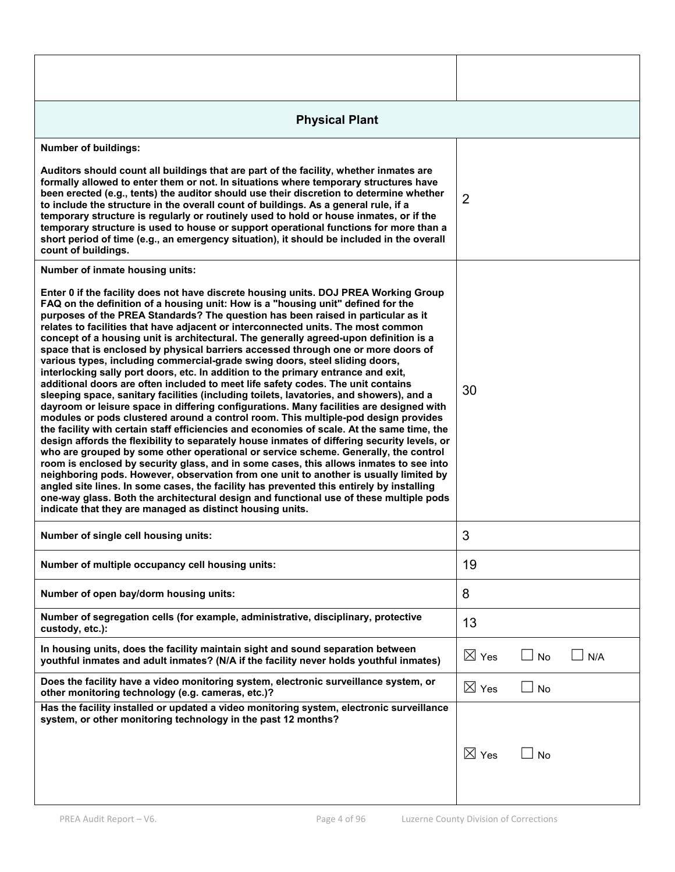| <b>Physical Plant</b>                                                                                                                                                                                                                                                                                                                                                                                                                                                                                                                                                                                                                                                                                                                                                                                                                                                                                                                                                                                                                                                                                                                                                                                                                                                                                                                                                                                                                                                                                                                                                                                                                                                                                                                                                                         |                 |           |     |
|-----------------------------------------------------------------------------------------------------------------------------------------------------------------------------------------------------------------------------------------------------------------------------------------------------------------------------------------------------------------------------------------------------------------------------------------------------------------------------------------------------------------------------------------------------------------------------------------------------------------------------------------------------------------------------------------------------------------------------------------------------------------------------------------------------------------------------------------------------------------------------------------------------------------------------------------------------------------------------------------------------------------------------------------------------------------------------------------------------------------------------------------------------------------------------------------------------------------------------------------------------------------------------------------------------------------------------------------------------------------------------------------------------------------------------------------------------------------------------------------------------------------------------------------------------------------------------------------------------------------------------------------------------------------------------------------------------------------------------------------------------------------------------------------------|-----------------|-----------|-----|
| <b>Number of buildings:</b>                                                                                                                                                                                                                                                                                                                                                                                                                                                                                                                                                                                                                                                                                                                                                                                                                                                                                                                                                                                                                                                                                                                                                                                                                                                                                                                                                                                                                                                                                                                                                                                                                                                                                                                                                                   |                 |           |     |
| Auditors should count all buildings that are part of the facility, whether inmates are<br>formally allowed to enter them or not. In situations where temporary structures have<br>been erected (e.g., tents) the auditor should use their discretion to determine whether<br>to include the structure in the overall count of buildings. As a general rule, if a<br>temporary structure is regularly or routinely used to hold or house inmates, or if the<br>temporary structure is used to house or support operational functions for more than a<br>short period of time (e.g., an emergency situation), it should be included in the overall<br>count of buildings.                                                                                                                                                                                                                                                                                                                                                                                                                                                                                                                                                                                                                                                                                                                                                                                                                                                                                                                                                                                                                                                                                                                       | $\overline{2}$  |           |     |
| Number of inmate housing units:                                                                                                                                                                                                                                                                                                                                                                                                                                                                                                                                                                                                                                                                                                                                                                                                                                                                                                                                                                                                                                                                                                                                                                                                                                                                                                                                                                                                                                                                                                                                                                                                                                                                                                                                                               |                 |           |     |
| Enter 0 if the facility does not have discrete housing units. DOJ PREA Working Group<br>FAQ on the definition of a housing unit: How is a "housing unit" defined for the<br>purposes of the PREA Standards? The question has been raised in particular as it<br>relates to facilities that have adjacent or interconnected units. The most common<br>concept of a housing unit is architectural. The generally agreed-upon definition is a<br>space that is enclosed by physical barriers accessed through one or more doors of<br>various types, including commercial-grade swing doors, steel sliding doors,<br>interlocking sally port doors, etc. In addition to the primary entrance and exit,<br>additional doors are often included to meet life safety codes. The unit contains<br>sleeping space, sanitary facilities (including toilets, lavatories, and showers), and a<br>dayroom or leisure space in differing configurations. Many facilities are designed with<br>modules or pods clustered around a control room. This multiple-pod design provides<br>the facility with certain staff efficiencies and economies of scale. At the same time, the<br>design affords the flexibility to separately house inmates of differing security levels, or<br>who are grouped by some other operational or service scheme. Generally, the control<br>room is enclosed by security glass, and in some cases, this allows inmates to see into<br>neighboring pods. However, observation from one unit to another is usually limited by<br>angled site lines. In some cases, the facility has prevented this entirely by installing<br>one-way glass. Both the architectural design and functional use of these multiple pods<br>indicate that they are managed as distinct housing units. | 30              |           |     |
| Number of single cell housing units:                                                                                                                                                                                                                                                                                                                                                                                                                                                                                                                                                                                                                                                                                                                                                                                                                                                                                                                                                                                                                                                                                                                                                                                                                                                                                                                                                                                                                                                                                                                                                                                                                                                                                                                                                          | 3               |           |     |
| Number of multiple occupancy cell housing units:                                                                                                                                                                                                                                                                                                                                                                                                                                                                                                                                                                                                                                                                                                                                                                                                                                                                                                                                                                                                                                                                                                                                                                                                                                                                                                                                                                                                                                                                                                                                                                                                                                                                                                                                              | 19              |           |     |
| Number of open bay/dorm housing units:                                                                                                                                                                                                                                                                                                                                                                                                                                                                                                                                                                                                                                                                                                                                                                                                                                                                                                                                                                                                                                                                                                                                                                                                                                                                                                                                                                                                                                                                                                                                                                                                                                                                                                                                                        | 8               |           |     |
| Number of segregation cells (for example, administrative, disciplinary, protective<br>custody, etc.):                                                                                                                                                                                                                                                                                                                                                                                                                                                                                                                                                                                                                                                                                                                                                                                                                                                                                                                                                                                                                                                                                                                                                                                                                                                                                                                                                                                                                                                                                                                                                                                                                                                                                         | 13              |           |     |
| In housing units, does the facility maintain sight and sound separation between<br>youthful inmates and adult inmates? (N/A if the facility never holds youthful inmates)                                                                                                                                                                                                                                                                                                                                                                                                                                                                                                                                                                                                                                                                                                                                                                                                                                                                                                                                                                                                                                                                                                                                                                                                                                                                                                                                                                                                                                                                                                                                                                                                                     | $\boxtimes$ Yes | No        | N/A |
| Does the facility have a video monitoring system, electronic surveillance system, or<br>other monitoring technology (e.g. cameras, etc.)?                                                                                                                                                                                                                                                                                                                                                                                                                                                                                                                                                                                                                                                                                                                                                                                                                                                                                                                                                                                                                                                                                                                                                                                                                                                                                                                                                                                                                                                                                                                                                                                                                                                     | $\boxtimes$ Yes | <b>No</b> |     |
| Has the facility installed or updated a video monitoring system, electronic surveillance<br>system, or other monitoring technology in the past 12 months?                                                                                                                                                                                                                                                                                                                                                                                                                                                                                                                                                                                                                                                                                                                                                                                                                                                                                                                                                                                                                                                                                                                                                                                                                                                                                                                                                                                                                                                                                                                                                                                                                                     |                 |           |     |
|                                                                                                                                                                                                                                                                                                                                                                                                                                                                                                                                                                                                                                                                                                                                                                                                                                                                                                                                                                                                                                                                                                                                                                                                                                                                                                                                                                                                                                                                                                                                                                                                                                                                                                                                                                                               | $\boxtimes$ Yes | <b>No</b> |     |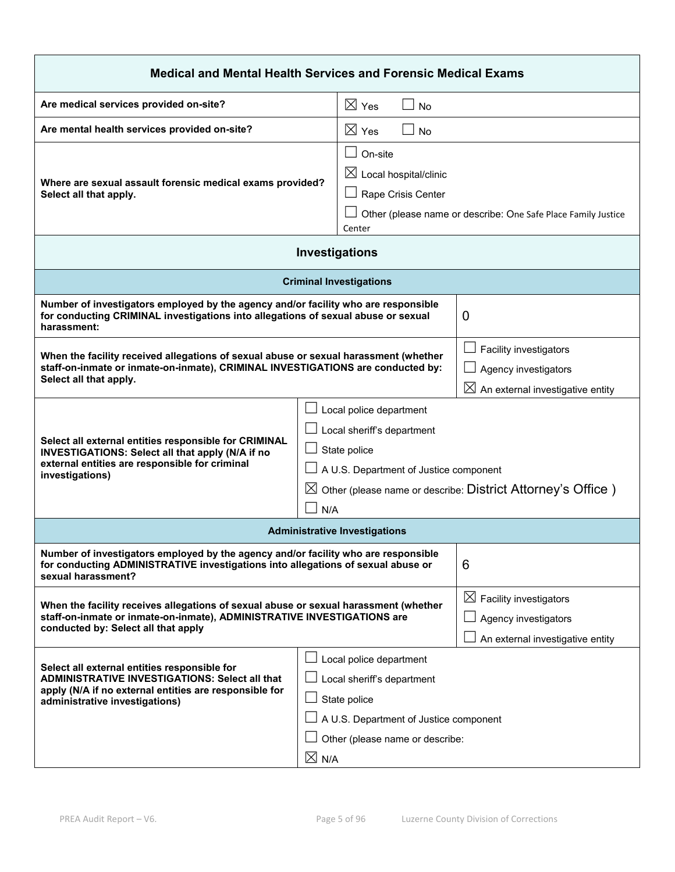| <b>Medical and Mental Health Services and Forensic Medical Exams</b>                                                                                                                                                                                                                                                                                                    |                                                                              |                                                                                                |
|-------------------------------------------------------------------------------------------------------------------------------------------------------------------------------------------------------------------------------------------------------------------------------------------------------------------------------------------------------------------------|------------------------------------------------------------------------------|------------------------------------------------------------------------------------------------|
| Are medical services provided on-site?                                                                                                                                                                                                                                                                                                                                  | $\boxtimes$ Yes<br><b>No</b>                                                 |                                                                                                |
| Are mental health services provided on-site?                                                                                                                                                                                                                                                                                                                            | $\boxtimes$ Yes<br><b>No</b>                                                 |                                                                                                |
| Where are sexual assault forensic medical exams provided?<br>Select all that apply.                                                                                                                                                                                                                                                                                     | On-site<br>$\boxtimes$ Local hospital/clinic<br>Rape Crisis Center<br>Center | Other (please name or describe: One Safe Place Family Justice                                  |
|                                                                                                                                                                                                                                                                                                                                                                         | <b>Investigations</b>                                                        |                                                                                                |
|                                                                                                                                                                                                                                                                                                                                                                         | <b>Criminal Investigations</b>                                               |                                                                                                |
| Number of investigators employed by the agency and/or facility who are responsible<br>for conducting CRIMINAL investigations into allegations of sexual abuse or sexual<br>harassment:                                                                                                                                                                                  |                                                                              | $\mathbf 0$                                                                                    |
| When the facility received allegations of sexual abuse or sexual harassment (whether<br>staff-on-inmate or inmate-on-inmate), CRIMINAL INVESTIGATIONS are conducted by:<br>Select all that apply.                                                                                                                                                                       |                                                                              | Facility investigators<br>Agency investigators<br>$\boxtimes$ An external investigative entity |
| Local police department<br>Local sheriff's department<br>Select all external entities responsible for CRIMINAL<br>State police<br>INVESTIGATIONS: Select all that apply (N/A if no<br>external entities are responsible for criminal<br>A U.S. Department of Justice component<br>investigations)<br>Other (please name or describe: District Attorney's Office)<br>N/A |                                                                              |                                                                                                |
|                                                                                                                                                                                                                                                                                                                                                                         | <b>Administrative Investigations</b>                                         |                                                                                                |
| Number of investigators employed by the agency and/or facility who are responsible<br>for conducting ADMINISTRATIVE investigations into allegations of sexual abuse or<br>6<br>sexual harassment?                                                                                                                                                                       |                                                                              |                                                                                                |
| $\boxtimes$ Facility investigators<br>When the facility receives allegations of sexual abuse or sexual harassment (whether<br>staff-on-inmate or inmate-on-inmate), ADMINISTRATIVE INVESTIGATIONS are<br>Agency investigators<br>conducted by: Select all that apply<br>An external investigative entity                                                                |                                                                              |                                                                                                |
| Local police department<br>Select all external entities responsible for<br><b>ADMINISTRATIVE INVESTIGATIONS: Select all that</b><br>Local sheriff's department<br>apply (N/A if no external entities are responsible for<br>State police<br>administrative investigations)<br>A U.S. Department of Justice component<br>Other (please name or describe:                 |                                                                              |                                                                                                |
|                                                                                                                                                                                                                                                                                                                                                                         | $\boxtimes$ N/A                                                              |                                                                                                |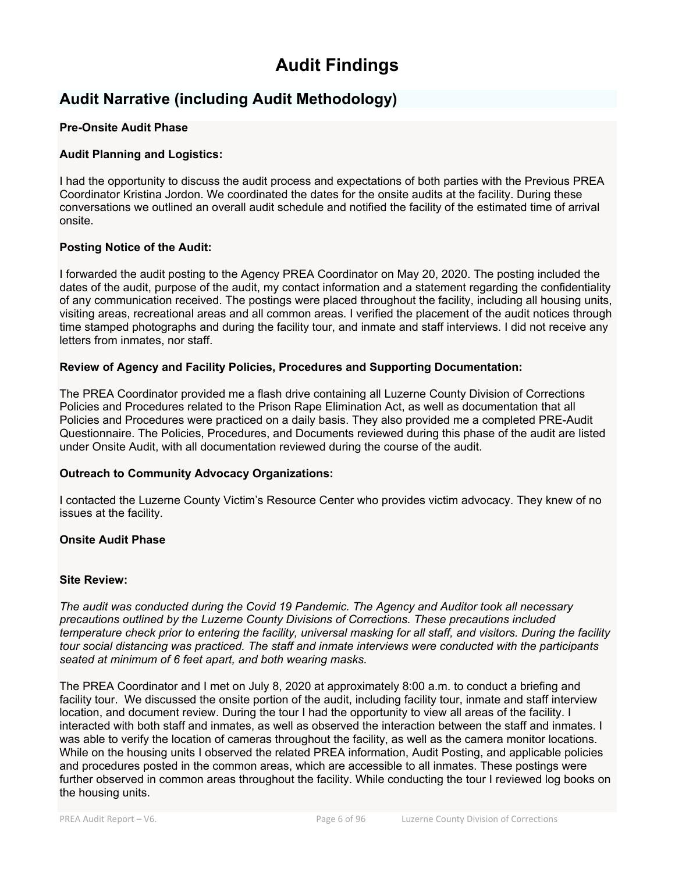# **Audit Findings**

# **Audit Narrative (including Audit Methodology)**

#### **Pre-Onsite Audit Phase**

#### **Audit Planning and Logistics:**

I had the opportunity to discuss the audit process and expectations of both parties with the Previous PREA Coordinator Kristina Jordon. We coordinated the dates for the onsite audits at the facility. During these conversations we outlined an overall audit schedule and notified the facility of the estimated time of arrival onsite.

#### **Posting Notice of the Audit:**

I forwarded the audit posting to the Agency PREA Coordinator on May 20, 2020. The posting included the dates of the audit, purpose of the audit, my contact information and a statement regarding the confidentiality of any communication received. The postings were placed throughout the facility, including all housing units, visiting areas, recreational areas and all common areas. I verified the placement of the audit notices through time stamped photographs and during the facility tour, and inmate and staff interviews. I did not receive any letters from inmates, nor staff.

#### **Review of Agency and Facility Policies, Procedures and Supporting Documentation:**

The PREA Coordinator provided me a flash drive containing all Luzerne County Division of Corrections Policies and Procedures related to the Prison Rape Elimination Act, as well as documentation that all Policies and Procedures were practiced on a daily basis. They also provided me a completed PRE-Audit Questionnaire. The Policies, Procedures, and Documents reviewed during this phase of the audit are listed under Onsite Audit, with all documentation reviewed during the course of the audit.

#### **Outreach to Community Advocacy Organizations:**

I contacted the Luzerne County Victim's Resource Center who provides victim advocacy. They knew of no issues at the facility.

#### **Onsite Audit Phase**

#### **Site Review:**

*The audit was conducted during the Covid 19 Pandemic. The Agency and Auditor took all necessary precautions outlined by the Luzerne County Divisions of Corrections. These precautions included temperature check prior to entering the facility, universal masking for all staff, and visitors. During the facility tour social distancing was practiced. The staff and inmate interviews were conducted with the participants seated at minimum of 6 feet apart, and both wearing masks.* 

The PREA Coordinator and I met on July 8, 2020 at approximately 8:00 a.m. to conduct a briefing and facility tour. We discussed the onsite portion of the audit, including facility tour, inmate and staff interview location, and document review. During the tour I had the opportunity to view all areas of the facility. I interacted with both staff and inmates, as well as observed the interaction between the staff and inmates. I was able to verify the location of cameras throughout the facility, as well as the camera monitor locations. While on the housing units I observed the related PREA information, Audit Posting, and applicable policies and procedures posted in the common areas, which are accessible to all inmates. These postings were further observed in common areas throughout the facility. While conducting the tour I reviewed log books on the housing units.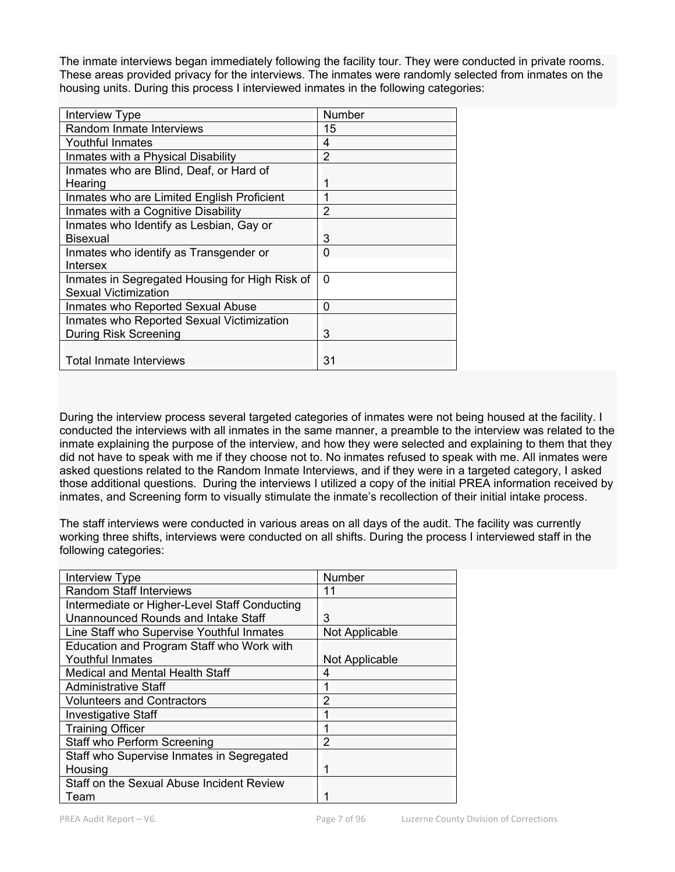The inmate interviews began immediately following the facility tour. They were conducted in private rooms. These areas provided privacy for the interviews. The inmates were randomly selected from inmates on the housing units. During this process I interviewed inmates in the following categories:

| <b>Interview Type</b>                          | Number         |
|------------------------------------------------|----------------|
| Random Inmate Interviews                       | 15             |
| Youthful Inmates                               | 4              |
| Inmates with a Physical Disability             | 2              |
| Inmates who are Blind, Deaf, or Hard of        |                |
| Hearing                                        | 1              |
| Inmates who are Limited English Proficient     | 1              |
| Inmates with a Cognitive Disability            | $\overline{2}$ |
| Inmates who Identify as Lesbian, Gay or        |                |
| <b>Bisexual</b>                                | 3              |
| Inmates who identify as Transgender or         | 0              |
| Intersex                                       |                |
| Inmates in Segregated Housing for High Risk of | $\Omega$       |
| Sexual Victimization                           |                |
| Inmates who Reported Sexual Abuse              | $\Omega$       |
| Inmates who Reported Sexual Victimization      |                |
| During Risk Screening                          | 3              |
|                                                |                |
| <b>Total Inmate Interviews</b>                 | 31             |

During the interview process several targeted categories of inmates were not being housed at the facility. I conducted the interviews with all inmates in the same manner, a preamble to the interview was related to the inmate explaining the purpose of the interview, and how they were selected and explaining to them that they did not have to speak with me if they choose not to. No inmates refused to speak with me. All inmates were asked questions related to the Random Inmate Interviews, and if they were in a targeted category, I asked those additional questions. During the interviews I utilized a copy of the initial PREA information received by inmates, and Screening form to visually stimulate the inmate's recollection of their initial intake process.

The staff interviews were conducted in various areas on all days of the audit. The facility was currently working three shifts, interviews were conducted on all shifts. During the process I interviewed staff in the following categories:

| Interview Type                                | Number         |
|-----------------------------------------------|----------------|
| <b>Random Staff Interviews</b>                | 11             |
| Intermediate or Higher-Level Staff Conducting |                |
| <b>Unannounced Rounds and Intake Staff</b>    | 3              |
| Line Staff who Supervise Youthful Inmates     | Not Applicable |
| Education and Program Staff who Work with     |                |
| Youthful Inmates                              | Not Applicable |
| Medical and Mental Health Staff               | 4              |
| <b>Administrative Staff</b>                   |                |
| <b>Volunteers and Contractors</b>             | 2              |
| <b>Investigative Staff</b>                    |                |
| <b>Training Officer</b>                       |                |
| Staff who Perform Screening                   | 2              |
| Staff who Supervise Inmates in Segregated     |                |
| Housing                                       | 1              |
| Staff on the Sexual Abuse Incident Review     |                |
| Team                                          |                |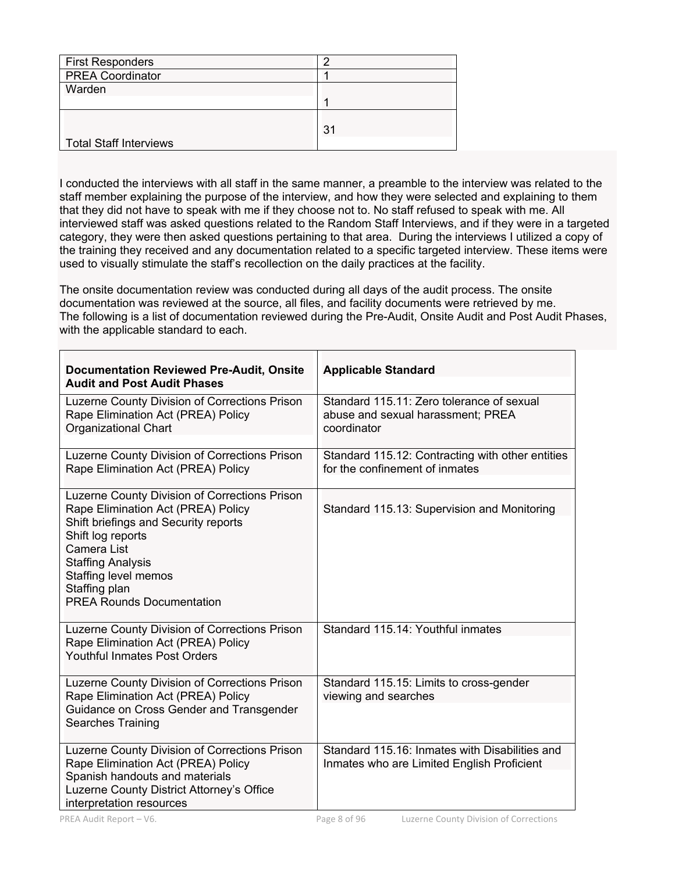| <b>First Responders</b>       |    |
|-------------------------------|----|
| <b>PREA Coordinator</b>       |    |
| Warden                        |    |
|                               |    |
|                               |    |
| <b>Total Staff Interviews</b> | 31 |

I conducted the interviews with all staff in the same manner, a preamble to the interview was related to the staff member explaining the purpose of the interview, and how they were selected and explaining to them that they did not have to speak with me if they choose not to. No staff refused to speak with me. All interviewed staff was asked questions related to the Random Staff Interviews, and if they were in a targeted category, they were then asked questions pertaining to that area. During the interviews I utilized a copy of the training they received and any documentation related to a specific targeted interview. These items were used to visually stimulate the staff's recollection on the daily practices at the facility.

The onsite documentation review was conducted during all days of the audit process. The onsite documentation was reviewed at the source, all files, and facility documents were retrieved by me. The following is a list of documentation reviewed during the Pre-Audit, Onsite Audit and Post Audit Phases, with the applicable standard to each.

| <b>Documentation Reviewed Pre-Audit, Onsite</b><br><b>Audit and Post Audit Phases</b>                                                                                                                                                                                    | <b>Applicable Standard</b>                                                                    |
|--------------------------------------------------------------------------------------------------------------------------------------------------------------------------------------------------------------------------------------------------------------------------|-----------------------------------------------------------------------------------------------|
| Luzerne County Division of Corrections Prison<br>Rape Elimination Act (PREA) Policy<br>Organizational Chart                                                                                                                                                              | Standard 115.11: Zero tolerance of sexual<br>abuse and sexual harassment; PREA<br>coordinator |
| Luzerne County Division of Corrections Prison<br>Rape Elimination Act (PREA) Policy                                                                                                                                                                                      | Standard 115.12: Contracting with other entities<br>for the confinement of inmates            |
| Luzerne County Division of Corrections Prison<br>Rape Elimination Act (PREA) Policy<br>Shift briefings and Security reports<br>Shift log reports<br>Camera List<br><b>Staffing Analysis</b><br>Staffing level memos<br>Staffing plan<br><b>PREA Rounds Documentation</b> | Standard 115.13: Supervision and Monitoring                                                   |
| Luzerne County Division of Corrections Prison<br>Rape Elimination Act (PREA) Policy<br><b>Youthful Inmates Post Orders</b>                                                                                                                                               | Standard 115.14: Youthful inmates                                                             |
| Luzerne County Division of Corrections Prison<br>Rape Elimination Act (PREA) Policy<br>Guidance on Cross Gender and Transgender<br><b>Searches Training</b>                                                                                                              | Standard 115.15: Limits to cross-gender<br>viewing and searches                               |
| Luzerne County Division of Corrections Prison<br>Rape Elimination Act (PREA) Policy<br>Spanish handouts and materials<br>Luzerne County District Attorney's Office<br>interpretation resources                                                                           | Standard 115.16: Inmates with Disabilities and<br>Inmates who are Limited English Proficient  |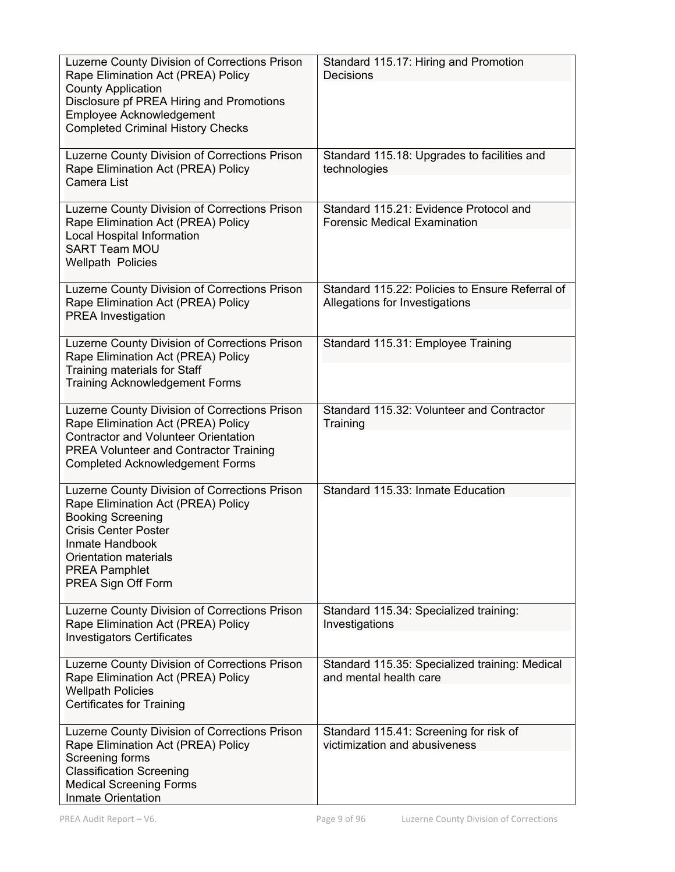| Luzerne County Division of Corrections Prison<br>Rape Elimination Act (PREA) Policy<br><b>County Application</b><br>Disclosure pf PREA Hiring and Promotions<br>Employee Acknowledgement<br><b>Completed Criminal History Checks</b>     | Standard 115.17: Hiring and Promotion<br><b>Decisions</b>                         |
|------------------------------------------------------------------------------------------------------------------------------------------------------------------------------------------------------------------------------------------|-----------------------------------------------------------------------------------|
| Luzerne County Division of Corrections Prison<br>Rape Elimination Act (PREA) Policy<br>Camera List                                                                                                                                       | Standard 115.18: Upgrades to facilities and<br>technologies                       |
| Luzerne County Division of Corrections Prison<br>Rape Elimination Act (PREA) Policy<br>Local Hospital Information<br><b>SART Team MOU</b><br><b>Wellpath Policies</b>                                                                    | Standard 115.21: Evidence Protocol and<br><b>Forensic Medical Examination</b>     |
| Luzerne County Division of Corrections Prison<br>Rape Elimination Act (PREA) Policy<br><b>PREA Investigation</b>                                                                                                                         | Standard 115.22: Policies to Ensure Referral of<br>Allegations for Investigations |
| Luzerne County Division of Corrections Prison<br>Rape Elimination Act (PREA) Policy<br>Training materials for Staff<br><b>Training Acknowledgement Forms</b>                                                                             | Standard 115.31: Employee Training                                                |
| Luzerne County Division of Corrections Prison<br>Rape Elimination Act (PREA) Policy<br><b>Contractor and Volunteer Orientation</b><br><b>PREA Volunteer and Contractor Training</b><br><b>Completed Acknowledgement Forms</b>            | Standard 115.32: Volunteer and Contractor<br>Training                             |
| Luzerne County Division of Corrections Prison<br>Rape Elimination Act (PREA) Policy<br><b>Booking Screening</b><br><b>Crisis Center Poster</b><br>Inmate Handbook<br>Orientation materials<br><b>PREA Pamphlet</b><br>PREA Sign Off Form | Standard 115.33: Inmate Education                                                 |
| Luzerne County Division of Corrections Prison<br>Rape Elimination Act (PREA) Policy<br><b>Investigators Certificates</b>                                                                                                                 | Standard 115.34: Specialized training:<br>Investigations                          |
| Luzerne County Division of Corrections Prison<br>Rape Elimination Act (PREA) Policy<br><b>Wellpath Policies</b><br><b>Certificates for Training</b>                                                                                      | Standard 115.35: Specialized training: Medical<br>and mental health care          |
| Luzerne County Division of Corrections Prison<br>Rape Elimination Act (PREA) Policy<br>Screening forms<br><b>Classification Screening</b><br><b>Medical Screening Forms</b><br>Inmate Orientation                                        | Standard 115.41: Screening for risk of<br>victimization and abusiveness           |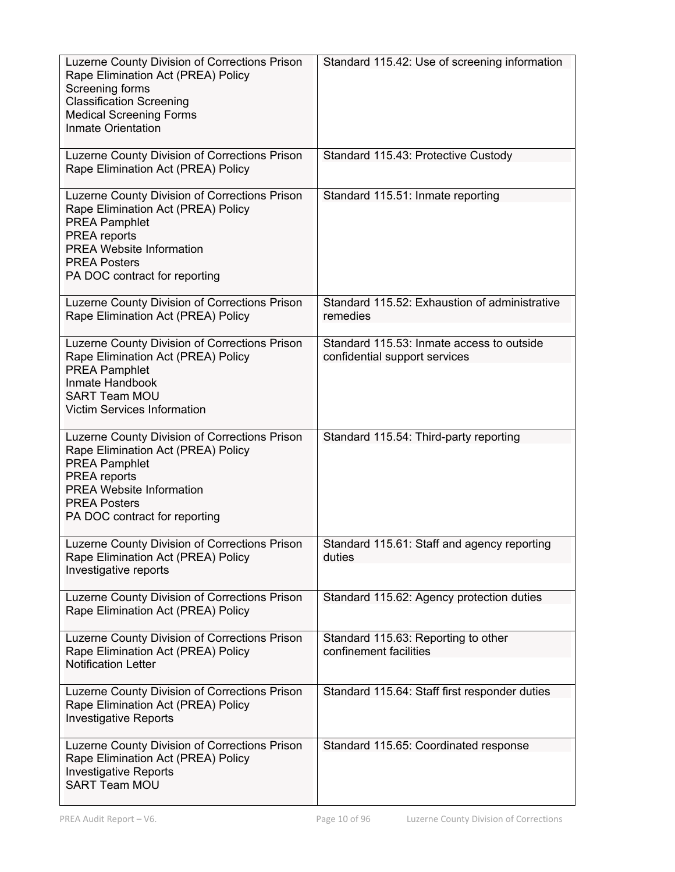| Luzerne County Division of Corrections Prison<br>Rape Elimination Act (PREA) Policy<br>Screening forms<br><b>Classification Screening</b><br><b>Medical Screening Forms</b><br>Inmate Orientation                      | Standard 115.42: Use of screening information                              |
|------------------------------------------------------------------------------------------------------------------------------------------------------------------------------------------------------------------------|----------------------------------------------------------------------------|
| Luzerne County Division of Corrections Prison<br>Rape Elimination Act (PREA) Policy                                                                                                                                    | Standard 115.43: Protective Custody                                        |
| Luzerne County Division of Corrections Prison<br>Rape Elimination Act (PREA) Policy<br><b>PREA Pamphlet</b><br>PREA reports<br><b>PREA Website Information</b><br><b>PREA Posters</b><br>PA DOC contract for reporting | Standard 115.51: Inmate reporting                                          |
| Luzerne County Division of Corrections Prison<br>Rape Elimination Act (PREA) Policy                                                                                                                                    | Standard 115.52: Exhaustion of administrative<br>remedies                  |
| Luzerne County Division of Corrections Prison<br>Rape Elimination Act (PREA) Policy<br><b>PREA Pamphlet</b><br>Inmate Handbook<br><b>SART Team MOU</b><br><b>Victim Services Information</b>                           | Standard 115.53: Inmate access to outside<br>confidential support services |
| Luzerne County Division of Corrections Prison<br>Rape Elimination Act (PREA) Policy<br><b>PREA Pamphlet</b><br>PREA reports<br><b>PREA Website Information</b><br><b>PREA Posters</b><br>PA DOC contract for reporting | Standard 115.54: Third-party reporting                                     |
| Luzerne County Division of Corrections Prison<br>Rape Elimination Act (PREA) Policy<br>Investigative reports                                                                                                           | Standard 115.61: Staff and agency reporting<br>duties                      |
| Luzerne County Division of Corrections Prison<br>Rape Elimination Act (PREA) Policy                                                                                                                                    | Standard 115.62: Agency protection duties                                  |
| Luzerne County Division of Corrections Prison<br>Rape Elimination Act (PREA) Policy<br><b>Notification Letter</b>                                                                                                      | Standard 115.63: Reporting to other<br>confinement facilities              |
| Luzerne County Division of Corrections Prison<br>Rape Elimination Act (PREA) Policy<br><b>Investigative Reports</b>                                                                                                    | Standard 115.64: Staff first responder duties                              |
| Luzerne County Division of Corrections Prison<br>Rape Elimination Act (PREA) Policy<br><b>Investigative Reports</b><br><b>SART Team MOU</b>                                                                            | Standard 115.65: Coordinated response                                      |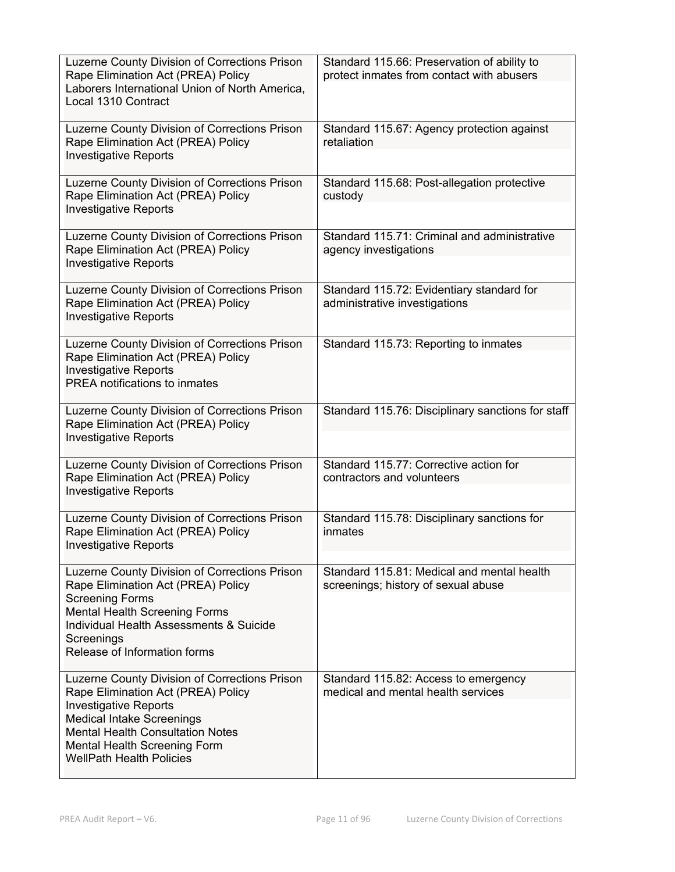| Luzerne County Division of Corrections Prison<br>Rape Elimination Act (PREA) Policy<br>Laborers International Union of North America,<br>Local 1310 Contract                                                                                                          | Standard 115.66: Preservation of ability to<br>protect inmates from contact with abusers |
|-----------------------------------------------------------------------------------------------------------------------------------------------------------------------------------------------------------------------------------------------------------------------|------------------------------------------------------------------------------------------|
| Luzerne County Division of Corrections Prison<br>Rape Elimination Act (PREA) Policy<br><b>Investigative Reports</b>                                                                                                                                                   | Standard 115.67: Agency protection against<br>retaliation                                |
| Luzerne County Division of Corrections Prison<br>Rape Elimination Act (PREA) Policy<br><b>Investigative Reports</b>                                                                                                                                                   | Standard 115.68: Post-allegation protective<br>custody                                   |
| Luzerne County Division of Corrections Prison<br>Rape Elimination Act (PREA) Policy<br><b>Investigative Reports</b>                                                                                                                                                   | Standard 115.71: Criminal and administrative<br>agency investigations                    |
| Luzerne County Division of Corrections Prison<br>Rape Elimination Act (PREA) Policy<br><b>Investigative Reports</b>                                                                                                                                                   | Standard 115.72: Evidentiary standard for<br>administrative investigations               |
| Luzerne County Division of Corrections Prison<br>Rape Elimination Act (PREA) Policy<br><b>Investigative Reports</b><br>PREA notifications to inmates                                                                                                                  | Standard 115.73: Reporting to inmates                                                    |
| Luzerne County Division of Corrections Prison<br>Rape Elimination Act (PREA) Policy<br><b>Investigative Reports</b>                                                                                                                                                   | Standard 115.76: Disciplinary sanctions for staff                                        |
| Luzerne County Division of Corrections Prison<br>Rape Elimination Act (PREA) Policy<br><b>Investigative Reports</b>                                                                                                                                                   | Standard 115.77: Corrective action for<br>contractors and volunteers                     |
| Luzerne County Division of Corrections Prison<br>Rape Elimination Act (PREA) Policy<br><b>Investigative Reports</b>                                                                                                                                                   | Standard 115.78: Disciplinary sanctions for<br>inmates                                   |
| Luzerne County Division of Corrections Prison<br>Rape Elimination Act (PREA) Policy<br><b>Screening Forms</b><br><b>Mental Health Screening Forms</b><br>Individual Health Assessments & Suicide<br>Screenings<br>Release of Information forms                        | Standard 115.81: Medical and mental health<br>screenings; history of sexual abuse        |
| Luzerne County Division of Corrections Prison<br>Rape Elimination Act (PREA) Policy<br><b>Investigative Reports</b><br><b>Medical Intake Screenings</b><br><b>Mental Health Consultation Notes</b><br>Mental Health Screening Form<br><b>WellPath Health Policies</b> | Standard 115.82: Access to emergency<br>medical and mental health services               |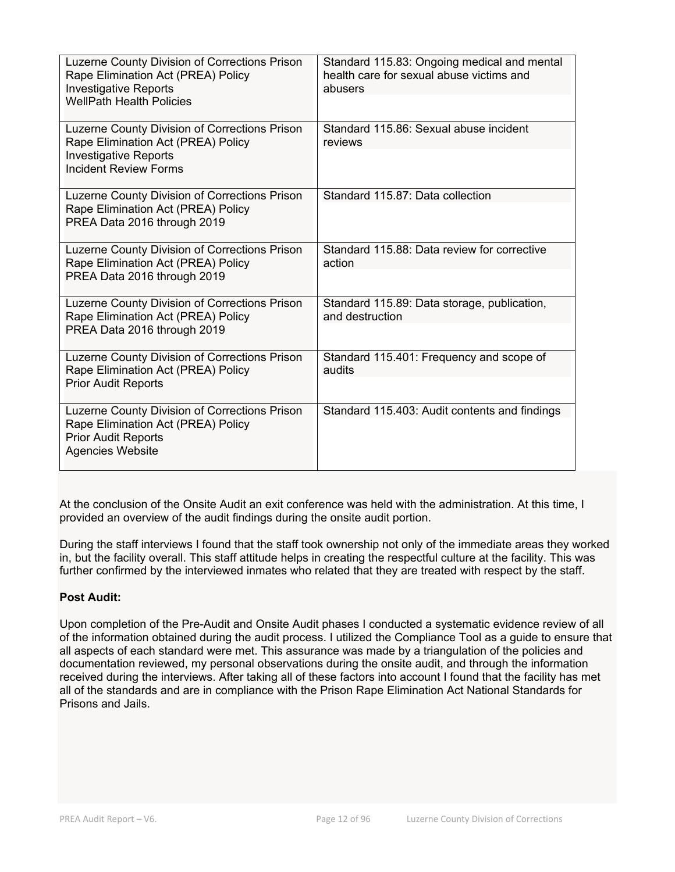| Luzerne County Division of Corrections Prison<br>Rape Elimination Act (PREA) Policy<br><b>Investigative Reports</b><br><b>WellPath Health Policies</b> | Standard 115.83: Ongoing medical and mental<br>health care for sexual abuse victims and<br>abusers |
|--------------------------------------------------------------------------------------------------------------------------------------------------------|----------------------------------------------------------------------------------------------------|
| Luzerne County Division of Corrections Prison<br>Rape Elimination Act (PREA) Policy<br><b>Investigative Reports</b><br>Incident Review Forms           | Standard 115.86: Sexual abuse incident<br>reviews                                                  |
| Luzerne County Division of Corrections Prison<br>Rape Elimination Act (PREA) Policy<br>PREA Data 2016 through 2019                                     | Standard 115.87: Data collection                                                                   |
| Luzerne County Division of Corrections Prison<br>Rape Elimination Act (PREA) Policy<br>PREA Data 2016 through 2019                                     | Standard 115.88: Data review for corrective<br>action                                              |
| Luzerne County Division of Corrections Prison<br>Rape Elimination Act (PREA) Policy<br>PREA Data 2016 through 2019                                     | Standard 115.89: Data storage, publication,<br>and destruction                                     |
| Luzerne County Division of Corrections Prison<br>Rape Elimination Act (PREA) Policy<br><b>Prior Audit Reports</b>                                      | Standard 115.401: Frequency and scope of<br>audits                                                 |
| Luzerne County Division of Corrections Prison<br>Rape Elimination Act (PREA) Policy<br><b>Prior Audit Reports</b><br><b>Agencies Website</b>           | Standard 115.403: Audit contents and findings                                                      |

At the conclusion of the Onsite Audit an exit conference was held with the administration. At this time, I provided an overview of the audit findings during the onsite audit portion.

During the staff interviews I found that the staff took ownership not only of the immediate areas they worked in, but the facility overall. This staff attitude helps in creating the respectful culture at the facility. This was further confirmed by the interviewed inmates who related that they are treated with respect by the staff.

# **Post Audit:**

Upon completion of the Pre-Audit and Onsite Audit phases I conducted a systematic evidence review of all of the information obtained during the audit process. I utilized the Compliance Tool as a guide to ensure that all aspects of each standard were met. This assurance was made by a triangulation of the policies and documentation reviewed, my personal observations during the onsite audit, and through the information received during the interviews. After taking all of these factors into account I found that the facility has met all of the standards and are in compliance with the Prison Rape Elimination Act National Standards for Prisons and Jails.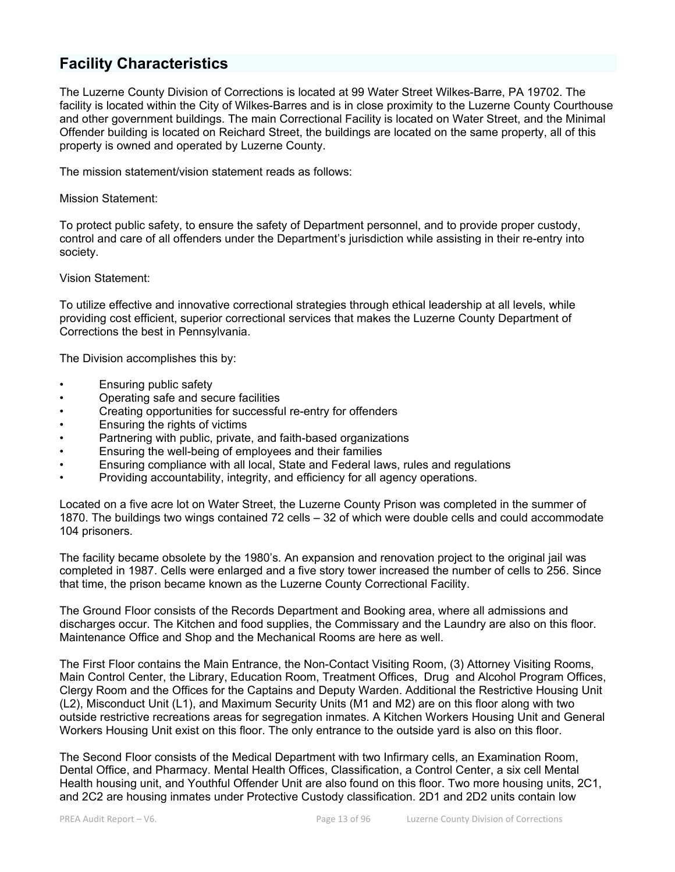# **Facility Characteristics**

The Luzerne County Division of Corrections is located at 99 Water Street Wilkes-Barre, PA 19702. The facility is located within the City of Wilkes-Barres and is in close proximity to the Luzerne County Courthouse and other government buildings. The main Correctional Facility is located on Water Street, and the Minimal Offender building is located on Reichard Street, the buildings are located on the same property, all of this property is owned and operated by Luzerne County.

The mission statement/vision statement reads as follows:

Mission Statement:

To protect public safety, to ensure the safety of Department personnel, and to provide proper custody, control and care of all offenders under the Department's jurisdiction while assisting in their re-entry into society.

Vision Statement:

To utilize effective and innovative correctional strategies through ethical leadership at all levels, while providing cost efficient, superior correctional services that makes the Luzerne County Department of Corrections the best in Pennsylvania.

The Division accomplishes this by:

- Ensuring public safety
- Operating safe and secure facilities
- Creating opportunities for successful re-entry for offenders
- Ensuring the rights of victims
- Partnering with public, private, and faith-based organizations
- Ensuring the well-being of employees and their families
- Ensuring compliance with all local, State and Federal laws, rules and regulations
- Providing accountability, integrity, and efficiency for all agency operations.

Located on a five acre lot on Water Street, the Luzerne County Prison was completed in the summer of 1870. The buildings two wings contained 72 cells – 32 of which were double cells and could accommodate 104 prisoners.

The facility became obsolete by the 1980's. An expansion and renovation project to the original jail was completed in 1987. Cells were enlarged and a five story tower increased the number of cells to 256. Since that time, the prison became known as the Luzerne County Correctional Facility.

The Ground Floor consists of the Records Department and Booking area, where all admissions and discharges occur. The Kitchen and food supplies, the Commissary and the Laundry are also on this floor. Maintenance Office and Shop and the Mechanical Rooms are here as well.

The First Floor contains the Main Entrance, the Non-Contact Visiting Room, (3) Attorney Visiting Rooms, Main Control Center, the Library, Education Room, Treatment Offices, Drug and Alcohol Program Offices, Clergy Room and the Offices for the Captains and Deputy Warden. Additional the Restrictive Housing Unit (L2), Misconduct Unit (L1), and Maximum Security Units (M1 and M2) are on this floor along with two outside restrictive recreations areas for segregation inmates. A Kitchen Workers Housing Unit and General Workers Housing Unit exist on this floor. The only entrance to the outside yard is also on this floor.

The Second Floor consists of the Medical Department with two Infirmary cells, an Examination Room, Dental Office, and Pharmacy. Mental Health Offices, Classification, a Control Center, a six cell Mental Health housing unit, and Youthful Offender Unit are also found on this floor. Two more housing units, 2C1, and 2C2 are housing inmates under Protective Custody classification. 2D1 and 2D2 units contain low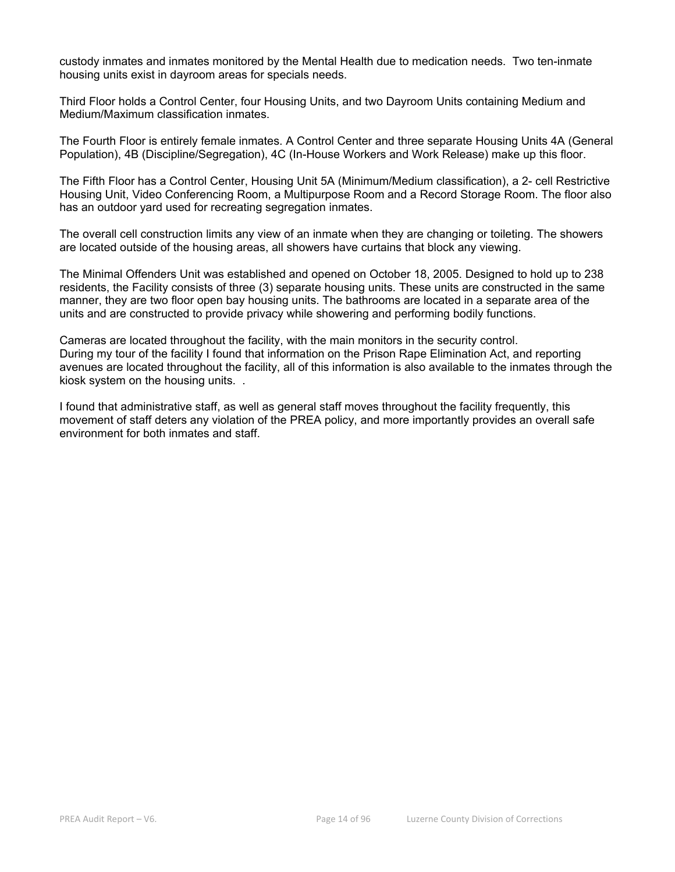custody inmates and inmates monitored by the Mental Health due to medication needs. Two ten-inmate housing units exist in dayroom areas for specials needs.

Third Floor holds a Control Center, four Housing Units, and two Dayroom Units containing Medium and Medium/Maximum classification inmates.

The Fourth Floor is entirely female inmates. A Control Center and three separate Housing Units 4A (General Population), 4B (Discipline/Segregation), 4C (In-House Workers and Work Release) make up this floor.

The Fifth Floor has a Control Center, Housing Unit 5A (Minimum/Medium classification), a 2- cell Restrictive Housing Unit, Video Conferencing Room, a Multipurpose Room and a Record Storage Room. The floor also has an outdoor yard used for recreating segregation inmates.

The overall cell construction limits any view of an inmate when they are changing or toileting. The showers are located outside of the housing areas, all showers have curtains that block any viewing.

The Minimal Offenders Unit was established and opened on October 18, 2005. Designed to hold up to 238 residents, the Facility consists of three (3) separate housing units. These units are constructed in the same manner, they are two floor open bay housing units. The bathrooms are located in a separate area of the units and are constructed to provide privacy while showering and performing bodily functions.

Cameras are located throughout the facility, with the main monitors in the security control. During my tour of the facility I found that information on the Prison Rape Elimination Act, and reporting avenues are located throughout the facility, all of this information is also available to the inmates through the kiosk system on the housing units. .

I found that administrative staff, as well as general staff moves throughout the facility frequently, this movement of staff deters any violation of the PREA policy, and more importantly provides an overall safe environment for both inmates and staff.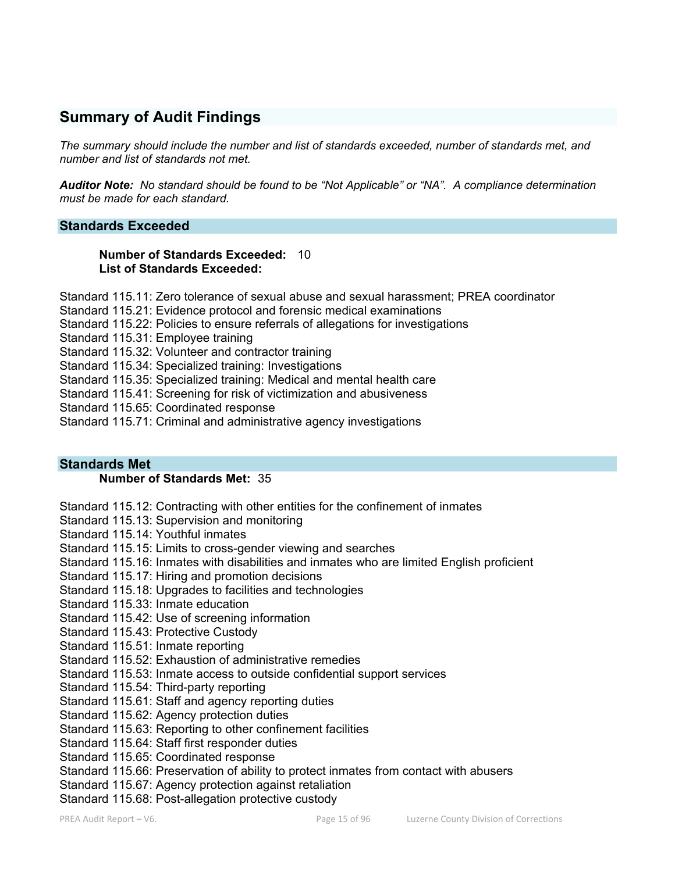# **Summary of Audit Findings**

*The summary should include the number and list of standards exceeded, number of standards met, and number and list of standards not met.* 

*Auditor Note: No standard should be found to be "Not Applicable" or "NA". A compliance determination must be made for each standard.* 

# **Standards Exceeded**

#### **Number of Standards Exceeded:** 10 **List of Standards Exceeded:**

Standard 115.11: Zero tolerance of sexual abuse and sexual harassment; PREA coordinator

- Standard 115.21: Evidence protocol and forensic medical examinations
- Standard 115.22: Policies to ensure referrals of allegations for investigations
- Standard 115.31: Employee training

Standard 115.32: Volunteer and contractor training

Standard 115.34: Specialized training: Investigations

Standard 115.35: Specialized training: Medical and mental health care

Standard 115.41: Screening for risk of victimization and abusiveness

Standard 115.65: Coordinated response

Standard 115.71: Criminal and administrative agency investigations

#### **Standards Met**

### **Number of Standards Met:** 35

Standard 115.12: Contracting with other entities for the confinement of inmates

- Standard 115.13: Supervision and monitoring
- Standard 115.14: Youthful inmates
- Standard 115.15: Limits to cross-gender viewing and searches
- Standard 115.16: Inmates with disabilities and inmates who are limited English proficient

Standard 115.17: Hiring and promotion decisions

- Standard 115.18: Upgrades to facilities and technologies
- Standard 115.33: Inmate education
- Standard 115.42: Use of screening information
- Standard 115.43: Protective Custody
- Standard 115.51: Inmate reporting
- Standard 115.52: Exhaustion of administrative remedies
- Standard 115.53: Inmate access to outside confidential support services
- Standard 115.54: Third-party reporting
- Standard 115.61: Staff and agency reporting duties
- Standard 115.62: Agency protection duties
- Standard 115.63: Reporting to other confinement facilities
- Standard 115.64: Staff first responder duties
- Standard 115.65: Coordinated response
- Standard 115.66: Preservation of ability to protect inmates from contact with abusers
- Standard 115.67: Agency protection against retaliation
- Standard 115.68: Post-allegation protective custody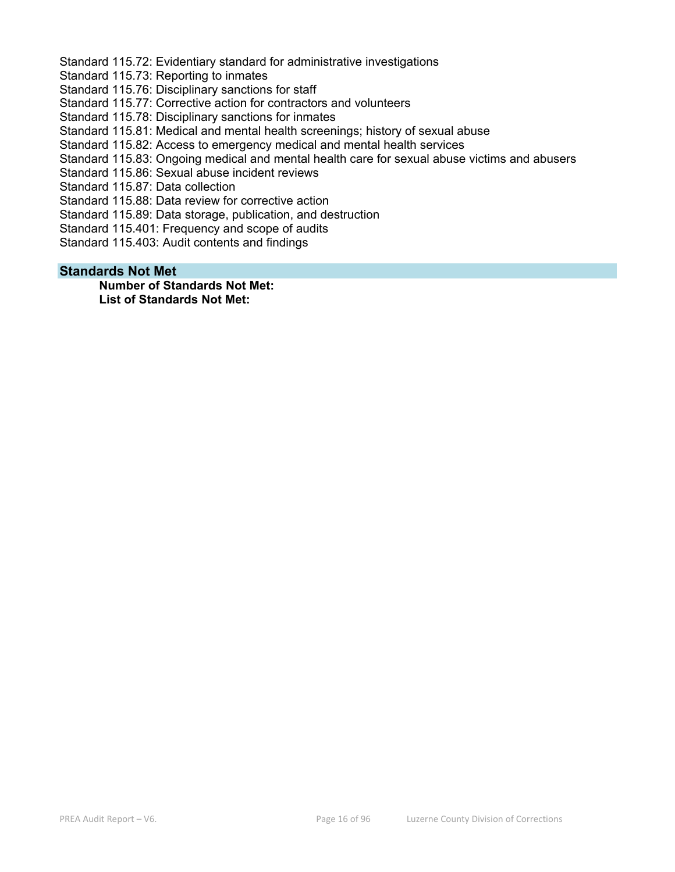Standard 115.72: Evidentiary standard for administrative investigations

Standard 115.73: Reporting to inmates

Standard 115.76: Disciplinary sanctions for staff

Standard 115.77: Corrective action for contractors and volunteers

Standard 115.78: Disciplinary sanctions for inmates

Standard 115.81: Medical and mental health screenings; history of sexual abuse

Standard 115.82: Access to emergency medical and mental health services

Standard 115.83: Ongoing medical and mental health care for sexual abuse victims and abusers

Standard 115.86: Sexual abuse incident reviews

Standard 115.87: Data collection

Standard 115.88: Data review for corrective action

Standard 115.89: Data storage, publication, and destruction

Standard 115.401: Frequency and scope of audits

Standard 115.403: Audit contents and findings

#### **Standards Not Met**

**Number of Standards Not Met: List of Standards Not Met:**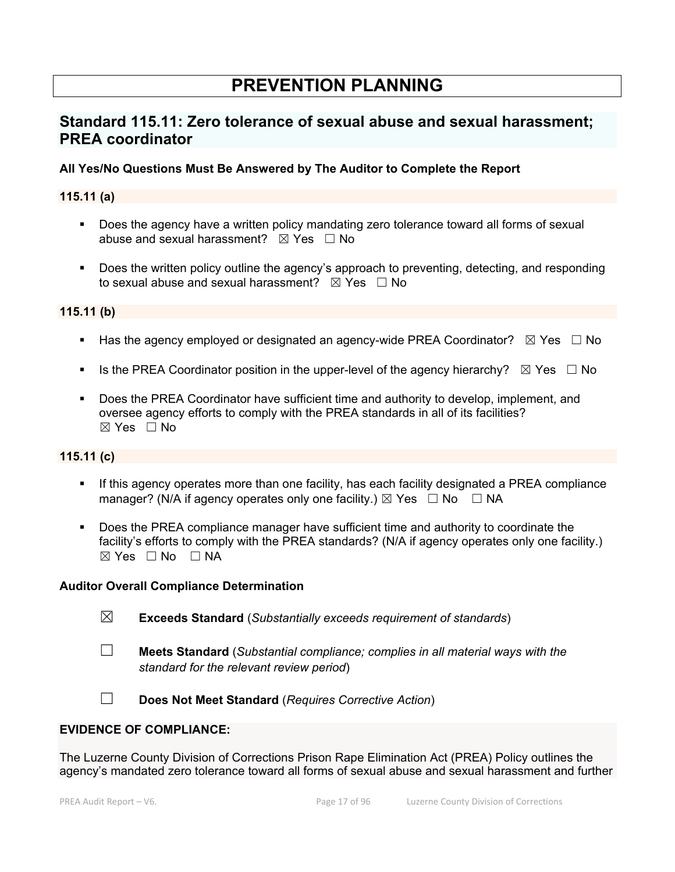# **PREVENTION PLANNING**

# **Standard 115.11: Zero tolerance of sexual abuse and sexual harassment; PREA coordinator**

# **All Yes/No Questions Must Be Answered by The Auditor to Complete the Report**

# **115.11 (a)**

- Does the agency have a written policy mandating zero tolerance toward all forms of sexual abuse and sexual harassment?  $\boxtimes$  Yes  $\Box$  No
- Does the written policy outline the agency's approach to preventing, detecting, and responding to sexual abuse and sexual harassment?  $\boxtimes$  Yes  $\Box$  No

# **115.11 (b)**

- Has the agency employed or designated an agency-wide PREA Coordinator?  $\boxtimes$  Yes  $\Box$  No
- Is the PREA Coordinator position in the upper-level of the agency hierarchy?  $\boxtimes$  Yes  $\Box$  No
- **Does the PREA Coordinator have sufficient time and authority to develop, implement, and** oversee agency efforts to comply with the PREA standards in all of its facilities?  $\boxtimes$  Yes  $\Box$  No

#### **115.11 (c)**

- If this agency operates more than one facility, has each facility designated a PREA compliance manager? (N/A if agency operates only one facility.)  $\boxtimes$  Yes  $\Box$  No  $\Box$  NA
- Does the PREA compliance manager have sufficient time and authority to coordinate the facility's efforts to comply with the PREA standards? (N/A if agency operates only one facility.)  $\boxtimes$  Yes  $\Box$  No  $\Box$  NA

#### **Auditor Overall Compliance Determination**

- ☒ **Exceeds Standard** (*Substantially exceeds requirement of standards*)
- ☐ **Meets Standard** (*Substantial compliance; complies in all material ways with the standard for the relevant review period*)
- ☐ **Does Not Meet Standard** (*Requires Corrective Action*)

# **EVIDENCE OF COMPLIANCE:**

The Luzerne County Division of Corrections Prison Rape Elimination Act (PREA) Policy outlines the agency's mandated zero tolerance toward all forms of sexual abuse and sexual harassment and further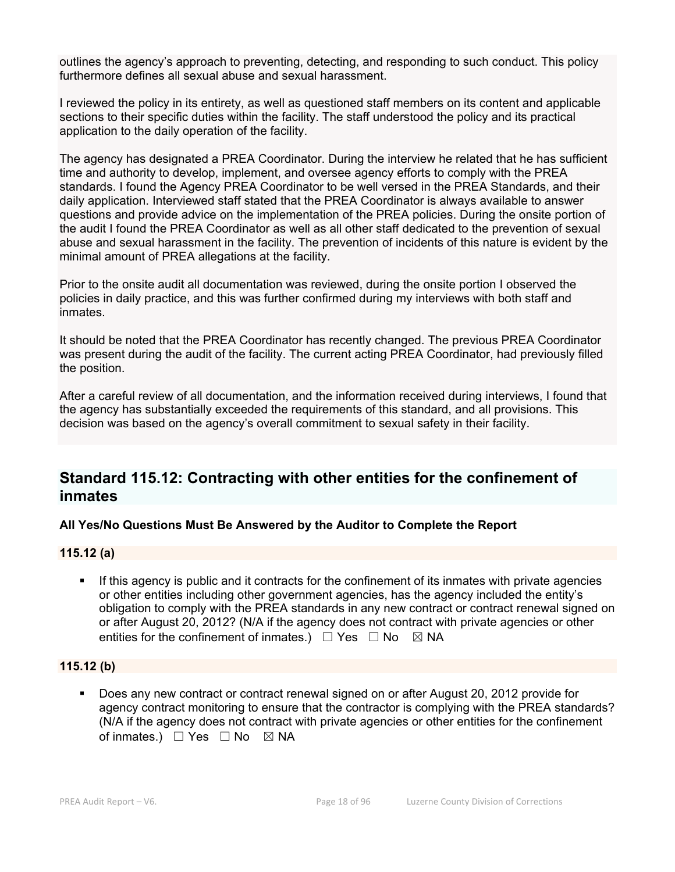outlines the agency's approach to preventing, detecting, and responding to such conduct. This policy furthermore defines all sexual abuse and sexual harassment.

I reviewed the policy in its entirety, as well as questioned staff members on its content and applicable sections to their specific duties within the facility. The staff understood the policy and its practical application to the daily operation of the facility.

The agency has designated a PREA Coordinator. During the interview he related that he has sufficient time and authority to develop, implement, and oversee agency efforts to comply with the PREA standards. I found the Agency PREA Coordinator to be well versed in the PREA Standards, and their daily application. Interviewed staff stated that the PREA Coordinator is always available to answer questions and provide advice on the implementation of the PREA policies. During the onsite portion of the audit I found the PREA Coordinator as well as all other staff dedicated to the prevention of sexual abuse and sexual harassment in the facility. The prevention of incidents of this nature is evident by the minimal amount of PREA allegations at the facility.

Prior to the onsite audit all documentation was reviewed, during the onsite portion I observed the policies in daily practice, and this was further confirmed during my interviews with both staff and inmates.

It should be noted that the PREA Coordinator has recently changed. The previous PREA Coordinator was present during the audit of the facility. The current acting PREA Coordinator, had previously filled the position.

After a careful review of all documentation, and the information received during interviews, I found that the agency has substantially exceeded the requirements of this standard, and all provisions. This decision was based on the agency's overall commitment to sexual safety in their facility.

# **Standard 115.12: Contracting with other entities for the confinement of inmates**

# **All Yes/No Questions Must Be Answered by the Auditor to Complete the Report**

#### **115.12 (a)**

 If this agency is public and it contracts for the confinement of its inmates with private agencies or other entities including other government agencies, has the agency included the entity's obligation to comply with the PREA standards in any new contract or contract renewal signed on or after August 20, 2012? (N/A if the agency does not contract with private agencies or other entities for the confinement of inmates.)  $\Box$  Yes  $\Box$  No  $\boxtimes$  NA

#### **115.12 (b)**

 Does any new contract or contract renewal signed on or after August 20, 2012 provide for agency contract monitoring to ensure that the contractor is complying with the PREA standards? (N/A if the agency does not contract with private agencies or other entities for the confinement of inmates.)  $\Box$  Yes  $\Box$  No  $\boxtimes$  NA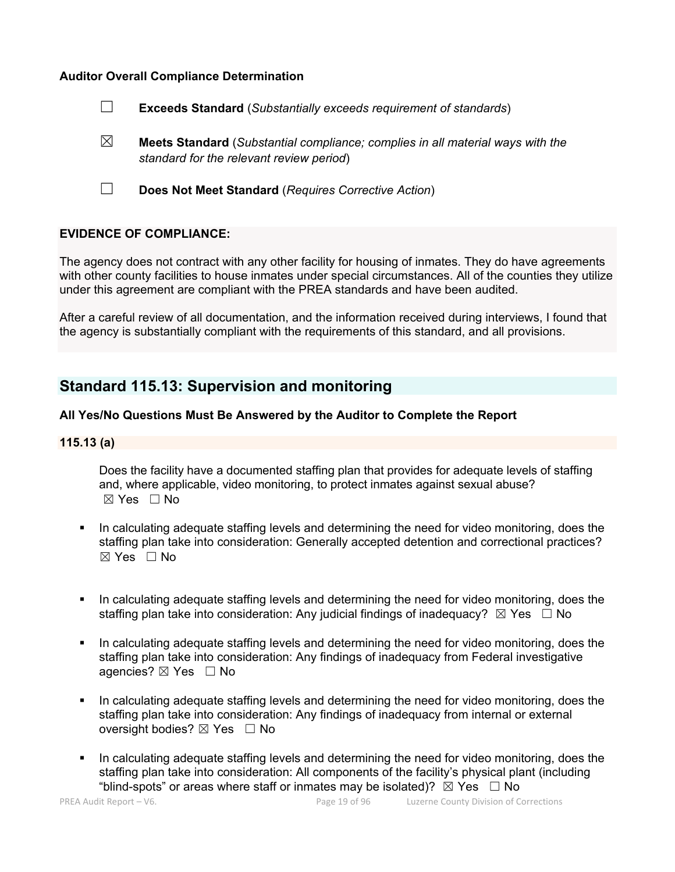# **Auditor Overall Compliance Determination**

- ☐ **Exceeds Standard** (*Substantially exceeds requirement of standards*)
- ☒ **Meets Standard** (*Substantial compliance; complies in all material ways with the standard for the relevant review period*)
- ☐ **Does Not Meet Standard** (*Requires Corrective Action*)

# **EVIDENCE OF COMPLIANCE:**

The agency does not contract with any other facility for housing of inmates. They do have agreements with other county facilities to house inmates under special circumstances. All of the counties they utilize under this agreement are compliant with the PREA standards and have been audited.

After a careful review of all documentation, and the information received during interviews, I found that the agency is substantially compliant with the requirements of this standard, and all provisions.

# **Standard 115.13: Supervision and monitoring**

# **All Yes/No Questions Must Be Answered by the Auditor to Complete the Report**

#### **115.13 (a)**

Does the facility have a documented staffing plan that provides for adequate levels of staffing and, where applicable, video monitoring, to protect inmates against sexual abuse?  $\boxtimes$  Yes  $\Box$  No

- In calculating adequate staffing levels and determining the need for video monitoring, does the staffing plan take into consideration: Generally accepted detention and correctional practices? ☒ Yes ☐ No
- In calculating adequate staffing levels and determining the need for video monitoring, does the staffing plan take into consideration: Any judicial findings of inadequacy?  $\boxtimes$  Yes  $\Box$  No
- In calculating adequate staffing levels and determining the need for video monitoring, does the staffing plan take into consideration: Any findings of inadequacy from Federal investigative agencies? ⊠ Yes □ No
- In calculating adequate staffing levels and determining the need for video monitoring, does the staffing plan take into consideration: Any findings of inadequacy from internal or external oversight bodies? ⊠ Yes □ No
- In calculating adequate staffing levels and determining the need for video monitoring, does the staffing plan take into consideration: All components of the facility's physical plant (including "blind-spots" or areas where staff or inmates may be isolated)?  $\boxtimes$  Yes  $\Box$  No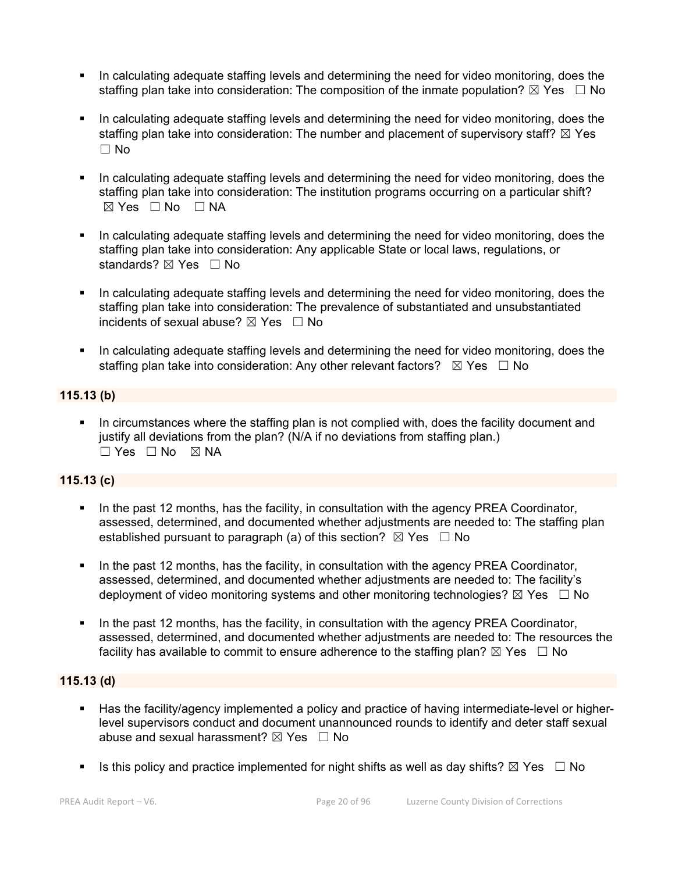- In calculating adequate staffing levels and determining the need for video monitoring, does the staffing plan take into consideration: The composition of the inmate population?  $\boxtimes$  Yes  $\Box$  No
- In calculating adequate staffing levels and determining the need for video monitoring, does the staffing plan take into consideration: The number and placement of supervisory staff?  $\boxtimes$  Yes  $\Box$  No
- In calculating adequate staffing levels and determining the need for video monitoring, does the staffing plan take into consideration: The institution programs occurring on a particular shift?  $⊠ Yes ⊡ No ⊡ NA$
- In calculating adequate staffing levels and determining the need for video monitoring, does the staffing plan take into consideration: Any applicable State or local laws, regulations, or standards? ⊠ Yes □ No
- In calculating adequate staffing levels and determining the need for video monitoring, does the staffing plan take into consideration: The prevalence of substantiated and unsubstantiated incidents of sexual abuse?  $\boxtimes$  Yes  $\Box$  No
- In calculating adequate staffing levels and determining the need for video monitoring, does the staffing plan take into consideration: Any other relevant factors?  $\boxtimes$  Yes  $\Box$  No

# **115.13 (b)**

 In circumstances where the staffing plan is not complied with, does the facility document and justify all deviations from the plan? (N/A if no deviations from staffing plan.)  $\square$  Yes  $\square$  No  $\square$  NA

# **115.13 (c)**

- In the past 12 months, has the facility, in consultation with the agency PREA Coordinator, assessed, determined, and documented whether adjustments are needed to: The staffing plan established pursuant to paragraph (a) of this section?  $\boxtimes$  Yes  $\Box$  No
- In the past 12 months, has the facility, in consultation with the agency PREA Coordinator, assessed, determined, and documented whether adjustments are needed to: The facility's deployment of video monitoring systems and other monitoring technologies?  $\boxtimes$  Yes  $\Box$  No
- In the past 12 months, has the facility, in consultation with the agency PREA Coordinator, assessed, determined, and documented whether adjustments are needed to: The resources the facility has available to commit to ensure adherence to the staffing plan?  $\boxtimes$  Yes  $\Box$  No

# **115.13 (d)**

- Has the facility/agency implemented a policy and practice of having intermediate-level or higherlevel supervisors conduct and document unannounced rounds to identify and deter staff sexual abuse and sexual harassment?  $\boxtimes$  Yes  $\Box$  No
- Is this policy and practice implemented for night shifts as well as day shifts?  $\boxtimes$  Yes  $\Box$  No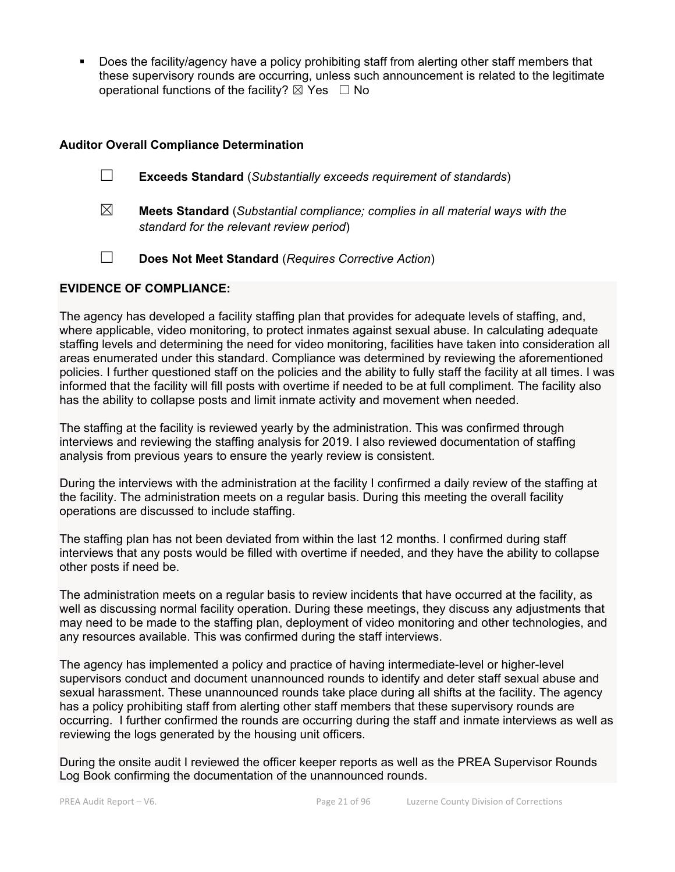Does the facility/agency have a policy prohibiting staff from alerting other staff members that these supervisory rounds are occurring, unless such announcement is related to the legitimate operational functions of the facility?  $\boxtimes$  Yes  $\Box$  No

# **Auditor Overall Compliance Determination**

- ☐ **Exceeds Standard** (*Substantially exceeds requirement of standards*)
- ☒ **Meets Standard** (*Substantial compliance; complies in all material ways with the standard for the relevant review period*)
- ☐ **Does Not Meet Standard** (*Requires Corrective Action*)

# **EVIDENCE OF COMPLIANCE:**

The agency has developed a facility staffing plan that provides for adequate levels of staffing, and, where applicable, video monitoring, to protect inmates against sexual abuse. In calculating adequate staffing levels and determining the need for video monitoring, facilities have taken into consideration all areas enumerated under this standard. Compliance was determined by reviewing the aforementioned policies. I further questioned staff on the policies and the ability to fully staff the facility at all times. I was informed that the facility will fill posts with overtime if needed to be at full compliment. The facility also has the ability to collapse posts and limit inmate activity and movement when needed.

The staffing at the facility is reviewed yearly by the administration. This was confirmed through interviews and reviewing the staffing analysis for 2019. I also reviewed documentation of staffing analysis from previous years to ensure the yearly review is consistent.

During the interviews with the administration at the facility I confirmed a daily review of the staffing at the facility. The administration meets on a regular basis. During this meeting the overall facility operations are discussed to include staffing.

The staffing plan has not been deviated from within the last 12 months. I confirmed during staff interviews that any posts would be filled with overtime if needed, and they have the ability to collapse other posts if need be.

The administration meets on a regular basis to review incidents that have occurred at the facility, as well as discussing normal facility operation. During these meetings, they discuss any adjustments that may need to be made to the staffing plan, deployment of video monitoring and other technologies, and any resources available. This was confirmed during the staff interviews.

The agency has implemented a policy and practice of having intermediate-level or higher-level supervisors conduct and document unannounced rounds to identify and deter staff sexual abuse and sexual harassment. These unannounced rounds take place during all shifts at the facility. The agency has a policy prohibiting staff from alerting other staff members that these supervisory rounds are occurring. I further confirmed the rounds are occurring during the staff and inmate interviews as well as reviewing the logs generated by the housing unit officers.

During the onsite audit I reviewed the officer keeper reports as well as the PREA Supervisor Rounds Log Book confirming the documentation of the unannounced rounds.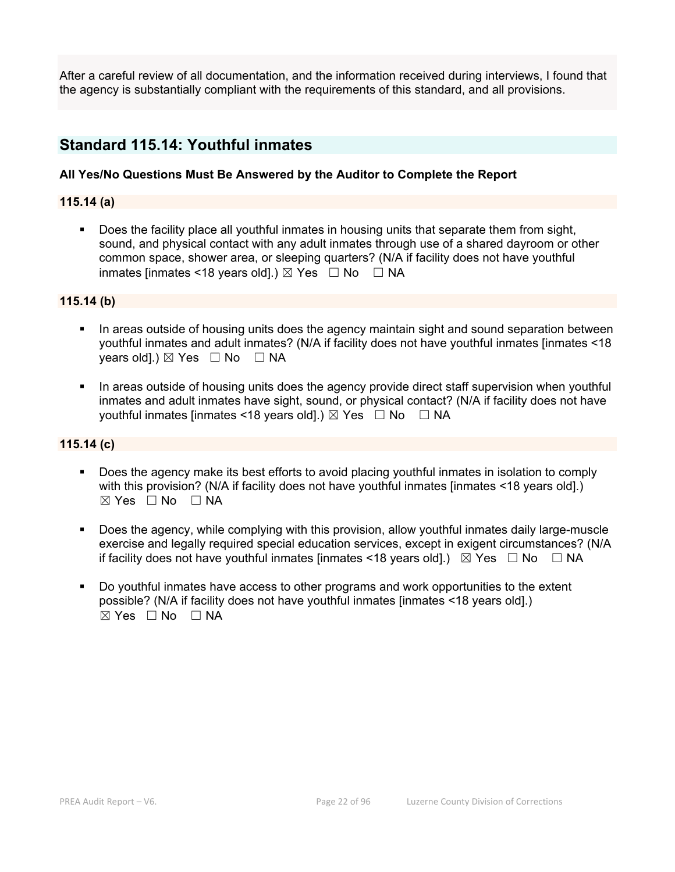After a careful review of all documentation, and the information received during interviews, I found that the agency is substantially compliant with the requirements of this standard, and all provisions.

# **Standard 115.14: Youthful inmates**

# **All Yes/No Questions Must Be Answered by the Auditor to Complete the Report**

# **115.14 (a)**

 Does the facility place all youthful inmates in housing units that separate them from sight, sound, and physical contact with any adult inmates through use of a shared dayroom or other common space, shower area, or sleeping quarters? (N/A if facility does not have youthful inmates [inmates <18 years old].)  $\boxtimes$  Yes  $\Box$  No  $\Box$  NA

# **115.14 (b)**

- In areas outside of housing units does the agency maintain sight and sound separation between youthful inmates and adult inmates? (N/A if facility does not have youthful inmates [inmates <18 years old].)  $\boxtimes$  Yes  $\Box$  No  $\Box$  NA
- In areas outside of housing units does the agency provide direct staff supervision when youthful inmates and adult inmates have sight, sound, or physical contact? (N/A if facility does not have youthful inmates [inmates <18 years old].)  $\boxtimes$  Yes  $\Box$  No  $\Box$  NA

#### **115.14 (c)**

- Does the agency make its best efforts to avoid placing youthful inmates in isolation to comply with this provision? (N/A if facility does not have youthful inmates [inmates <18 years old].)  $\boxtimes$  Yes  $\Box$  No  $\Box$  NA
- Does the agency, while complying with this provision, allow youthful inmates daily large-muscle exercise and legally required special education services, except in exigent circumstances? (N/A if facility does not have youthful inmates [inmates <18 years old].)  $\boxtimes$  Yes  $\Box$  No  $\Box$  NA
- Do youthful inmates have access to other programs and work opportunities to the extent possible? (N/A if facility does not have youthful inmates [inmates <18 years old].)  $\boxtimes$  Yes  $\Box$  No  $\Box$  NA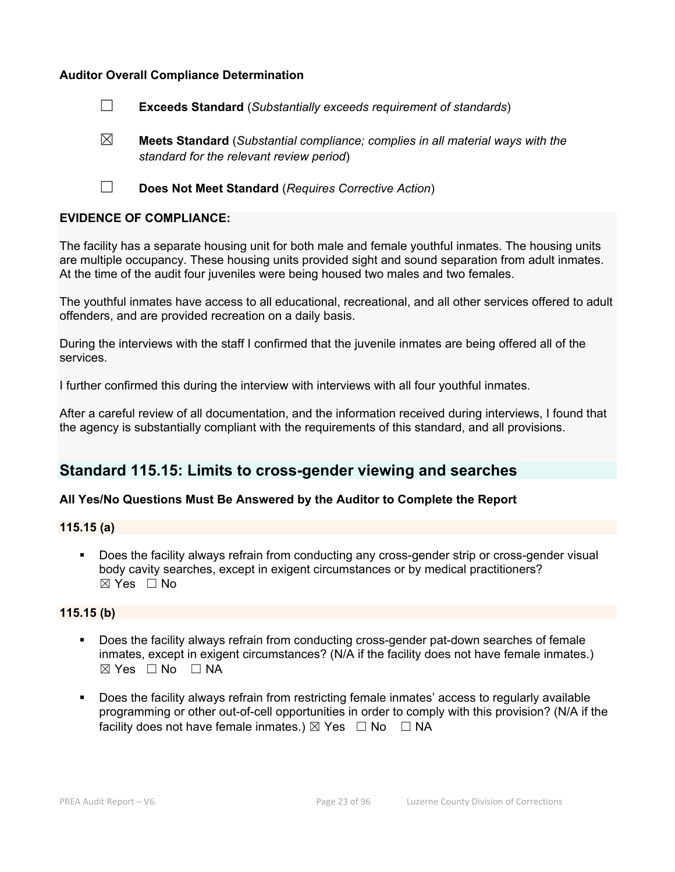# **Auditor Overall Compliance Determination**

- ☐ **Exceeds Standard** (*Substantially exceeds requirement of standards*)
- ☒ **Meets Standard** (*Substantial compliance; complies in all material ways with the standard for the relevant review period*)
- ☐ **Does Not Meet Standard** (*Requires Corrective Action*)

# **EVIDENCE OF COMPLIANCE:**

The facility has a separate housing unit for both male and female youthful inmates. The housing units are multiple occupancy. These housing units provided sight and sound separation from adult inmates. At the time of the audit four juveniles were being housed two males and two females.

The youthful inmates have access to all educational, recreational, and all other services offered to adult offenders, and are provided recreation on a daily basis.

During the interviews with the staff I confirmed that the juvenile inmates are being offered all of the services.

I further confirmed this during the interview with interviews with all four youthful inmates.

After a careful review of all documentation, and the information received during interviews, I found that the agency is substantially compliant with the requirements of this standard, and all provisions.

# **Standard 115.15: Limits to cross-gender viewing and searches**

#### **All Yes/No Questions Must Be Answered by the Auditor to Complete the Report**

# **115.15 (a)**

 Does the facility always refrain from conducting any cross-gender strip or cross-gender visual body cavity searches, except in exigent circumstances or by medical practitioners?  $\boxtimes$  Yes  $\Box$  No

#### **115.15 (b)**

- Does the facility always refrain from conducting cross-gender pat-down searches of female inmates, except in exigent circumstances? (N/A if the facility does not have female inmates.)  $\boxtimes$  Yes  $\Box$  No  $\Box$  NA
- Does the facility always refrain from restricting female inmates' access to regularly available programming or other out-of-cell opportunities in order to comply with this provision? (N/A if the facility does not have female inmates.)  $\boxtimes$  Yes  $\Box$  No  $\Box$  NA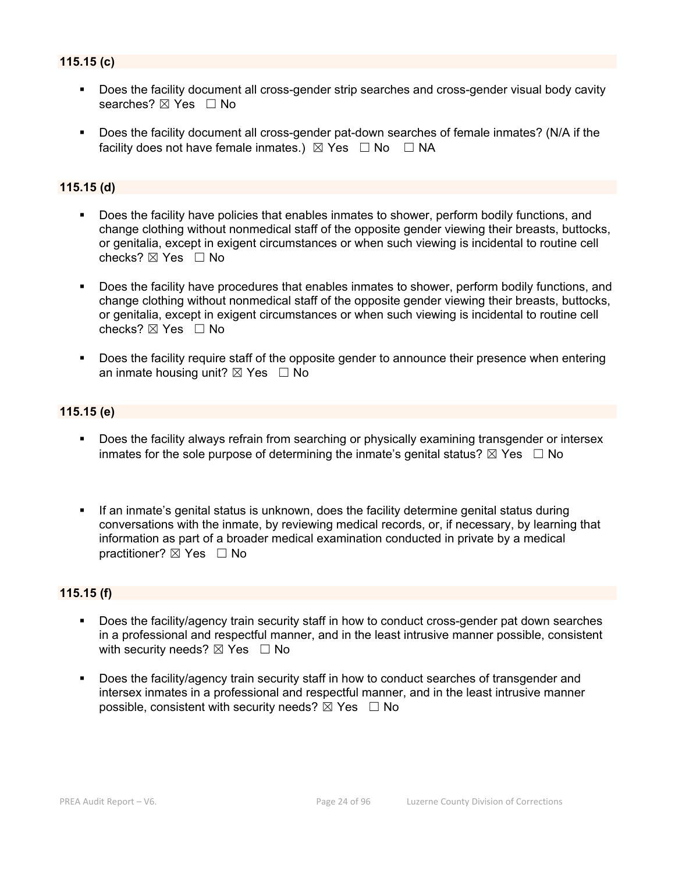# **115.15 (c)**

- Does the facility document all cross-gender strip searches and cross-gender visual body cavity searches? ⊠ Yes □ No
- Does the facility document all cross-gender pat-down searches of female inmates? (N/A if the facility does not have female inmates.)  $\boxtimes$  Yes  $\Box$  No  $\Box$  NA

#### **115.15 (d)**

- Does the facility have policies that enables inmates to shower, perform bodily functions, and change clothing without nonmedical staff of the opposite gender viewing their breasts, buttocks, or genitalia, except in exigent circumstances or when such viewing is incidental to routine cell checks? ☒ Yes ☐ No
- Does the facility have procedures that enables inmates to shower, perform bodily functions, and change clothing without nonmedical staff of the opposite gender viewing their breasts, buttocks, or genitalia, except in exigent circumstances or when such viewing is incidental to routine cell checks?  $\boxtimes$  Yes  $\Box$  No
- Does the facility require staff of the opposite gender to announce their presence when entering an inmate housing unit?  $\boxtimes$  Yes  $\Box$  No

#### **115.15 (e)**

- Does the facility always refrain from searching or physically examining transgender or intersex inmates for the sole purpose of determining the inmate's genital status?  $\boxtimes$  Yes  $\Box$  No
- If an inmate's genital status is unknown, does the facility determine genital status during conversations with the inmate, by reviewing medical records, or, if necessary, by learning that information as part of a broader medical examination conducted in private by a medical practitioner? ⊠ Yes □ No

# **115.15 (f)**

- Does the facility/agency train security staff in how to conduct cross-gender pat down searches in a professional and respectful manner, and in the least intrusive manner possible, consistent with security needs?  $\boxtimes$  Yes  $\Box$  No
- Does the facility/agency train security staff in how to conduct searches of transgender and intersex inmates in a professional and respectful manner, and in the least intrusive manner possible, consistent with security needs?  $\boxtimes$  Yes  $\Box$  No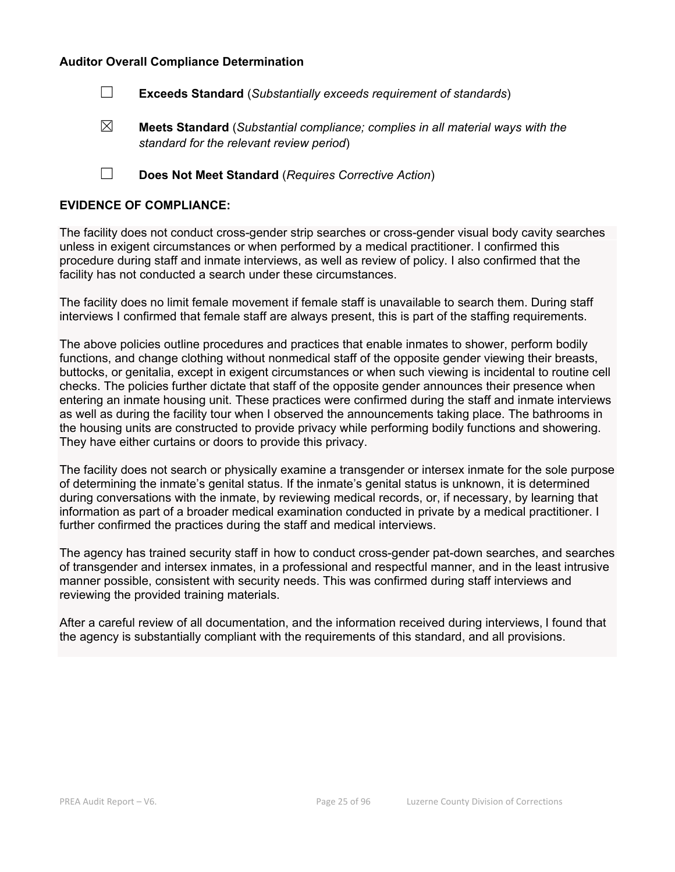#### **Auditor Overall Compliance Determination**

☐ **Exceeds Standard** (*Substantially exceeds requirement of standards*)

☒ **Meets Standard** (*Substantial compliance; complies in all material ways with the standard for the relevant review period*)

☐ **Does Not Meet Standard** (*Requires Corrective Action*)

#### **EVIDENCE OF COMPLIANCE:**

The facility does not conduct cross-gender strip searches or cross-gender visual body cavity searches unless in exigent circumstances or when performed by a medical practitioner. I confirmed this procedure during staff and inmate interviews, as well as review of policy. I also confirmed that the facility has not conducted a search under these circumstances.

The facility does no limit female movement if female staff is unavailable to search them. During staff interviews I confirmed that female staff are always present, this is part of the staffing requirements.

The above policies outline procedures and practices that enable inmates to shower, perform bodily functions, and change clothing without nonmedical staff of the opposite gender viewing their breasts, buttocks, or genitalia, except in exigent circumstances or when such viewing is incidental to routine cell checks. The policies further dictate that staff of the opposite gender announces their presence when entering an inmate housing unit. These practices were confirmed during the staff and inmate interviews as well as during the facility tour when I observed the announcements taking place. The bathrooms in the housing units are constructed to provide privacy while performing bodily functions and showering. They have either curtains or doors to provide this privacy.

The facility does not search or physically examine a transgender or intersex inmate for the sole purpose of determining the inmate's genital status. If the inmate's genital status is unknown, it is determined during conversations with the inmate, by reviewing medical records, or, if necessary, by learning that information as part of a broader medical examination conducted in private by a medical practitioner. I further confirmed the practices during the staff and medical interviews.

The agency has trained security staff in how to conduct cross-gender pat-down searches, and searches of transgender and intersex inmates, in a professional and respectful manner, and in the least intrusive manner possible, consistent with security needs. This was confirmed during staff interviews and reviewing the provided training materials.

After a careful review of all documentation, and the information received during interviews, I found that the agency is substantially compliant with the requirements of this standard, and all provisions.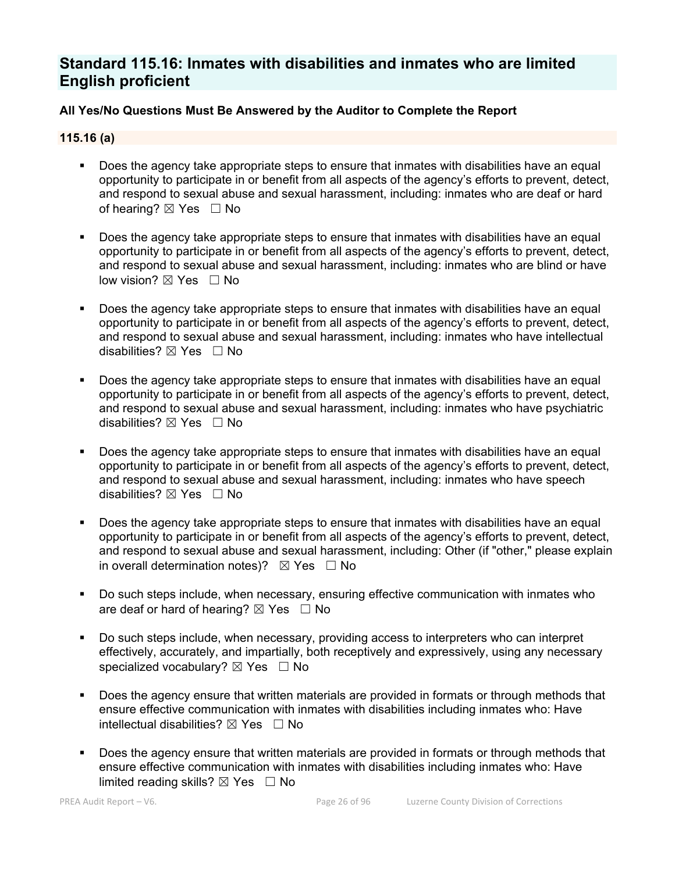# **Standard 115.16: Inmates with disabilities and inmates who are limited English proficient**

# **All Yes/No Questions Must Be Answered by the Auditor to Complete the Report**

# **115.16 (a)**

- Does the agency take appropriate steps to ensure that inmates with disabilities have an equal opportunity to participate in or benefit from all aspects of the agency's efforts to prevent, detect, and respond to sexual abuse and sexual harassment, including: inmates who are deaf or hard of hearing?  $\boxtimes$  Yes  $\Box$  No
- Does the agency take appropriate steps to ensure that inmates with disabilities have an equal opportunity to participate in or benefit from all aspects of the agency's efforts to prevent, detect, and respond to sexual abuse and sexual harassment, including: inmates who are blind or have low vision? ⊠ Yes □ No
- Does the agency take appropriate steps to ensure that inmates with disabilities have an equal opportunity to participate in or benefit from all aspects of the agency's efforts to prevent, detect, and respond to sexual abuse and sexual harassment, including: inmates who have intellectual disabilities? ☒ Yes ☐ No
- Does the agency take appropriate steps to ensure that inmates with disabilities have an equal opportunity to participate in or benefit from all aspects of the agency's efforts to prevent, detect, and respond to sexual abuse and sexual harassment, including: inmates who have psychiatric disabilities?  $\boxtimes$  Yes  $\Box$  No
- Does the agency take appropriate steps to ensure that inmates with disabilities have an equal opportunity to participate in or benefit from all aspects of the agency's efforts to prevent, detect, and respond to sexual abuse and sexual harassment, including: inmates who have speech disabilities?  $\boxtimes$  Yes  $\Box$  No
- Does the agency take appropriate steps to ensure that inmates with disabilities have an equal opportunity to participate in or benefit from all aspects of the agency's efforts to prevent, detect, and respond to sexual abuse and sexual harassment, including: Other (if "other," please explain in overall determination notes)?  $\boxtimes$  Yes  $\Box$  No
- Do such steps include, when necessary, ensuring effective communication with inmates who are deaf or hard of hearing?  $\boxtimes$  Yes  $\Box$  No
- Do such steps include, when necessary, providing access to interpreters who can interpret effectively, accurately, and impartially, both receptively and expressively, using any necessary specialized vocabulary?  $\boxtimes$  Yes  $\Box$  No
- Does the agency ensure that written materials are provided in formats or through methods that ensure effective communication with inmates with disabilities including inmates who: Have intellectual disabilities?  $\boxtimes$  Yes  $\Box$  No
- Does the agency ensure that written materials are provided in formats or through methods that ensure effective communication with inmates with disabilities including inmates who: Have limited reading skills?  $\boxtimes$  Yes  $\Box$  No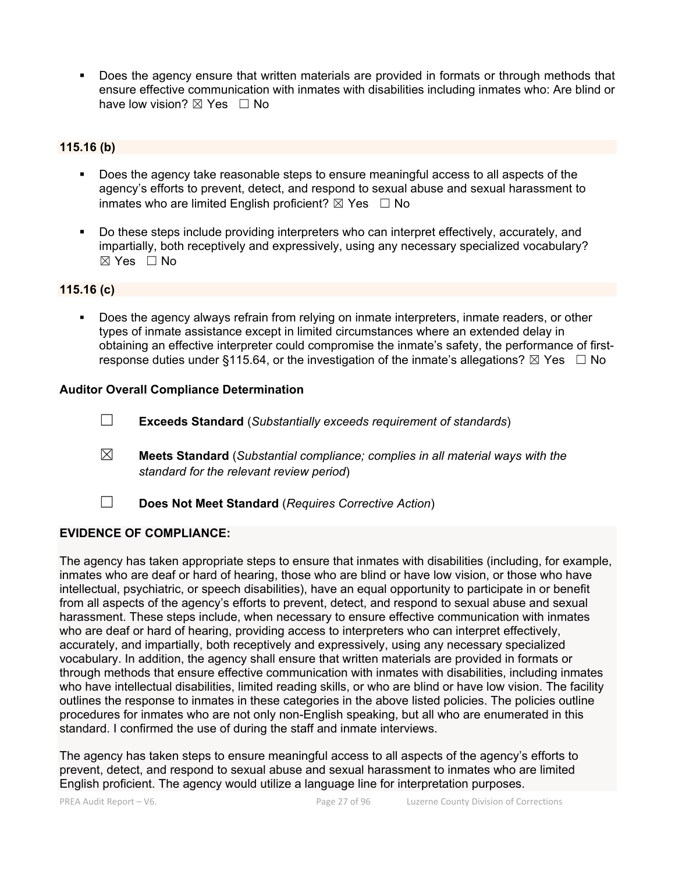Does the agency ensure that written materials are provided in formats or through methods that ensure effective communication with inmates with disabilities including inmates who: Are blind or have low vision?  $\boxtimes$  Yes  $\Box$  No

# **115.16 (b)**

- Does the agency take reasonable steps to ensure meaningful access to all aspects of the agency's efforts to prevent, detect, and respond to sexual abuse and sexual harassment to inmates who are limited English proficient?  $\boxtimes$  Yes  $\Box$  No
- Do these steps include providing interpreters who can interpret effectively, accurately, and impartially, both receptively and expressively, using any necessary specialized vocabulary?  $\boxtimes$  Yes  $\Box$  No

#### **115.16 (c)**

 Does the agency always refrain from relying on inmate interpreters, inmate readers, or other types of inmate assistance except in limited circumstances where an extended delay in obtaining an effective interpreter could compromise the inmate's safety, the performance of firstresponse duties under §115.64, or the investigation of the inmate's allegations?  $\boxtimes$  Yes  $\Box$  No

# **Auditor Overall Compliance Determination**

- ☐ **Exceeds Standard** (*Substantially exceeds requirement of standards*)
- ☒ **Meets Standard** (*Substantial compliance; complies in all material ways with the standard for the relevant review period*)
- ☐ **Does Not Meet Standard** (*Requires Corrective Action*)

### **EVIDENCE OF COMPLIANCE:**

The agency has taken appropriate steps to ensure that inmates with disabilities (including, for example, inmates who are deaf or hard of hearing, those who are blind or have low vision, or those who have intellectual, psychiatric, or speech disabilities), have an equal opportunity to participate in or benefit from all aspects of the agency's efforts to prevent, detect, and respond to sexual abuse and sexual harassment. These steps include, when necessary to ensure effective communication with inmates who are deaf or hard of hearing, providing access to interpreters who can interpret effectively, accurately, and impartially, both receptively and expressively, using any necessary specialized vocabulary. In addition, the agency shall ensure that written materials are provided in formats or through methods that ensure effective communication with inmates with disabilities, including inmates who have intellectual disabilities, limited reading skills, or who are blind or have low vision. The facility outlines the response to inmates in these categories in the above listed policies. The policies outline procedures for inmates who are not only non-English speaking, but all who are enumerated in this standard. I confirmed the use of during the staff and inmate interviews.

The agency has taken steps to ensure meaningful access to all aspects of the agency's efforts to prevent, detect, and respond to sexual abuse and sexual harassment to inmates who are limited English proficient. The agency would utilize a language line for interpretation purposes.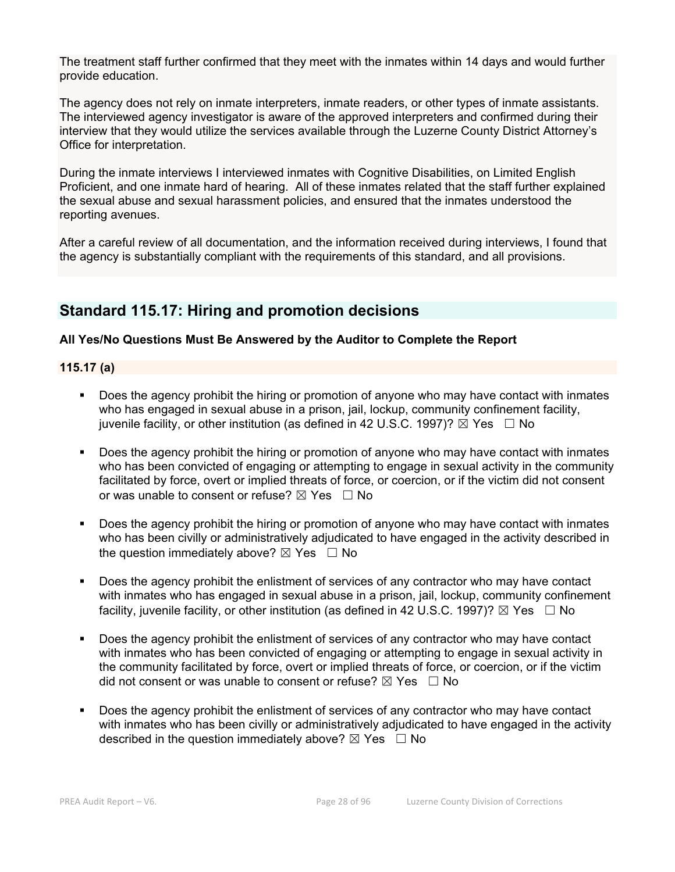The treatment staff further confirmed that they meet with the inmates within 14 days and would further provide education.

The agency does not rely on inmate interpreters, inmate readers, or other types of inmate assistants. The interviewed agency investigator is aware of the approved interpreters and confirmed during their interview that they would utilize the services available through the Luzerne County District Attorney's Office for interpretation.

During the inmate interviews I interviewed inmates with Cognitive Disabilities, on Limited English Proficient, and one inmate hard of hearing. All of these inmates related that the staff further explained the sexual abuse and sexual harassment policies, and ensured that the inmates understood the reporting avenues.

After a careful review of all documentation, and the information received during interviews, I found that the agency is substantially compliant with the requirements of this standard, and all provisions.

# **Standard 115.17: Hiring and promotion decisions**

# **All Yes/No Questions Must Be Answered by the Auditor to Complete the Report**

# **115.17 (a)**

- Does the agency prohibit the hiring or promotion of anyone who may have contact with inmates who has engaged in sexual abuse in a prison, jail, lockup, community confinement facility, juvenile facility, or other institution (as defined in 42 U.S.C. 1997)?  $\boxtimes$  Yes  $\Box$  No
- Does the agency prohibit the hiring or promotion of anyone who may have contact with inmates who has been convicted of engaging or attempting to engage in sexual activity in the community facilitated by force, overt or implied threats of force, or coercion, or if the victim did not consent or was unable to consent or refuse?  $\boxtimes$  Yes  $\Box$  No
- Does the agency prohibit the hiring or promotion of anyone who may have contact with inmates who has been civilly or administratively adjudicated to have engaged in the activity described in the question immediately above?  $\boxtimes$  Yes  $\Box$  No
- Does the agency prohibit the enlistment of services of any contractor who may have contact with inmates who has engaged in sexual abuse in a prison, jail, lockup, community confinement facility, juvenile facility, or other institution (as defined in 42 U.S.C. 1997)?  $\boxtimes$  Yes  $\Box$  No
- Does the agency prohibit the enlistment of services of any contractor who may have contact with inmates who has been convicted of engaging or attempting to engage in sexual activity in the community facilitated by force, overt or implied threats of force, or coercion, or if the victim did not consent or was unable to consent or refuse?  $\boxtimes$  Yes  $\Box$  No
- Does the agency prohibit the enlistment of services of any contractor who may have contact with inmates who has been civilly or administratively adjudicated to have engaged in the activity described in the question immediately above?  $\boxtimes$  Yes  $\Box$  No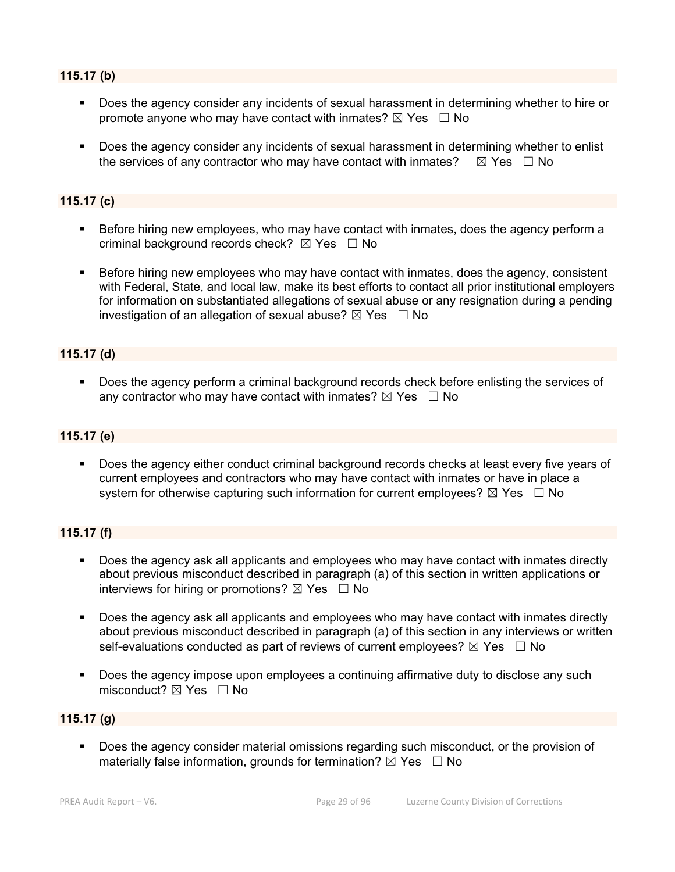# **115.17 (b)**

- Does the agency consider any incidents of sexual harassment in determining whether to hire or promote anyone who may have contact with inmates?  $\boxtimes$  Yes  $\Box$  No
- Does the agency consider any incidents of sexual harassment in determining whether to enlist the services of any contractor who may have contact with inmates?  $\boxtimes$  Yes  $\Box$  No

# **115.17 (c)**

- Before hiring new employees, who may have contact with inmates, does the agency perform a criminal background records check?  $\boxtimes$  Yes  $\Box$  No
- Before hiring new employees who may have contact with inmates, does the agency, consistent with Federal, State, and local law, make its best efforts to contact all prior institutional employers for information on substantiated allegations of sexual abuse or any resignation during a pending investigation of an allegation of sexual abuse?  $\boxtimes$  Yes  $\Box$  No

# **115.17 (d)**

Does the agency perform a criminal background records check before enlisting the services of any contractor who may have contact with inmates?  $\boxtimes$  Yes  $\Box$  No

#### **115.17 (e)**

 Does the agency either conduct criminal background records checks at least every five years of current employees and contractors who may have contact with inmates or have in place a system for otherwise capturing such information for current employees?  $\boxtimes$  Yes  $\Box$  No

# **115.17 (f)**

- Does the agency ask all applicants and employees who may have contact with inmates directly about previous misconduct described in paragraph (a) of this section in written applications or interviews for hiring or promotions?  $\boxtimes$  Yes  $\Box$  No
- **Does the agency ask all applicants and employees who may have contact with inmates directly** about previous misconduct described in paragraph (a) of this section in any interviews or written self-evaluations conducted as part of reviews of current employees?  $\boxtimes$  Yes  $\Box$  No
- Does the agency impose upon employees a continuing affirmative duty to disclose any such misconduct?  $\boxtimes$  Yes  $\Box$  No

#### **115.17 (g)**

 Does the agency consider material omissions regarding such misconduct, or the provision of materially false information, grounds for termination?  $\boxtimes$  Yes  $\Box$  No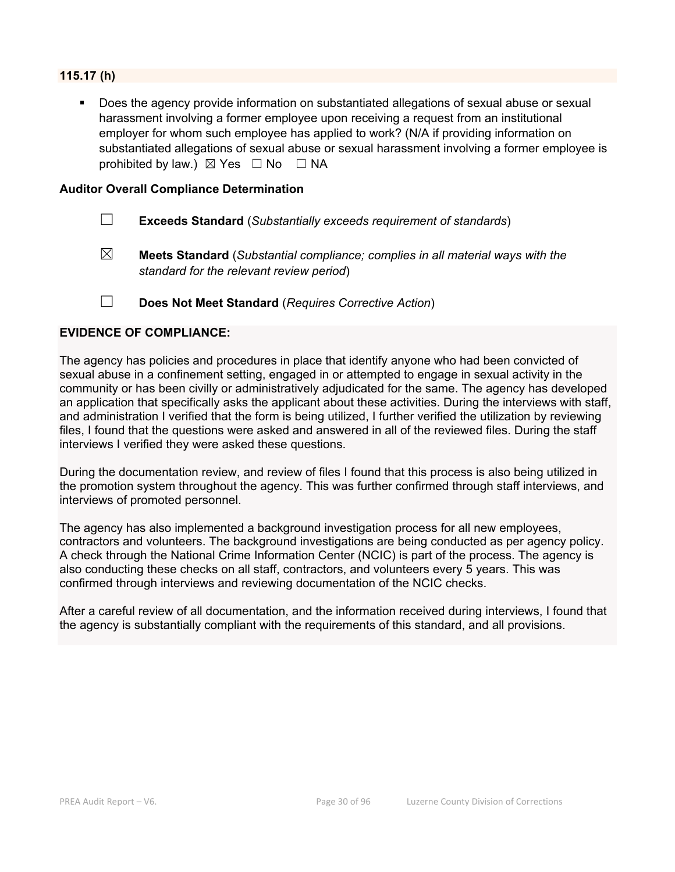# **115.17 (h)**

 Does the agency provide information on substantiated allegations of sexual abuse or sexual harassment involving a former employee upon receiving a request from an institutional employer for whom such employee has applied to work? (N/A if providing information on substantiated allegations of sexual abuse or sexual harassment involving a former employee is prohibited by law.)  $\boxtimes$  Yes  $\Box$  No  $\Box$  NA

#### **Auditor Overall Compliance Determination**

- ☐ **Exceeds Standard** (*Substantially exceeds requirement of standards*)
- ☒ **Meets Standard** (*Substantial compliance; complies in all material ways with the standard for the relevant review period*)
- ☐ **Does Not Meet Standard** (*Requires Corrective Action*)

#### **EVIDENCE OF COMPLIANCE:**

The agency has policies and procedures in place that identify anyone who had been convicted of sexual abuse in a confinement setting, engaged in or attempted to engage in sexual activity in the community or has been civilly or administratively adjudicated for the same. The agency has developed an application that specifically asks the applicant about these activities. During the interviews with staff, and administration I verified that the form is being utilized, I further verified the utilization by reviewing files, I found that the questions were asked and answered in all of the reviewed files. During the staff interviews I verified they were asked these questions.

During the documentation review, and review of files I found that this process is also being utilized in the promotion system throughout the agency. This was further confirmed through staff interviews, and interviews of promoted personnel.

The agency has also implemented a background investigation process for all new employees, contractors and volunteers. The background investigations are being conducted as per agency policy. A check through the National Crime Information Center (NCIC) is part of the process. The agency is also conducting these checks on all staff, contractors, and volunteers every 5 years. This was confirmed through interviews and reviewing documentation of the NCIC checks.

After a careful review of all documentation, and the information received during interviews, I found that the agency is substantially compliant with the requirements of this standard, and all provisions.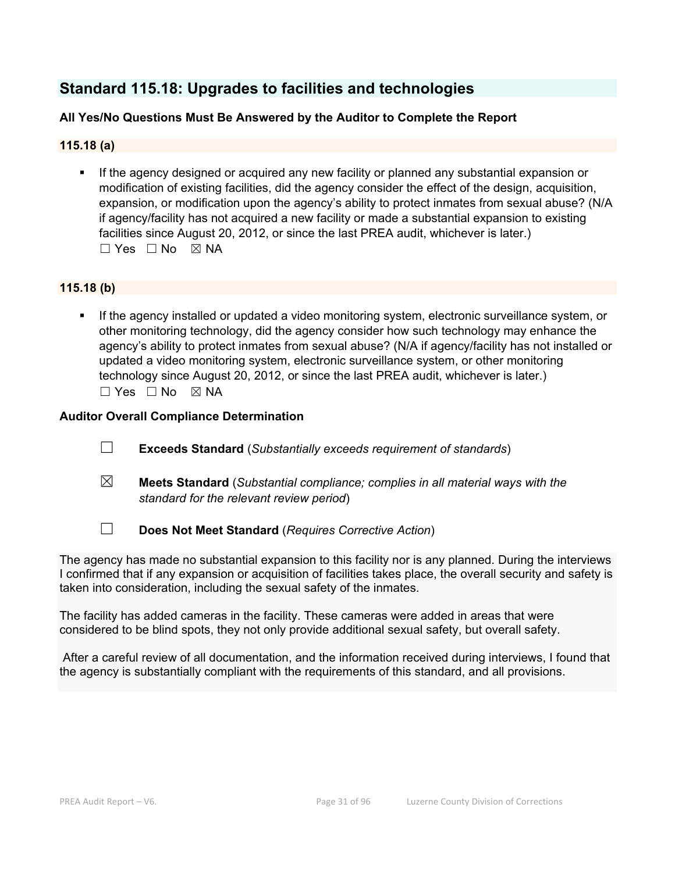# **Standard 115.18: Upgrades to facilities and technologies**

# **All Yes/No Questions Must Be Answered by the Auditor to Complete the Report**

# **115.18 (a)**

 If the agency designed or acquired any new facility or planned any substantial expansion or modification of existing facilities, did the agency consider the effect of the design, acquisition, expansion, or modification upon the agency's ability to protect inmates from sexual abuse? (N/A if agency/facility has not acquired a new facility or made a substantial expansion to existing facilities since August 20, 2012, or since the last PREA audit, whichever is later.) ☐ Yes ☐ No ☒ NA

# **115.18 (b)**

 If the agency installed or updated a video monitoring system, electronic surveillance system, or other monitoring technology, did the agency consider how such technology may enhance the agency's ability to protect inmates from sexual abuse? (N/A if agency/facility has not installed or updated a video monitoring system, electronic surveillance system, or other monitoring technology since August 20, 2012, or since the last PREA audit, whichever is later.)  $\square$  Yes  $\square$  No  $\square$  NA

# **Auditor Overall Compliance Determination**

- ☐ **Exceeds Standard** (*Substantially exceeds requirement of standards*)
- ☒ **Meets Standard** (*Substantial compliance; complies in all material ways with the standard for the relevant review period*)
- ☐ **Does Not Meet Standard** (*Requires Corrective Action*)

The agency has made no substantial expansion to this facility nor is any planned. During the interviews I confirmed that if any expansion or acquisition of facilities takes place, the overall security and safety is taken into consideration, including the sexual safety of the inmates.

The facility has added cameras in the facility. These cameras were added in areas that were considered to be blind spots, they not only provide additional sexual safety, but overall safety.

 After a careful review of all documentation, and the information received during interviews, I found that the agency is substantially compliant with the requirements of this standard, and all provisions.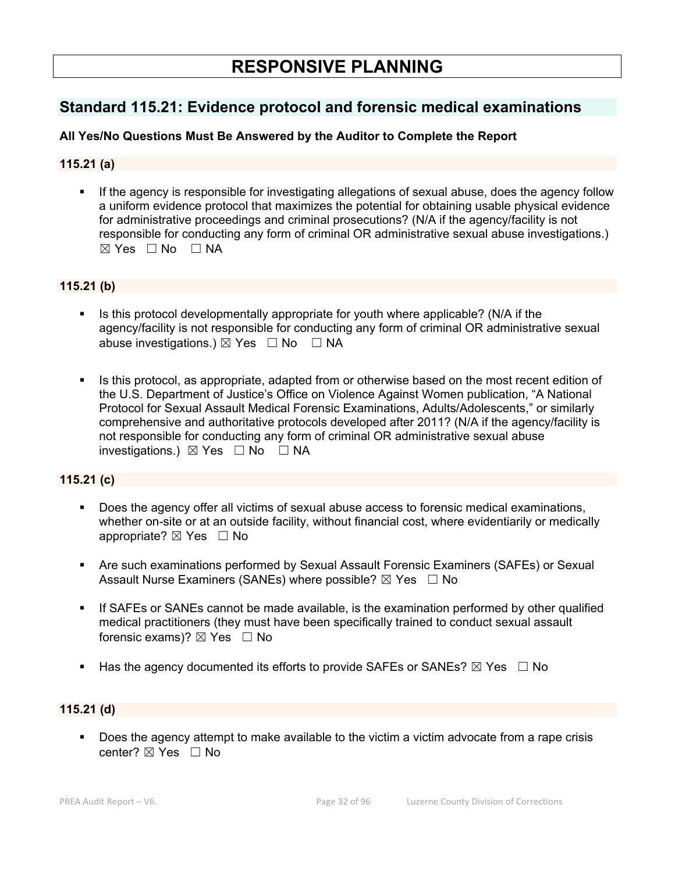# **Standard 115.21: Evidence protocol and forensic medical examinations**

# **All Yes/No Questions Must Be Answered by the Auditor to Complete the Report**

# **115.21 (a)**

 If the agency is responsible for investigating allegations of sexual abuse, does the agency follow a uniform evidence protocol that maximizes the potential for obtaining usable physical evidence for administrative proceedings and criminal prosecutions? (N/A if the agency/facility is not responsible for conducting any form of criminal OR administrative sexual abuse investigations.)  $\boxtimes$  Yes  $\Box$  No  $\Box$  NA

# **115.21 (b)**

- Is this protocol developmentally appropriate for youth where applicable? (N/A if the agency/facility is not responsible for conducting any form of criminal OR administrative sexual abuse investigations.)  $\boxtimes$  Yes  $\Box$  No  $\Box$  NA
- Is this protocol, as appropriate, adapted from or otherwise based on the most recent edition of the U.S. Department of Justice's Office on Violence Against Women publication, "A National Protocol for Sexual Assault Medical Forensic Examinations, Adults/Adolescents," or similarly comprehensive and authoritative protocols developed after 2011? (N/A if the agency/facility is not responsible for conducting any form of criminal OR administrative sexual abuse investigations.) ☒ Yes ☐ No ☐ NA

# **115.21 (c)**

- Does the agency offer all victims of sexual abuse access to forensic medical examinations, whether on-site or at an outside facility, without financial cost, where evidentiarily or medically appropriate?  $\boxtimes$  Yes  $\Box$  No
- Are such examinations performed by Sexual Assault Forensic Examiners (SAFEs) or Sexual Assault Nurse Examiners (SANEs) where possible?  $\boxtimes$  Yes  $\Box$  No
- If SAFEs or SANEs cannot be made available, is the examination performed by other qualified medical practitioners (they must have been specifically trained to conduct sexual assault forensic exams)?  $\boxtimes$  Yes  $\Box$  No
- Has the agency documented its efforts to provide SAFEs or SANEs?  $\boxtimes$  Yes  $\Box$  No

# **115.21 (d)**

Does the agency attempt to make available to the victim a victim advocate from a rape crisis center? ⊠ Yes □ No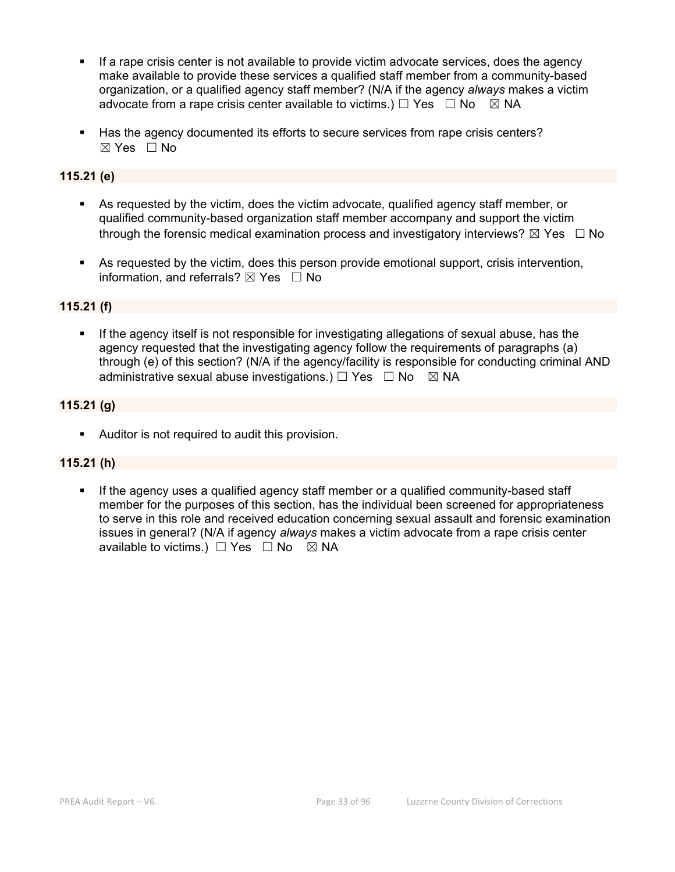- If a rape crisis center is not available to provide victim advocate services, does the agency make available to provide these services a qualified staff member from a community-based organization, or a qualified agency staff member? (N/A if the agency *always* makes a victim advocate from a rape crisis center available to victims.)  $\Box$  Yes  $\Box$  No  $\boxtimes$  NA
- Has the agency documented its efforts to secure services from rape crisis centers?  $\boxtimes$  Yes  $\Box$  No

# **115.21 (e)**

- As requested by the victim, does the victim advocate, qualified agency staff member, or qualified community-based organization staff member accompany and support the victim through the forensic medical examination process and investigatory interviews?  $\boxtimes$  Yes  $\Box$  No
- As requested by the victim, does this person provide emotional support, crisis intervention, information, and referrals?  $\boxtimes$  Yes  $\Box$  No

# **115.21 (f)**

 If the agency itself is not responsible for investigating allegations of sexual abuse, has the agency requested that the investigating agency follow the requirements of paragraphs (a) through (e) of this section? (N/A if the agency/facility is responsible for conducting criminal AND administrative sexual abuse investigations.)  $\Box$  Yes  $\Box$  No  $\boxtimes$  NA

# **115.21 (g)**

Auditor is not required to audit this provision.

#### **115.21 (h)**

 If the agency uses a qualified agency staff member or a qualified community-based staff member for the purposes of this section, has the individual been screened for appropriateness to serve in this role and received education concerning sexual assault and forensic examination issues in general? (N/A if agency *always* makes a victim advocate from a rape crisis center available to victims.)  $\Box$  Yes  $\Box$  No  $\boxtimes$  NA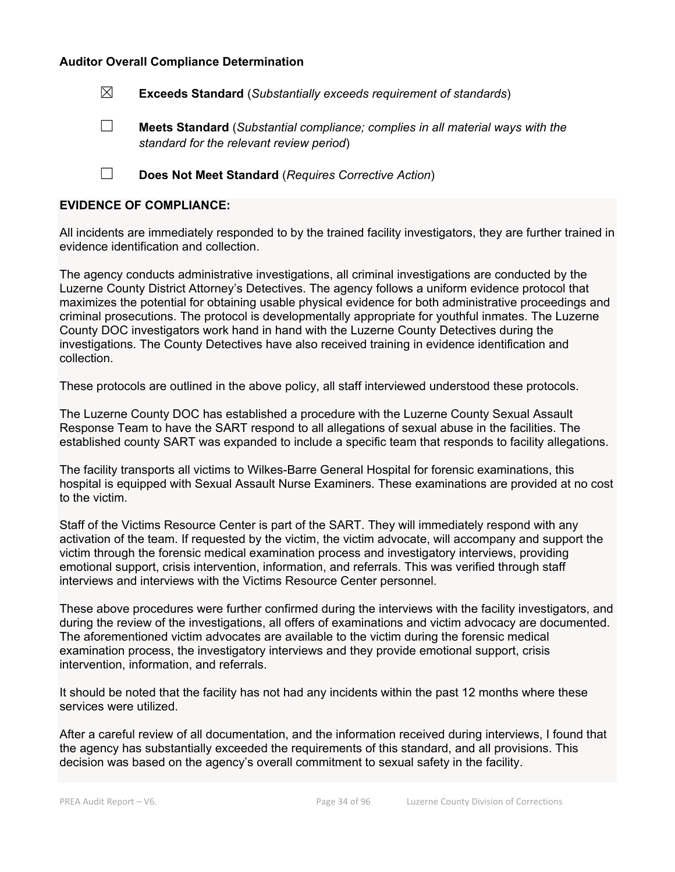#### **Auditor Overall Compliance Determination**

☒ **Exceeds Standard** (*Substantially exceeds requirement of standards*)

☐ **Meets Standard** (*Substantial compliance; complies in all material ways with the standard for the relevant review period*)

☐ **Does Not Meet Standard** (*Requires Corrective Action*)

#### **EVIDENCE OF COMPLIANCE:**

All incidents are immediately responded to by the trained facility investigators, they are further trained in evidence identification and collection.

The agency conducts administrative investigations, all criminal investigations are conducted by the Luzerne County District Attorney's Detectives. The agency follows a uniform evidence protocol that maximizes the potential for obtaining usable physical evidence for both administrative proceedings and criminal prosecutions. The protocol is developmentally appropriate for youthful inmates. The Luzerne County DOC investigators work hand in hand with the Luzerne County Detectives during the investigations. The County Detectives have also received training in evidence identification and collection.

These protocols are outlined in the above policy, all staff interviewed understood these protocols.

The Luzerne County DOC has established a procedure with the Luzerne County Sexual Assault Response Team to have the SART respond to all allegations of sexual abuse in the facilities. The established county SART was expanded to include a specific team that responds to facility allegations.

The facility transports all victims to Wilkes-Barre General Hospital for forensic examinations, this hospital is equipped with Sexual Assault Nurse Examiners. These examinations are provided at no cost to the victim.

Staff of the Victims Resource Center is part of the SART. They will immediately respond with any activation of the team. If requested by the victim, the victim advocate, will accompany and support the victim through the forensic medical examination process and investigatory interviews, providing emotional support, crisis intervention, information, and referrals. This was verified through staff interviews and interviews with the Victims Resource Center personnel.

These above procedures were further confirmed during the interviews with the facility investigators, and during the review of the investigations, all offers of examinations and victim advocacy are documented. The aforementioned victim advocates are available to the victim during the forensic medical examination process, the investigatory interviews and they provide emotional support, crisis intervention, information, and referrals.

It should be noted that the facility has not had any incidents within the past 12 months where these services were utilized.

After a careful review of all documentation, and the information received during interviews, I found that the agency has substantially exceeded the requirements of this standard, and all provisions. This decision was based on the agency's overall commitment to sexual safety in the facility.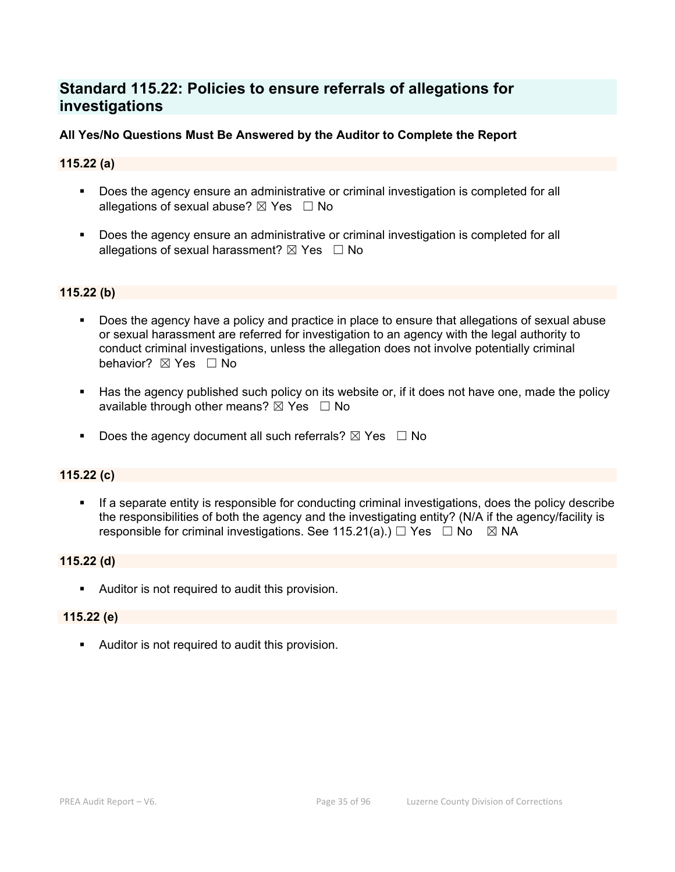# **Standard 115.22: Policies to ensure referrals of allegations for investigations**

# **All Yes/No Questions Must Be Answered by the Auditor to Complete the Report**

# **115.22 (a)**

- Does the agency ensure an administrative or criminal investigation is completed for all allegations of sexual abuse?  $\boxtimes$  Yes  $\Box$  No
- **Does the agency ensure an administrative or criminal investigation is completed for all** allegations of sexual harassment?  $\boxtimes$  Yes  $\Box$  No

# **115.22 (b)**

- **Does the agency have a policy and practice in place to ensure that allegations of sexual abuse** or sexual harassment are referred for investigation to an agency with the legal authority to conduct criminal investigations, unless the allegation does not involve potentially criminal behavior? **⊠** Yes □ No
- Has the agency published such policy on its website or, if it does not have one, made the policy available through other means?  $\boxtimes$  Yes  $\Box$  No
- Does the agency document all such referrals?  $\boxtimes$  Yes  $\Box$  No

#### **115.22 (c)**

 If a separate entity is responsible for conducting criminal investigations, does the policy describe the responsibilities of both the agency and the investigating entity? (N/A if the agency/facility is responsible for criminal investigations. See 115.21(a).)  $\Box$  Yes  $\Box$  No  $\boxtimes$  NA

#### **115.22 (d)**

Auditor is not required to audit this provision.

#### **115.22 (e)**

Auditor is not required to audit this provision.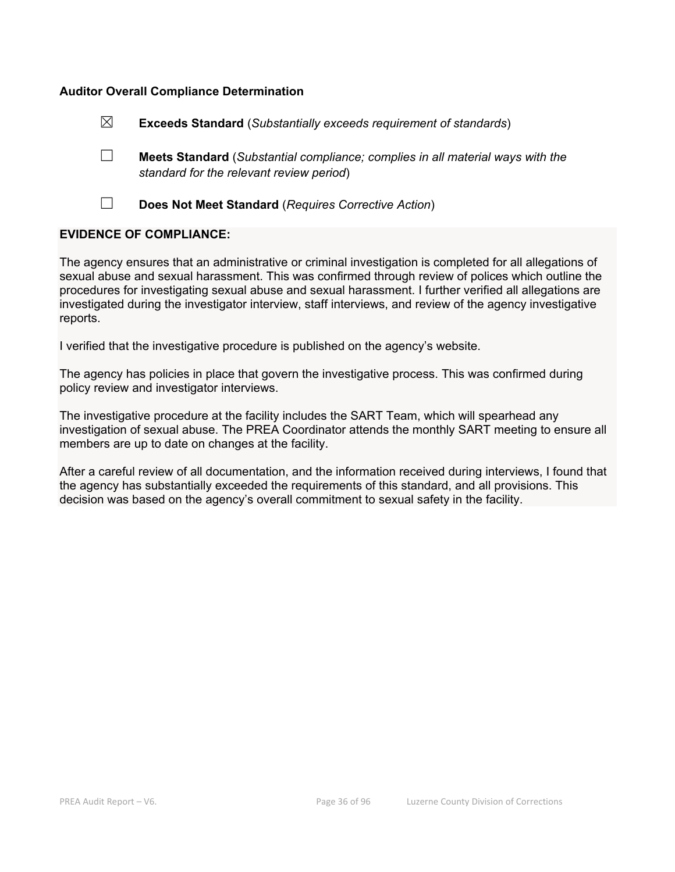# **Auditor Overall Compliance Determination**

| $\boxtimes$ | <b>Exceeds Standard</b> (Substantially exceeds requirement of standards)                                                          |
|-------------|-----------------------------------------------------------------------------------------------------------------------------------|
|             | <b>Meets Standard</b> (Substantial compliance; complies in all material ways with the<br>standard for the relevant review period) |
|             | Does Not Meet Standard (Requires Corrective Action)                                                                               |

#### **EVIDENCE OF COMPLIANCE:**

The agency ensures that an administrative or criminal investigation is completed for all allegations of sexual abuse and sexual harassment. This was confirmed through review of polices which outline the procedures for investigating sexual abuse and sexual harassment. I further verified all allegations are investigated during the investigator interview, staff interviews, and review of the agency investigative reports.

I verified that the investigative procedure is published on the agency's website.

The agency has policies in place that govern the investigative process. This was confirmed during policy review and investigator interviews.

The investigative procedure at the facility includes the SART Team, which will spearhead any investigation of sexual abuse. The PREA Coordinator attends the monthly SART meeting to ensure all members are up to date on changes at the facility.

After a careful review of all documentation, and the information received during interviews, I found that the agency has substantially exceeded the requirements of this standard, and all provisions. This decision was based on the agency's overall commitment to sexual safety in the facility.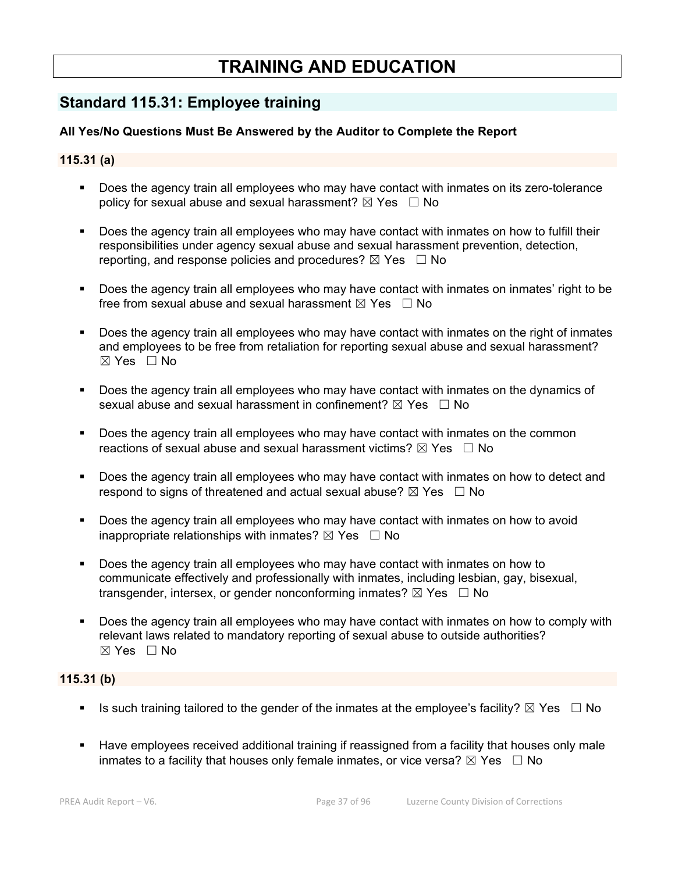# **TRAINING AND EDUCATION**

# **Standard 115.31: Employee training**

# **All Yes/No Questions Must Be Answered by the Auditor to Complete the Report**

# **115.31 (a)**

- Does the agency train all employees who may have contact with inmates on its zero-tolerance policy for sexual abuse and sexual harassment?  $\boxtimes$  Yes  $\Box$  No
- Does the agency train all employees who may have contact with inmates on how to fulfill their responsibilities under agency sexual abuse and sexual harassment prevention, detection, reporting, and response policies and procedures?  $\boxtimes$  Yes  $\Box$  No
- Does the agency train all employees who may have contact with inmates on inmates' right to be free from sexual abuse and sexual harassment  $\boxtimes$  Yes  $\Box$  No
- Does the agency train all employees who may have contact with inmates on the right of inmates and employees to be free from retaliation for reporting sexual abuse and sexual harassment?  $\boxtimes$  Yes  $\Box$  No
- Does the agency train all employees who may have contact with inmates on the dynamics of sexual abuse and sexual harassment in confinement?  $\boxtimes$  Yes  $\Box$  No
- Does the agency train all employees who may have contact with inmates on the common reactions of sexual abuse and sexual harassment victims?  $\boxtimes$  Yes  $\Box$  No
- Does the agency train all employees who may have contact with inmates on how to detect and respond to signs of threatened and actual sexual abuse?  $\boxtimes$  Yes  $\Box$  No
- Does the agency train all employees who may have contact with inmates on how to avoid inappropriate relationships with inmates?  $\boxtimes$  Yes  $\Box$  No
- Does the agency train all employees who may have contact with inmates on how to communicate effectively and professionally with inmates, including lesbian, gay, bisexual, transgender, intersex, or gender nonconforming inmates?  $\boxtimes$  Yes  $\Box$  No
- Does the agency train all employees who may have contact with inmates on how to comply with relevant laws related to mandatory reporting of sexual abuse to outside authorities?  $\boxtimes$  Yes  $\Box$  No

# **115.31 (b)**

- Is such training tailored to the gender of the inmates at the employee's facility?  $\boxtimes$  Yes  $\Box$  No
- Have employees received additional training if reassigned from a facility that houses only male inmates to a facility that houses only female inmates, or vice versa?  $\boxtimes$  Yes  $\Box$  No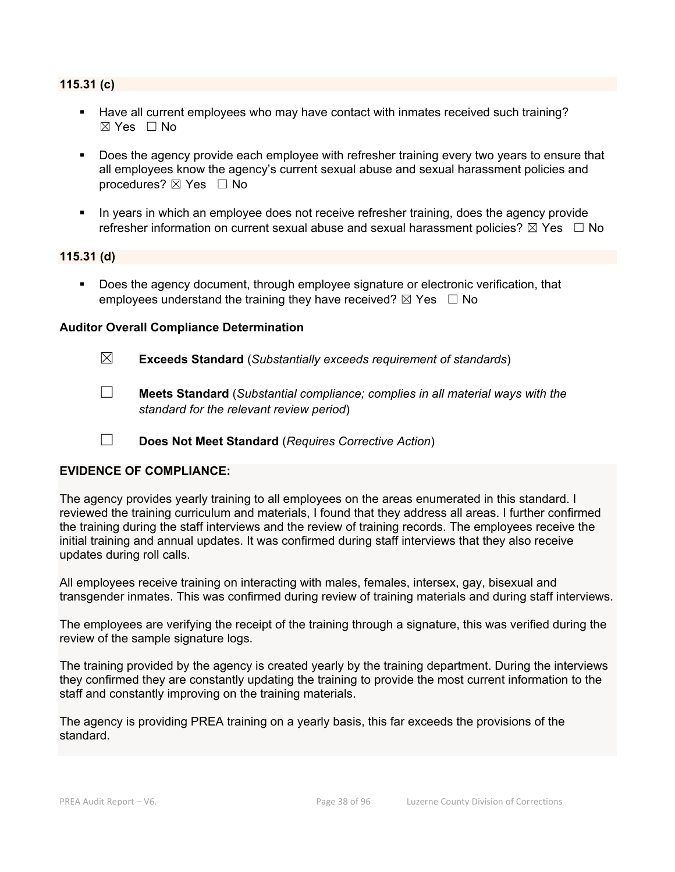# **115.31 (c)**

- Have all current employees who may have contact with inmates received such training? ☒ Yes ☐ No
- Does the agency provide each employee with refresher training every two years to ensure that all employees know the agency's current sexual abuse and sexual harassment policies and procedures?  $\boxtimes$  Yes  $\Box$  No
- In years in which an employee does not receive refresher training, does the agency provide refresher information on current sexual abuse and sexual harassment policies?  $\boxtimes$  Yes  $\Box$  No

#### **115.31 (d)**

**Does the agency document, through employee signature or electronic verification, that** employees understand the training they have received?  $\boxtimes$  Yes  $\Box$  No

#### **Auditor Overall Compliance Determination**

- ☒ **Exceeds Standard** (*Substantially exceeds requirement of standards*)
- ☐ **Meets Standard** (*Substantial compliance; complies in all material ways with the standard for the relevant review period*)
- ☐ **Does Not Meet Standard** (*Requires Corrective Action*)

# **EVIDENCE OF COMPLIANCE:**

The agency provides yearly training to all employees on the areas enumerated in this standard. I reviewed the training curriculum and materials, I found that they address all areas. I further confirmed the training during the staff interviews and the review of training records. The employees receive the initial training and annual updates. It was confirmed during staff interviews that they also receive updates during roll calls.

All employees receive training on interacting with males, females, intersex, gay, bisexual and transgender inmates. This was confirmed during review of training materials and during staff interviews.

The employees are verifying the receipt of the training through a signature, this was verified during the review of the sample signature logs.

The training provided by the agency is created yearly by the training department. During the interviews they confirmed they are constantly updating the training to provide the most current information to the staff and constantly improving on the training materials.

The agency is providing PREA training on a yearly basis, this far exceeds the provisions of the standard.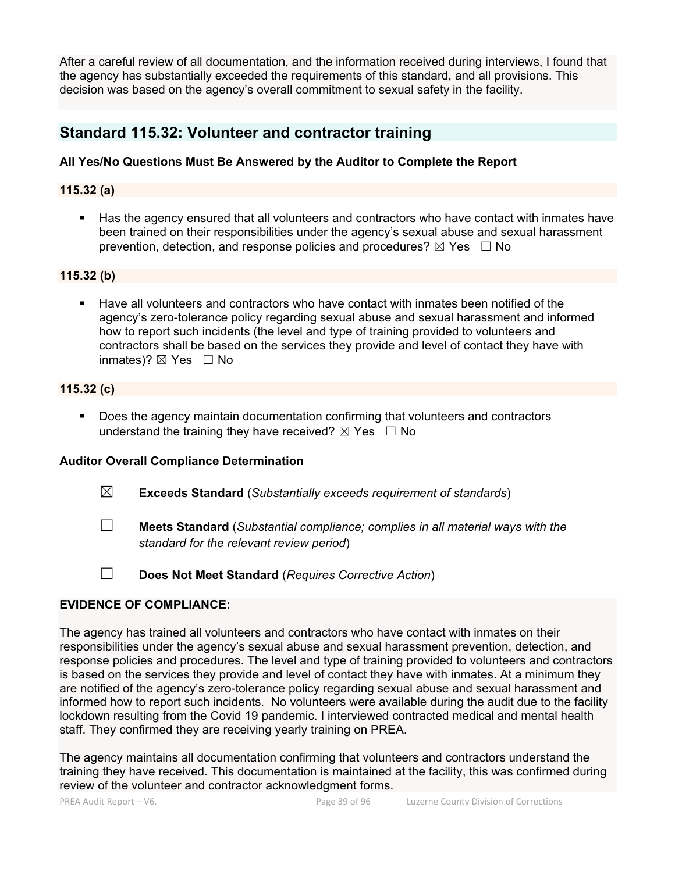After a careful review of all documentation, and the information received during interviews, I found that the agency has substantially exceeded the requirements of this standard, and all provisions. This decision was based on the agency's overall commitment to sexual safety in the facility.

# **Standard 115.32: Volunteer and contractor training**

# **All Yes/No Questions Must Be Answered by the Auditor to Complete the Report**

# **115.32 (a)**

 Has the agency ensured that all volunteers and contractors who have contact with inmates have been trained on their responsibilities under the agency's sexual abuse and sexual harassment prevention, detection, and response policies and procedures?  $\boxtimes$  Yes  $\Box$  No

# **115.32 (b)**

 Have all volunteers and contractors who have contact with inmates been notified of the agency's zero-tolerance policy regarding sexual abuse and sexual harassment and informed how to report such incidents (the level and type of training provided to volunteers and contractors shall be based on the services they provide and level of contact they have with inmates)?  $\boxtimes$  Yes  $\Box$  No

# **115.32 (c)**

**Does the agency maintain documentation confirming that volunteers and contractors** understand the training they have received?  $\boxtimes$  Yes  $\Box$  No

# **Auditor Overall Compliance Determination**

- ☒ **Exceeds Standard** (*Substantially exceeds requirement of standards*)
- ☐ **Meets Standard** (*Substantial compliance; complies in all material ways with the standard for the relevant review period*)
- ☐ **Does Not Meet Standard** (*Requires Corrective Action*)

# **EVIDENCE OF COMPLIANCE:**

The agency has trained all volunteers and contractors who have contact with inmates on their responsibilities under the agency's sexual abuse and sexual harassment prevention, detection, and response policies and procedures. The level and type of training provided to volunteers and contractors is based on the services they provide and level of contact they have with inmates. At a minimum they are notified of the agency's zero-tolerance policy regarding sexual abuse and sexual harassment and informed how to report such incidents. No volunteers were available during the audit due to the facility lockdown resulting from the Covid 19 pandemic. I interviewed contracted medical and mental health staff. They confirmed they are receiving yearly training on PREA.

The agency maintains all documentation confirming that volunteers and contractors understand the training they have received. This documentation is maintained at the facility, this was confirmed during review of the volunteer and contractor acknowledgment forms.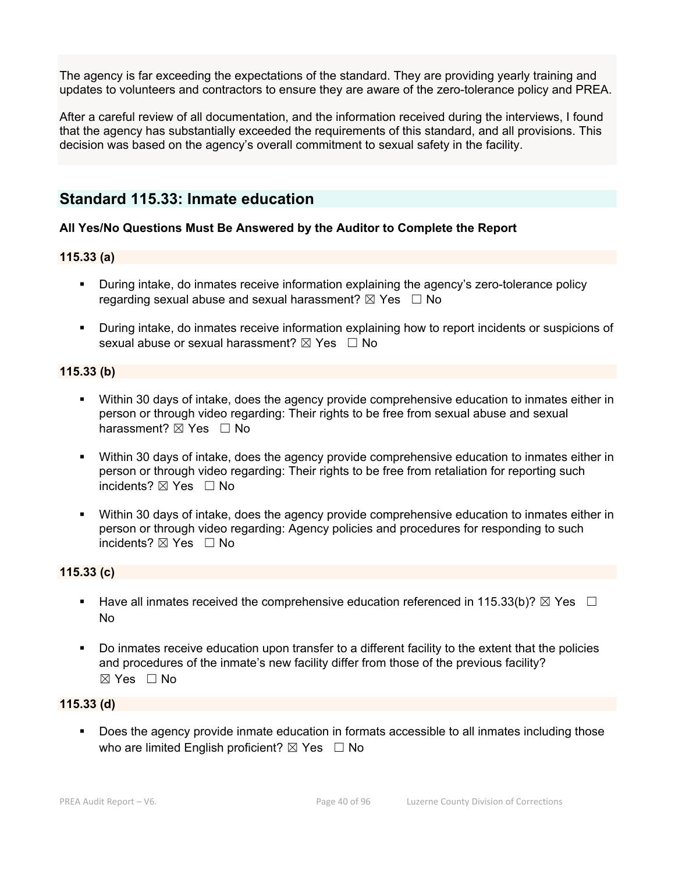The agency is far exceeding the expectations of the standard. They are providing yearly training and updates to volunteers and contractors to ensure they are aware of the zero-tolerance policy and PREA.

After a careful review of all documentation, and the information received during the interviews, I found that the agency has substantially exceeded the requirements of this standard, and all provisions. This decision was based on the agency's overall commitment to sexual safety in the facility.

# **Standard 115.33: Inmate education**

# **All Yes/No Questions Must Be Answered by the Auditor to Complete the Report**

#### **115.33 (a)**

- **During intake, do inmates receive information explaining the agency's zero-tolerance policy** regarding sexual abuse and sexual harassment?  $\boxtimes$  Yes  $\Box$  No
- During intake, do inmates receive information explaining how to report incidents or suspicions of sexual abuse or sexual harassment?  $\boxtimes$  Yes  $\Box$  No

#### **115.33 (b)**

- Within 30 days of intake, does the agency provide comprehensive education to inmates either in person or through video regarding: Their rights to be free from sexual abuse and sexual harassment?  $\boxtimes$  Yes  $\Box$  No
- Within 30 days of intake, does the agency provide comprehensive education to inmates either in person or through video regarding: Their rights to be free from retaliation for reporting such incidents?  $\boxtimes$  Yes  $\Box$  No
- Within 30 days of intake, does the agency provide comprehensive education to inmates either in person or through video regarding: Agency policies and procedures for responding to such incidents?  $\boxtimes$  Yes  $\Box$  No

# **115.33 (c)**

- Have all inmates received the comprehensive education referenced in 115.33(b)?  $\boxtimes$  Yes  $\Box$ No
- Do inmates receive education upon transfer to a different facility to the extent that the policies and procedures of the inmate's new facility differ from those of the previous facility? ☒ Yes ☐ No

### **115.33 (d)**

**Does the agency provide inmate education in formats accessible to all inmates including those** who are limited English proficient?  $\boxtimes$  Yes  $\Box$  No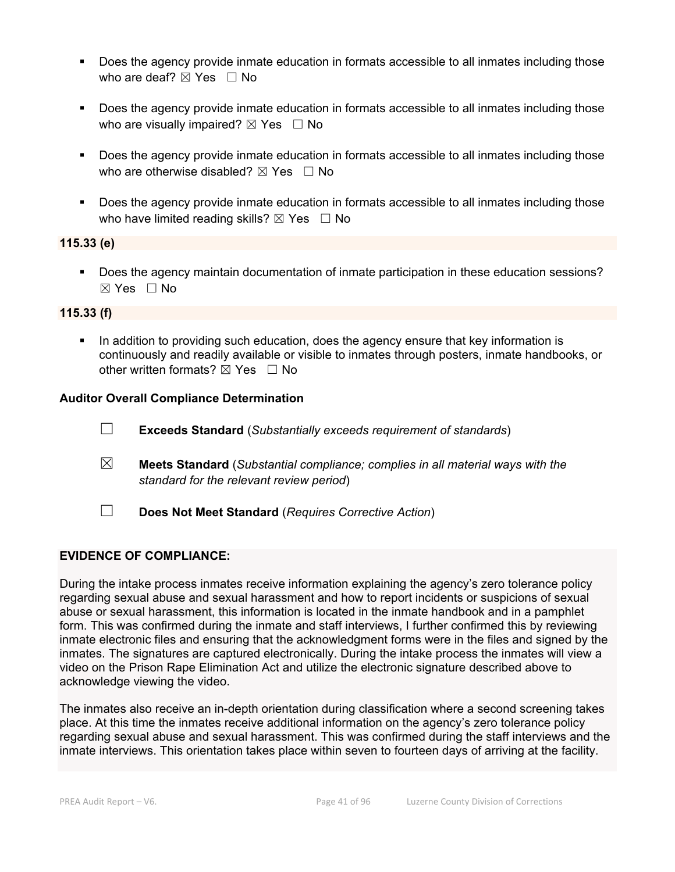- Does the agency provide inmate education in formats accessible to all inmates including those who are deaf?  $\boxtimes$  Yes  $\Box$  No
- **Does the agency provide inmate education in formats accessible to all inmates including those** who are visually impaired?  $\boxtimes$  Yes  $\Box$  No
- Does the agency provide inmate education in formats accessible to all inmates including those who are otherwise disabled?  $\boxtimes$  Yes  $\Box$  No
- Does the agency provide inmate education in formats accessible to all inmates including those who have limited reading skills?  $\boxtimes$  Yes  $\Box$  No

# **115.33 (e)**

 Does the agency maintain documentation of inmate participation in these education sessions?  $\boxtimes$  Yes  $\Box$  No

# **115.33 (f)**

 In addition to providing such education, does the agency ensure that key information is continuously and readily available or visible to inmates through posters, inmate handbooks, or other written formats?  $\boxtimes$  Yes  $\Box$  No

#### **Auditor Overall Compliance Determination**

- ☐ **Exceeds Standard** (*Substantially exceeds requirement of standards*)
- ☒ **Meets Standard** (*Substantial compliance; complies in all material ways with the standard for the relevant review period*)
- ☐ **Does Not Meet Standard** (*Requires Corrective Action*)

#### **EVIDENCE OF COMPLIANCE:**

During the intake process inmates receive information explaining the agency's zero tolerance policy regarding sexual abuse and sexual harassment and how to report incidents or suspicions of sexual abuse or sexual harassment, this information is located in the inmate handbook and in a pamphlet form. This was confirmed during the inmate and staff interviews, I further confirmed this by reviewing inmate electronic files and ensuring that the acknowledgment forms were in the files and signed by the inmates. The signatures are captured electronically. During the intake process the inmates will view a video on the Prison Rape Elimination Act and utilize the electronic signature described above to acknowledge viewing the video.

The inmates also receive an in-depth orientation during classification where a second screening takes place. At this time the inmates receive additional information on the agency's zero tolerance policy regarding sexual abuse and sexual harassment. This was confirmed during the staff interviews and the inmate interviews. This orientation takes place within seven to fourteen days of arriving at the facility.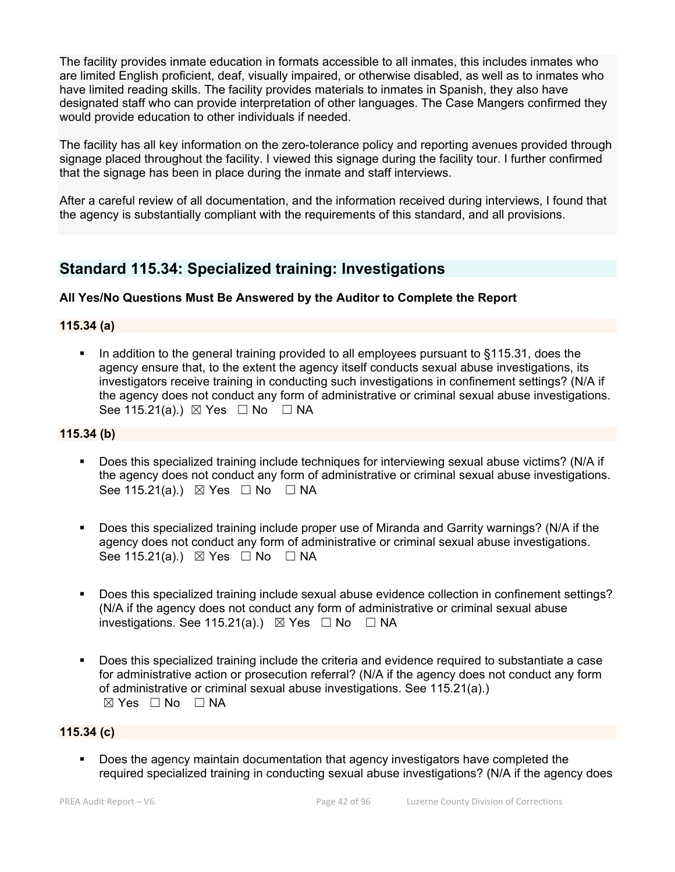The facility provides inmate education in formats accessible to all inmates, this includes inmates who are limited English proficient, deaf, visually impaired, or otherwise disabled, as well as to inmates who have limited reading skills. The facility provides materials to inmates in Spanish, they also have designated staff who can provide interpretation of other languages. The Case Mangers confirmed they would provide education to other individuals if needed.

The facility has all key information on the zero-tolerance policy and reporting avenues provided through signage placed throughout the facility. I viewed this signage during the facility tour. I further confirmed that the signage has been in place during the inmate and staff interviews.

After a careful review of all documentation, and the information received during interviews, I found that the agency is substantially compliant with the requirements of this standard, and all provisions.

# **Standard 115.34: Specialized training: Investigations**

# **All Yes/No Questions Must Be Answered by the Auditor to Complete the Report**

#### **115.34 (a)**

 In addition to the general training provided to all employees pursuant to §115.31, does the agency ensure that, to the extent the agency itself conducts sexual abuse investigations, its investigators receive training in conducting such investigations in confinement settings? (N/A if the agency does not conduct any form of administrative or criminal sexual abuse investigations. See 115.21(a).)  $\boxtimes$  Yes  $\Box$  No  $\Box$  NA

### **115.34 (b)**

- Does this specialized training include techniques for interviewing sexual abuse victims? (N/A if the agency does not conduct any form of administrative or criminal sexual abuse investigations. See 115.21(a).)  $\boxtimes$  Yes  $\Box$  No  $\Box$  NA
- Does this specialized training include proper use of Miranda and Garrity warnings? (N/A if the agency does not conduct any form of administrative or criminal sexual abuse investigations. See 115.21(a).)  $\boxtimes$  Yes  $\Box$  No  $\Box$  NA
- Does this specialized training include sexual abuse evidence collection in confinement settings? (N/A if the agency does not conduct any form of administrative or criminal sexual abuse investigations. See 115.21(a).)  $\boxtimes$  Yes  $\Box$  No  $\Box$  NA
- Does this specialized training include the criteria and evidence required to substantiate a case for administrative action or prosecution referral? (N/A if the agency does not conduct any form of administrative or criminal sexual abuse investigations. See 115.21(a).) ☒ Yes ☐ No ☐ NA

#### **115.34 (c)**

 Does the agency maintain documentation that agency investigators have completed the required specialized training in conducting sexual abuse investigations? (N/A if the agency does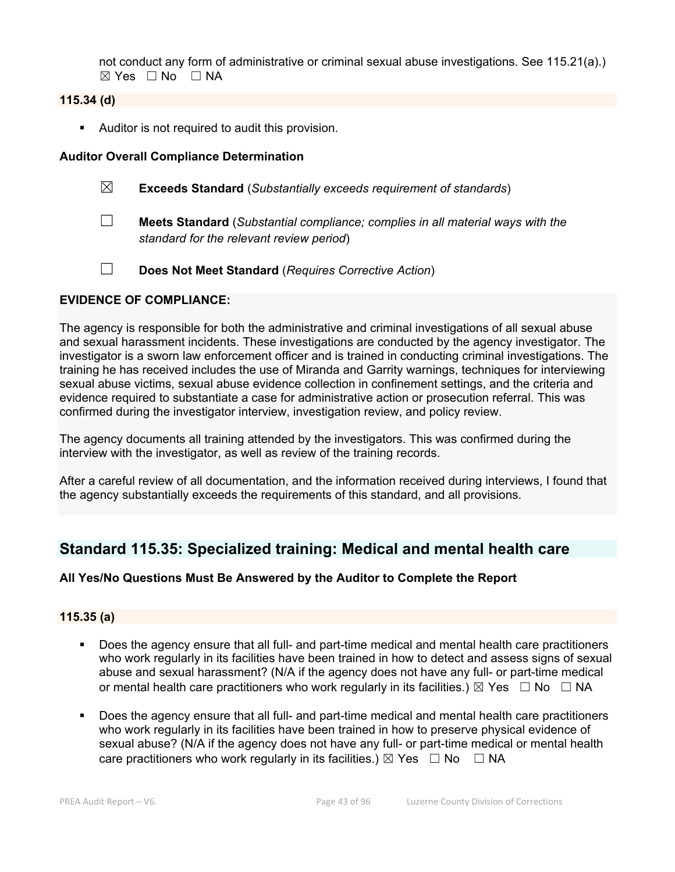not conduct any form of administrative or criminal sexual abuse investigations. See 115.21(a).)  $\boxtimes$  Yes  $\Box$  No  $\Box$  NA

# **115.34 (d)**

Auditor is not required to audit this provision.

### **Auditor Overall Compliance Determination**

- ☒ **Exceeds Standard** (*Substantially exceeds requirement of standards*)
- ☐ **Meets Standard** (*Substantial compliance; complies in all material ways with the standard for the relevant review period*)
- ☐ **Does Not Meet Standard** (*Requires Corrective Action*)

#### **EVIDENCE OF COMPLIANCE:**

The agency is responsible for both the administrative and criminal investigations of all sexual abuse and sexual harassment incidents. These investigations are conducted by the agency investigator. The investigator is a sworn law enforcement officer and is trained in conducting criminal investigations. The training he has received includes the use of Miranda and Garrity warnings, techniques for interviewing sexual abuse victims, sexual abuse evidence collection in confinement settings, and the criteria and evidence required to substantiate a case for administrative action or prosecution referral. This was confirmed during the investigator interview, investigation review, and policy review.

The agency documents all training attended by the investigators. This was confirmed during the interview with the investigator, as well as review of the training records.

After a careful review of all documentation, and the information received during interviews, I found that the agency substantially exceeds the requirements of this standard, and all provisions.

# **Standard 115.35: Specialized training: Medical and mental health care**

# **All Yes/No Questions Must Be Answered by the Auditor to Complete the Report**

#### **115.35 (a)**

- Does the agency ensure that all full- and part-time medical and mental health care practitioners who work regularly in its facilities have been trained in how to detect and assess signs of sexual abuse and sexual harassment? (N/A if the agency does not have any full- or part-time medical or mental health care practitioners who work regularly in its facilities.)  $\boxtimes$  Yes  $\Box$  No  $\Box$  NA
- Does the agency ensure that all full- and part-time medical and mental health care practitioners who work regularly in its facilities have been trained in how to preserve physical evidence of sexual abuse? (N/A if the agency does not have any full- or part-time medical or mental health care practitioners who work regularly in its facilities.)  $\boxtimes$  Yes  $\Box$  No  $\Box$  NA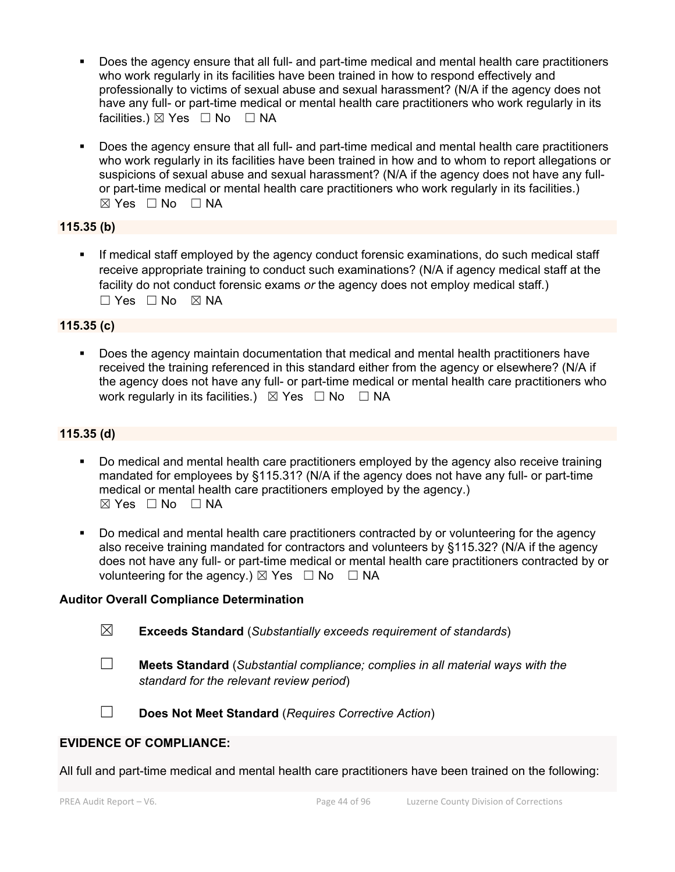- Does the agency ensure that all full- and part-time medical and mental health care practitioners who work regularly in its facilities have been trained in how to respond effectively and professionally to victims of sexual abuse and sexual harassment? (N/A if the agency does not have any full- or part-time medical or mental health care practitioners who work regularly in its facilities.)  $\boxtimes$  Yes  $\Box$  No  $\Box$  NA
- Does the agency ensure that all full- and part-time medical and mental health care practitioners who work regularly in its facilities have been trained in how and to whom to report allegations or suspicions of sexual abuse and sexual harassment? (N/A if the agency does not have any fullor part-time medical or mental health care practitioners who work regularly in its facilities.)  $\boxtimes$  Yes  $\Box$  No  $\Box$  NA

# **115.35 (b)**

 If medical staff employed by the agency conduct forensic examinations, do such medical staff receive appropriate training to conduct such examinations? (N/A if agency medical staff at the facility do not conduct forensic exams *or* the agency does not employ medical staff.)  $\Box$  Yes  $\Box$  No  $\boxtimes$  NA

#### **115.35 (c)**

 Does the agency maintain documentation that medical and mental health practitioners have received the training referenced in this standard either from the agency or elsewhere? (N/A if the agency does not have any full- or part-time medical or mental health care practitioners who work regularly in its facilities.)  $\boxtimes$  Yes  $\Box$  No  $\Box$  NA

### **115.35 (d)**

- Do medical and mental health care practitioners employed by the agency also receive training mandated for employees by §115.31? (N/A if the agency does not have any full- or part-time medical or mental health care practitioners employed by the agency.)  $\boxtimes$  Yes  $\Box$  No  $\Box$  NA
- Do medical and mental health care practitioners contracted by or volunteering for the agency also receive training mandated for contractors and volunteers by §115.32? (N/A if the agency does not have any full- or part-time medical or mental health care practitioners contracted by or volunteering for the agency.)  $\boxtimes$  Yes  $\Box$  No  $\Box$  NA

#### **Auditor Overall Compliance Determination**

- ☒ **Exceeds Standard** (*Substantially exceeds requirement of standards*)
- 

☐ **Meets Standard** (*Substantial compliance; complies in all material ways with the standard for the relevant review period*)

☐ **Does Not Meet Standard** (*Requires Corrective Action*)

#### **EVIDENCE OF COMPLIANCE:**

All full and part-time medical and mental health care practitioners have been trained on the following: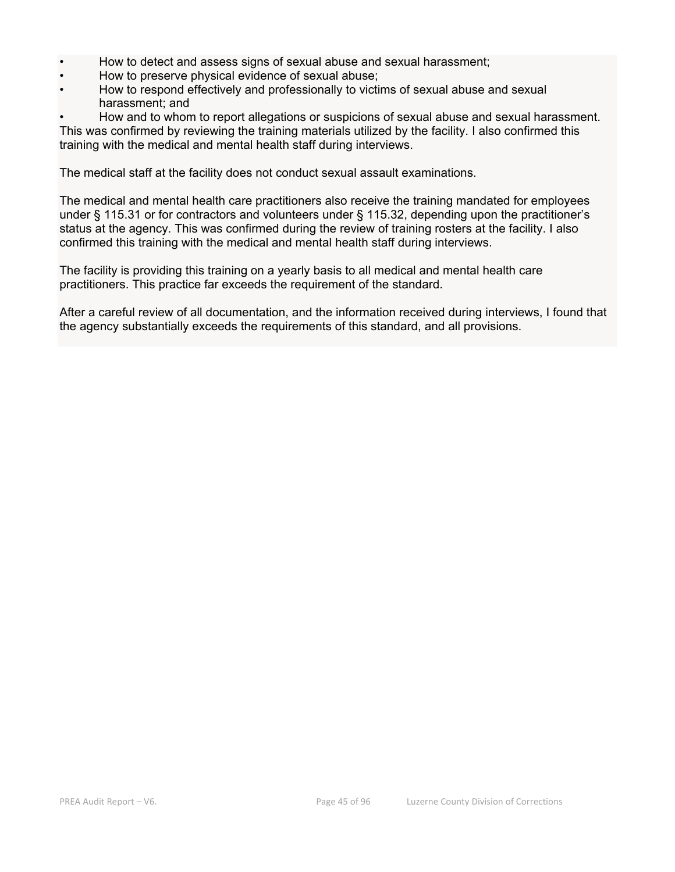- How to detect and assess signs of sexual abuse and sexual harassment;
- How to preserve physical evidence of sexual abuse;
- How to respond effectively and professionally to victims of sexual abuse and sexual harassment; and
- How and to whom to report allegations or suspicions of sexual abuse and sexual harassment. This was confirmed by reviewing the training materials utilized by the facility. I also confirmed this training with the medical and mental health staff during interviews.

The medical staff at the facility does not conduct sexual assault examinations.

The medical and mental health care practitioners also receive the training mandated for employees under § 115.31 or for contractors and volunteers under § 115.32, depending upon the practitioner's status at the agency. This was confirmed during the review of training rosters at the facility. I also confirmed this training with the medical and mental health staff during interviews.

The facility is providing this training on a yearly basis to all medical and mental health care practitioners. This practice far exceeds the requirement of the standard.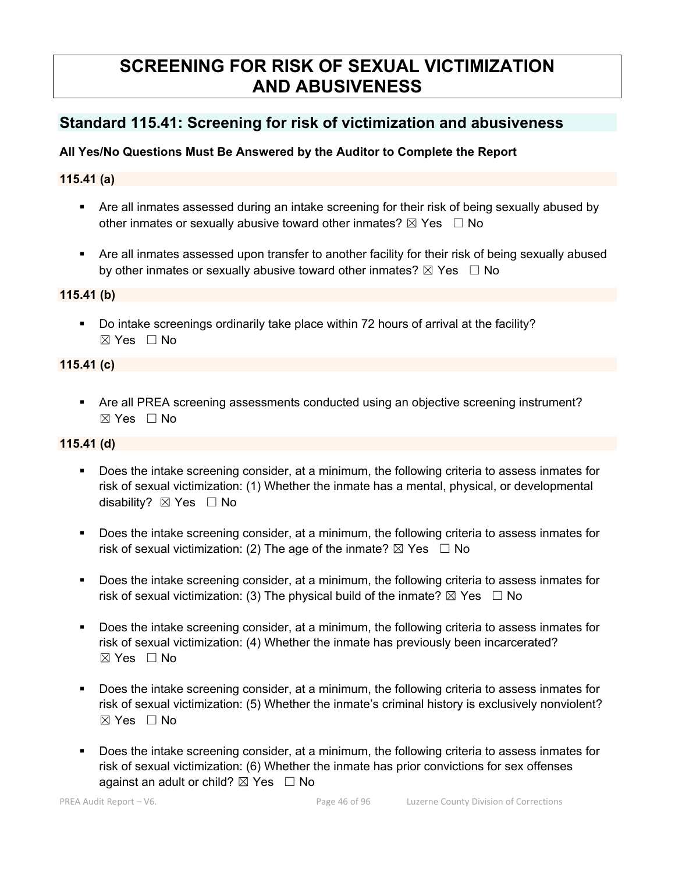# **SCREENING FOR RISK OF SEXUAL VICTIMIZATION AND ABUSIVENESS**

# **Standard 115.41: Screening for risk of victimization and abusiveness**

# **All Yes/No Questions Must Be Answered by the Auditor to Complete the Report**

# **115.41 (a)**

- Are all inmates assessed during an intake screening for their risk of being sexually abused by other inmates or sexually abusive toward other inmates?  $\boxtimes$  Yes  $\Box$  No
- Are all inmates assessed upon transfer to another facility for their risk of being sexually abused by other inmates or sexually abusive toward other inmates?  $\boxtimes$  Yes  $\Box$  No

# **115.41 (b)**

 Do intake screenings ordinarily take place within 72 hours of arrival at the facility? ☒ Yes ☐ No

# **115.41 (c)**

 Are all PREA screening assessments conducted using an objective screening instrument? ☒ Yes ☐ No

# **115.41 (d)**

- Does the intake screening consider, at a minimum, the following criteria to assess inmates for risk of sexual victimization: (1) Whether the inmate has a mental, physical, or developmental disability? ⊠ Yes □ No
- Does the intake screening consider, at a minimum, the following criteria to assess inmates for risk of sexual victimization: (2) The age of the inmate?  $\boxtimes$  Yes  $\Box$  No
- Does the intake screening consider, at a minimum, the following criteria to assess inmates for risk of sexual victimization: (3) The physical build of the inmate?  $\boxtimes$  Yes  $\Box$  No
- Does the intake screening consider, at a minimum, the following criteria to assess inmates for risk of sexual victimization: (4) Whether the inmate has previously been incarcerated?  $\boxtimes$  Yes  $\Box$  No
- Does the intake screening consider, at a minimum, the following criteria to assess inmates for risk of sexual victimization: (5) Whether the inmate's criminal history is exclusively nonviolent? ☒ Yes ☐ No
- Does the intake screening consider, at a minimum, the following criteria to assess inmates for risk of sexual victimization: (6) Whether the inmate has prior convictions for sex offenses against an adult or child?  $\boxtimes$  Yes  $\Box$  No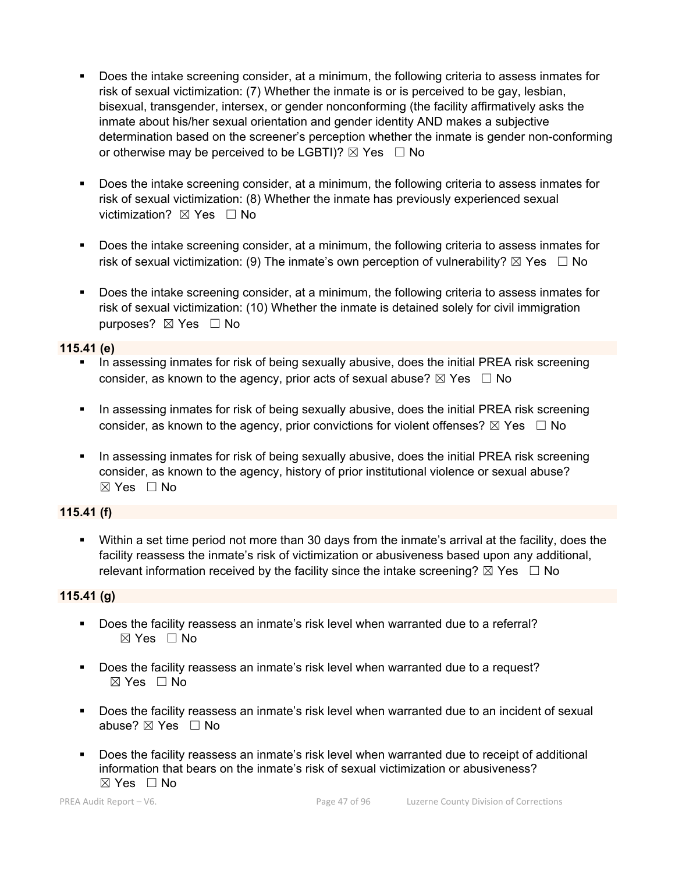- Does the intake screening consider, at a minimum, the following criteria to assess inmates for risk of sexual victimization: (7) Whether the inmate is or is perceived to be gay, lesbian, bisexual, transgender, intersex, or gender nonconforming (the facility affirmatively asks the inmate about his/her sexual orientation and gender identity AND makes a subjective determination based on the screener's perception whether the inmate is gender non-conforming or otherwise may be perceived to be LGBTI)?  $\boxtimes$  Yes  $\Box$  No
- Does the intake screening consider, at a minimum, the following criteria to assess inmates for risk of sexual victimization: (8) Whether the inmate has previously experienced sexual victimization? **⊠** Yes □ No
- Does the intake screening consider, at a minimum, the following criteria to assess inmates for risk of sexual victimization: (9) The inmate's own perception of vulnerability?  $\boxtimes$  Yes  $\Box$  No
- Does the intake screening consider, at a minimum, the following criteria to assess inmates for risk of sexual victimization: (10) Whether the inmate is detained solely for civil immigration purposes? ⊠ Yes □ No

#### **115.41 (e)**

- In assessing inmates for risk of being sexually abusive, does the initial PREA risk screening consider, as known to the agency, prior acts of sexual abuse?  $\boxtimes$  Yes  $\Box$  No
- **In assessing inmates for risk of being sexually abusive, does the initial PREA risk screening** consider, as known to the agency, prior convictions for violent offenses?  $\boxtimes$  Yes  $\Box$  No
- In assessing inmates for risk of being sexually abusive, does the initial PREA risk screening consider, as known to the agency, history of prior institutional violence or sexual abuse?  $\boxtimes$  Yes  $\Box$  No

# **115.41 (f)**

 Within a set time period not more than 30 days from the inmate's arrival at the facility, does the facility reassess the inmate's risk of victimization or abusiveness based upon any additional, relevant information received by the facility since the intake screening?  $\boxtimes$  Yes  $\Box$  No

# **115.41 (g)**

- Does the facility reassess an inmate's risk level when warranted due to a referral? ☒ Yes ☐ No
- Does the facility reassess an inmate's risk level when warranted due to a request?  $\boxtimes$  Yes  $\Box$  No
- Does the facility reassess an inmate's risk level when warranted due to an incident of sexual abuse? ☒ Yes ☐ No
- Does the facility reassess an inmate's risk level when warranted due to receipt of additional information that bears on the inmate's risk of sexual victimization or abusiveness?  $\boxtimes$  Yes  $\Box$  No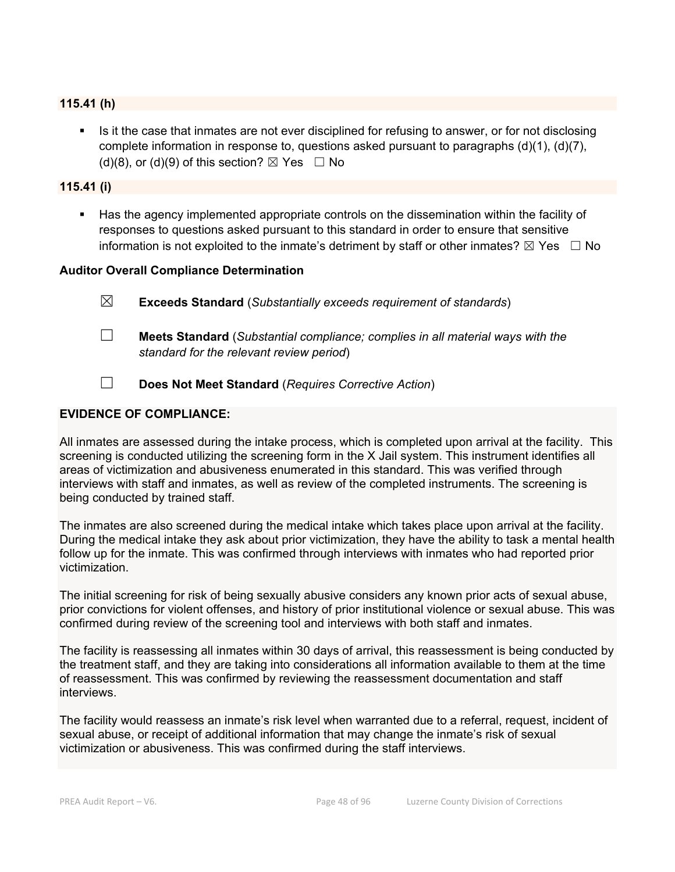#### **115.41 (h)**

Is it the case that inmates are not ever disciplined for refusing to answer, or for not disclosing complete information in response to, questions asked pursuant to paragraphs  $(d)(1)$ ,  $(d)(7)$ , (d)(8), or (d)(9) of this section?  $\boxtimes$  Yes  $\Box$  No

#### **115.41 (i)**

 Has the agency implemented appropriate controls on the dissemination within the facility of responses to questions asked pursuant to this standard in order to ensure that sensitive information is not exploited to the inmate's detriment by staff or other inmates?  $\boxtimes$  Yes  $\Box$  No

#### **Auditor Overall Compliance Determination**

- ☒ **Exceeds Standard** (*Substantially exceeds requirement of standards*)
- ☐ **Meets Standard** (*Substantial compliance; complies in all material ways with the standard for the relevant review period*)
- ☐ **Does Not Meet Standard** (*Requires Corrective Action*)

#### **EVIDENCE OF COMPLIANCE:**

All inmates are assessed during the intake process, which is completed upon arrival at the facility. This screening is conducted utilizing the screening form in the X Jail system. This instrument identifies all areas of victimization and abusiveness enumerated in this standard. This was verified through interviews with staff and inmates, as well as review of the completed instruments. The screening is being conducted by trained staff.

The inmates are also screened during the medical intake which takes place upon arrival at the facility. During the medical intake they ask about prior victimization, they have the ability to task a mental health follow up for the inmate. This was confirmed through interviews with inmates who had reported prior victimization.

The initial screening for risk of being sexually abusive considers any known prior acts of sexual abuse, prior convictions for violent offenses, and history of prior institutional violence or sexual abuse. This was confirmed during review of the screening tool and interviews with both staff and inmates.

The facility is reassessing all inmates within 30 days of arrival, this reassessment is being conducted by the treatment staff, and they are taking into considerations all information available to them at the time of reassessment. This was confirmed by reviewing the reassessment documentation and staff interviews.

The facility would reassess an inmate's risk level when warranted due to a referral, request, incident of sexual abuse, or receipt of additional information that may change the inmate's risk of sexual victimization or abusiveness. This was confirmed during the staff interviews.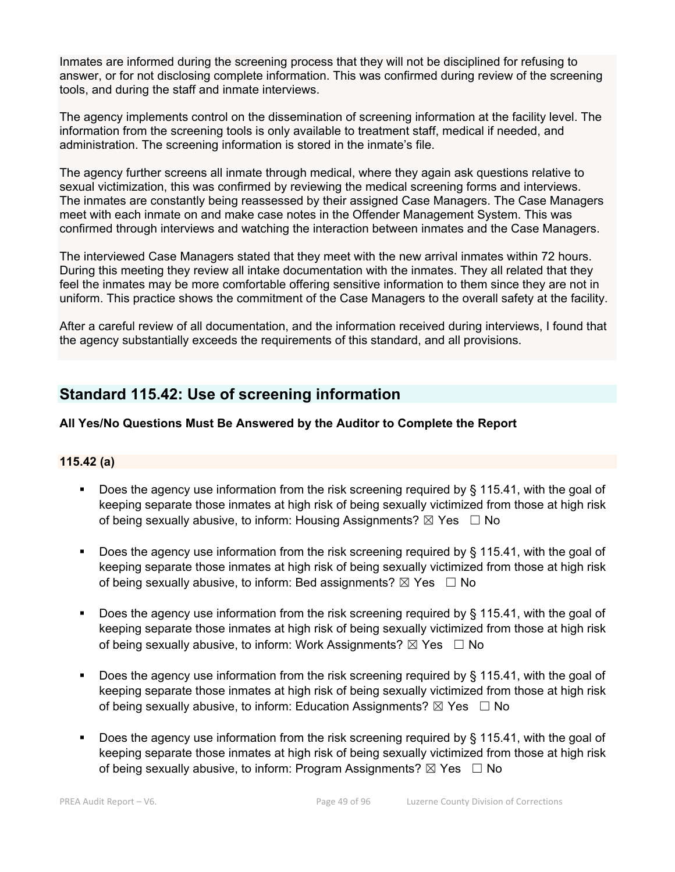Inmates are informed during the screening process that they will not be disciplined for refusing to answer, or for not disclosing complete information. This was confirmed during review of the screening tools, and during the staff and inmate interviews.

The agency implements control on the dissemination of screening information at the facility level. The information from the screening tools is only available to treatment staff, medical if needed, and administration. The screening information is stored in the inmate's file.

The agency further screens all inmate through medical, where they again ask questions relative to sexual victimization, this was confirmed by reviewing the medical screening forms and interviews. The inmates are constantly being reassessed by their assigned Case Managers. The Case Managers meet with each inmate on and make case notes in the Offender Management System. This was confirmed through interviews and watching the interaction between inmates and the Case Managers.

The interviewed Case Managers stated that they meet with the new arrival inmates within 72 hours. During this meeting they review all intake documentation with the inmates. They all related that they feel the inmates may be more comfortable offering sensitive information to them since they are not in uniform. This practice shows the commitment of the Case Managers to the overall safety at the facility.

After a careful review of all documentation, and the information received during interviews, I found that the agency substantially exceeds the requirements of this standard, and all provisions.

# **Standard 115.42: Use of screening information**

# **All Yes/No Questions Must Be Answered by the Auditor to Complete the Report**

#### **115.42 (a)**

- Does the agency use information from the risk screening required by § 115.41, with the goal of keeping separate those inmates at high risk of being sexually victimized from those at high risk of being sexually abusive, to inform: Housing Assignments?  $\boxtimes$  Yes  $\Box$  No
- Does the agency use information from the risk screening required by § 115.41, with the goal of keeping separate those inmates at high risk of being sexually victimized from those at high risk of being sexually abusive, to inform: Bed assignments?  $\boxtimes$  Yes  $\Box$  No
- Does the agency use information from the risk screening required by § 115.41, with the goal of keeping separate those inmates at high risk of being sexually victimized from those at high risk of being sexually abusive, to inform: Work Assignments?  $\boxtimes$  Yes  $\Box$  No
- Does the agency use information from the risk screening required by § 115.41, with the goal of keeping separate those inmates at high risk of being sexually victimized from those at high risk of being sexually abusive, to inform: Education Assignments?  $\boxtimes$  Yes  $\Box$  No
- Does the agency use information from the risk screening required by § 115.41, with the goal of keeping separate those inmates at high risk of being sexually victimized from those at high risk of being sexually abusive, to inform: Program Assignments?  $\boxtimes$  Yes  $\Box$  No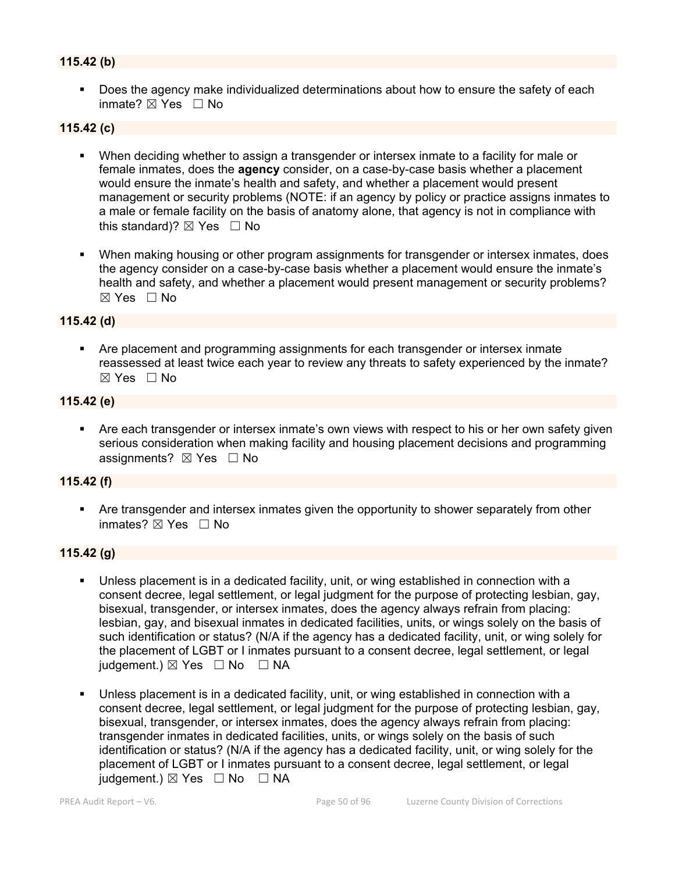# **115.42 (b)**

 Does the agency make individualized determinations about how to ensure the safety of each inmate? ☒ Yes ☐ No

# **115.42 (c)**

- When deciding whether to assign a transgender or intersex inmate to a facility for male or female inmates, does the **agency** consider, on a case-by-case basis whether a placement would ensure the inmate's health and safety, and whether a placement would present management or security problems (NOTE: if an agency by policy or practice assigns inmates to a male or female facility on the basis of anatomy alone, that agency is not in compliance with this standard)?  $\boxtimes$  Yes  $\Box$  No
- When making housing or other program assignments for transgender or intersex inmates, does the agency consider on a case-by-case basis whether a placement would ensure the inmate's health and safety, and whether a placement would present management or security problems? ☒ Yes ☐ No

#### **115.42 (d)**

 Are placement and programming assignments for each transgender or intersex inmate reassessed at least twice each year to review any threats to safety experienced by the inmate?  $\boxtimes$  Yes  $\Box$  No

# **115.42 (e)**

 Are each transgender or intersex inmate's own views with respect to his or her own safety given serious consideration when making facility and housing placement decisions and programming assignments?  $\boxtimes$  Yes  $\Box$  No

#### **115.42 (f)**

 Are transgender and intersex inmates given the opportunity to shower separately from other inmates?  $\boxtimes$  Yes  $\Box$  No

#### **115.42 (g)**

- Unless placement is in a dedicated facility, unit, or wing established in connection with a consent decree, legal settlement, or legal judgment for the purpose of protecting lesbian, gay, bisexual, transgender, or intersex inmates, does the agency always refrain from placing: lesbian, gay, and bisexual inmates in dedicated facilities, units, or wings solely on the basis of such identification or status? (N/A if the agency has a dedicated facility, unit, or wing solely for the placement of LGBT or I inmates pursuant to a consent decree, legal settlement, or legal judgement.)  $\boxtimes$  Yes  $\Box$  No  $\Box$  NA
- Unless placement is in a dedicated facility, unit, or wing established in connection with a consent decree, legal settlement, or legal judgment for the purpose of protecting lesbian, gay, bisexual, transgender, or intersex inmates, does the agency always refrain from placing: transgender inmates in dedicated facilities, units, or wings solely on the basis of such identification or status? (N/A if the agency has a dedicated facility, unit, or wing solely for the placement of LGBT or I inmates pursuant to a consent decree, legal settlement, or legal iudgement.)  $\boxtimes$  Yes  $\Box$  No  $\Box$  NA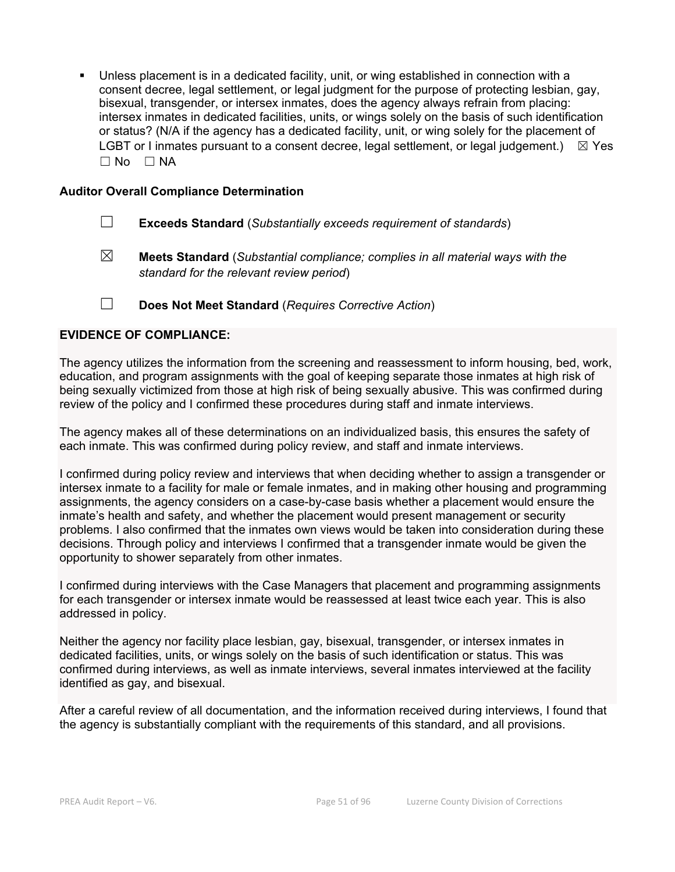Unless placement is in a dedicated facility, unit, or wing established in connection with a consent decree, legal settlement, or legal judgment for the purpose of protecting lesbian, gay, bisexual, transgender, or intersex inmates, does the agency always refrain from placing: intersex inmates in dedicated facilities, units, or wings solely on the basis of such identification or status? (N/A if the agency has a dedicated facility, unit, or wing solely for the placement of LGBT or I inmates pursuant to a consent decree, legal settlement, or legal judgement.)  $\boxtimes$  Yes ☐ No ☐ NA

#### **Auditor Overall Compliance Determination**

☐ **Exceeds Standard** (*Substantially exceeds requirement of standards*)

☒ **Meets Standard** (*Substantial compliance; complies in all material ways with the standard for the relevant review period*)

☐ **Does Not Meet Standard** (*Requires Corrective Action*)

#### **EVIDENCE OF COMPLIANCE:**

The agency utilizes the information from the screening and reassessment to inform housing, bed, work, education, and program assignments with the goal of keeping separate those inmates at high risk of being sexually victimized from those at high risk of being sexually abusive. This was confirmed during review of the policy and I confirmed these procedures during staff and inmate interviews.

The agency makes all of these determinations on an individualized basis, this ensures the safety of each inmate. This was confirmed during policy review, and staff and inmate interviews.

I confirmed during policy review and interviews that when deciding whether to assign a transgender or intersex inmate to a facility for male or female inmates, and in making other housing and programming assignments, the agency considers on a case-by-case basis whether a placement would ensure the inmate's health and safety, and whether the placement would present management or security problems. I also confirmed that the inmates own views would be taken into consideration during these decisions. Through policy and interviews I confirmed that a transgender inmate would be given the opportunity to shower separately from other inmates.

I confirmed during interviews with the Case Managers that placement and programming assignments for each transgender or intersex inmate would be reassessed at least twice each year. This is also addressed in policy.

Neither the agency nor facility place lesbian, gay, bisexual, transgender, or intersex inmates in dedicated facilities, units, or wings solely on the basis of such identification or status. This was confirmed during interviews, as well as inmate interviews, several inmates interviewed at the facility identified as gay, and bisexual.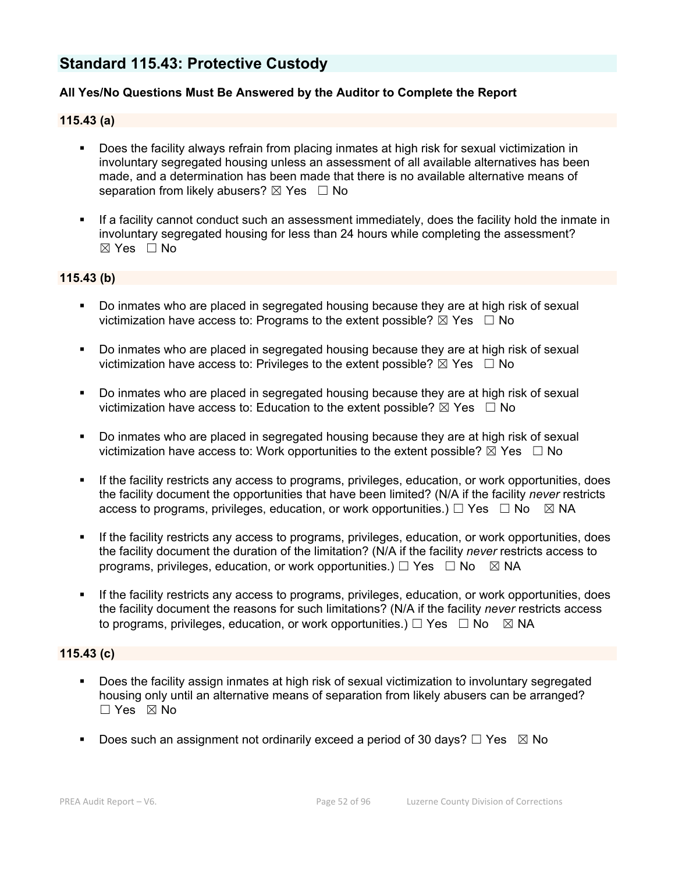# **Standard 115.43: Protective Custody**

### **All Yes/No Questions Must Be Answered by the Auditor to Complete the Report**

#### **115.43 (a)**

- Does the facility always refrain from placing inmates at high risk for sexual victimization in involuntary segregated housing unless an assessment of all available alternatives has been made, and a determination has been made that there is no available alternative means of separation from likely abusers?  $\boxtimes$  Yes  $\Box$  No
- If a facility cannot conduct such an assessment immediately, does the facility hold the inmate in involuntary segregated housing for less than 24 hours while completing the assessment?  $\boxtimes$  Yes  $\Box$  No

#### **115.43 (b)**

- Do inmates who are placed in segregated housing because they are at high risk of sexual victimization have access to: Programs to the extent possible?  $\boxtimes$  Yes  $\Box$  No
- Do inmates who are placed in segregated housing because they are at high risk of sexual victimization have access to: Privileges to the extent possible?  $\boxtimes$  Yes  $\Box$  No
- Do inmates who are placed in segregated housing because they are at high risk of sexual victimization have access to: Education to the extent possible?  $\boxtimes$  Yes  $\Box$  No
- Do inmates who are placed in segregated housing because they are at high risk of sexual victimization have access to: Work opportunities to the extent possible?  $\boxtimes$  Yes  $\Box$  No
- If the facility restricts any access to programs, privileges, education, or work opportunities, does the facility document the opportunities that have been limited? (N/A if the facility *never* restricts access to programs, privileges, education, or work opportunities.)  $\Box$  Yes  $\Box$  No  $\Box$  NA
- If the facility restricts any access to programs, privileges, education, or work opportunities, does the facility document the duration of the limitation? (N/A if the facility *never* restricts access to programs, privileges, education, or work opportunities.)  $\Box$  Yes  $\Box$  No  $\Box$  NA
- If the facility restricts any access to programs, privileges, education, or work opportunities, does the facility document the reasons for such limitations? (N/A if the facility *never* restricts access to programs, privileges, education, or work opportunities.)  $\Box$  Yes  $\Box$  No  $\boxtimes$  NA

# **115.43 (c)**

- Does the facility assign inmates at high risk of sexual victimization to involuntary segregated housing only until an alternative means of separation from likely abusers can be arranged? ☐ Yes ☒ No
- Does such an assignment not ordinarily exceed a period of 30 days?  $\Box$  Yes  $\boxtimes$  No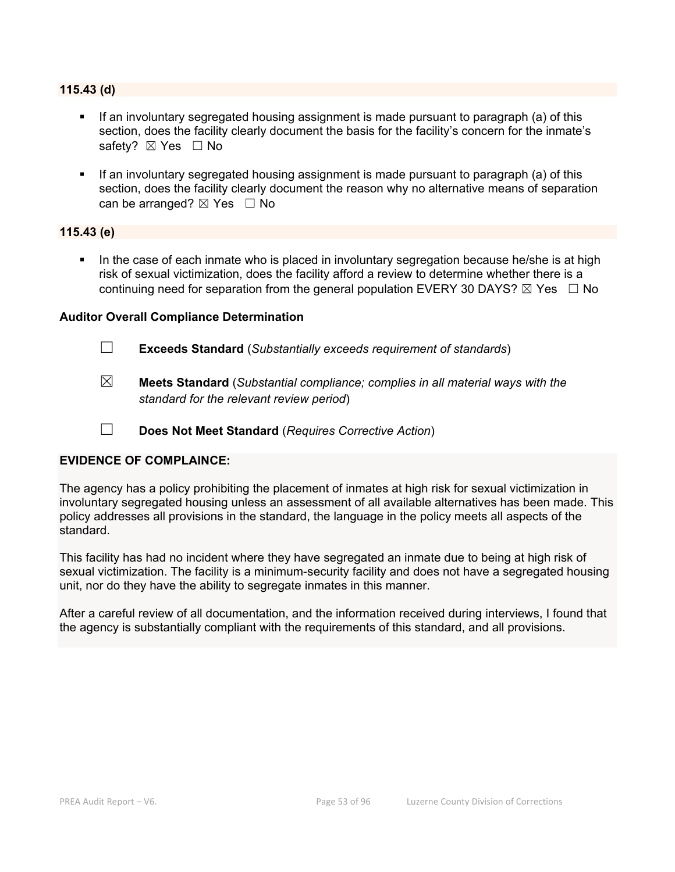#### **115.43 (d)**

- If an involuntary segregated housing assignment is made pursuant to paragraph (a) of this section, does the facility clearly document the basis for the facility's concern for the inmate's safety? ⊠ Yes □ No
- If an involuntary segregated housing assignment is made pursuant to paragraph (a) of this section, does the facility clearly document the reason why no alternative means of separation can be arranged?  $\boxtimes$  Yes  $\Box$  No

#### **115.43 (e)**

 In the case of each inmate who is placed in involuntary segregation because he/she is at high risk of sexual victimization, does the facility afford a review to determine whether there is a continuing need for separation from the general population EVERY 30 DAYS?  $\boxtimes$  Yes  $\Box$  No

#### **Auditor Overall Compliance Determination**

- ☐ **Exceeds Standard** (*Substantially exceeds requirement of standards*)
- ☒ **Meets Standard** (*Substantial compliance; complies in all material ways with the standard for the relevant review period*)
- ☐ **Does Not Meet Standard** (*Requires Corrective Action*)

### **EVIDENCE OF COMPLAINCE:**

The agency has a policy prohibiting the placement of inmates at high risk for sexual victimization in involuntary segregated housing unless an assessment of all available alternatives has been made. This policy addresses all provisions in the standard, the language in the policy meets all aspects of the standard.

This facility has had no incident where they have segregated an inmate due to being at high risk of sexual victimization. The facility is a minimum-security facility and does not have a segregated housing unit, nor do they have the ability to segregate inmates in this manner.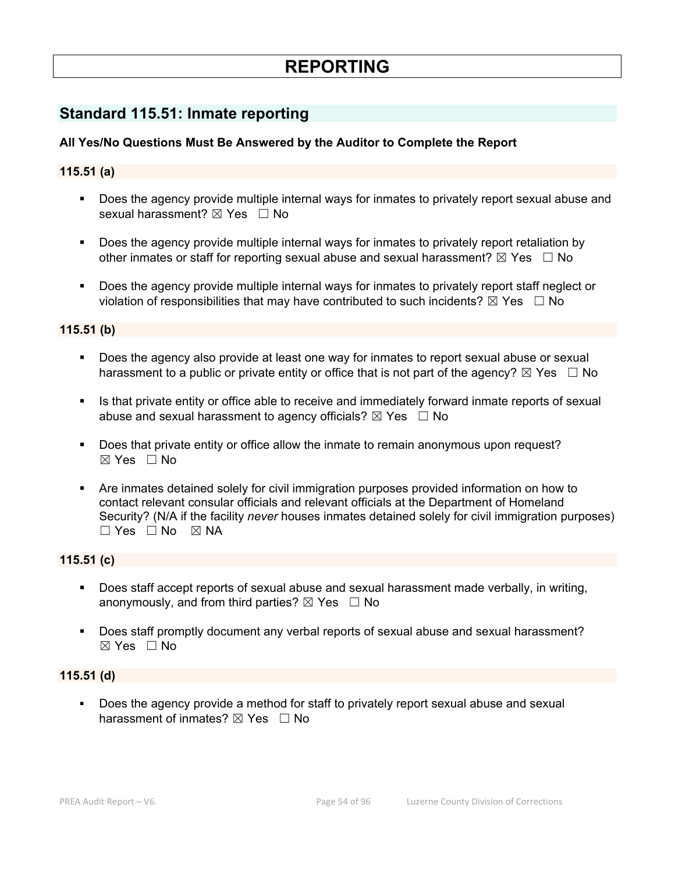# **REPORTING**

# **Standard 115.51: Inmate reporting**

# **All Yes/No Questions Must Be Answered by the Auditor to Complete the Report**

### **115.51 (a)**

- Does the agency provide multiple internal ways for inmates to privately report sexual abuse and sexual harassment? ⊠ Yes □ No
- Does the agency provide multiple internal ways for inmates to privately report retaliation by other inmates or staff for reporting sexual abuse and sexual harassment?  $\boxtimes$  Yes  $\Box$  No
- Does the agency provide multiple internal ways for inmates to privately report staff neglect or violation of responsibilities that may have contributed to such incidents?  $\boxtimes$  Yes  $\Box$  No

#### **115.51 (b)**

- Does the agency also provide at least one way for inmates to report sexual abuse or sexual harassment to a public or private entity or office that is not part of the agency?  $\boxtimes$  Yes  $\Box$  No
- Is that private entity or office able to receive and immediately forward inmate reports of sexual abuse and sexual harassment to agency officials?  $\boxtimes$  Yes  $\Box$  No
- Does that private entity or office allow the inmate to remain anonymous upon request?  $\boxtimes$  Yes  $\Box$  No
- Are inmates detained solely for civil immigration purposes provided information on how to contact relevant consular officials and relevant officials at the Department of Homeland Security? (N/A if the facility *never* houses inmates detained solely for civil immigration purposes)  $\Box$  Yes  $\Box$  No  $\boxtimes$  NA

# **115.51 (c)**

- Does staff accept reports of sexual abuse and sexual harassment made verbally, in writing, anonymously, and from third parties?  $\boxtimes$  Yes  $\Box$  No
- Does staff promptly document any verbal reports of sexual abuse and sexual harassment?  $\boxtimes$  Yes  $\Box$  No

#### **115.51 (d)**

 Does the agency provide a method for staff to privately report sexual abuse and sexual harassment of inmates?  $\boxtimes$  Yes  $\Box$  No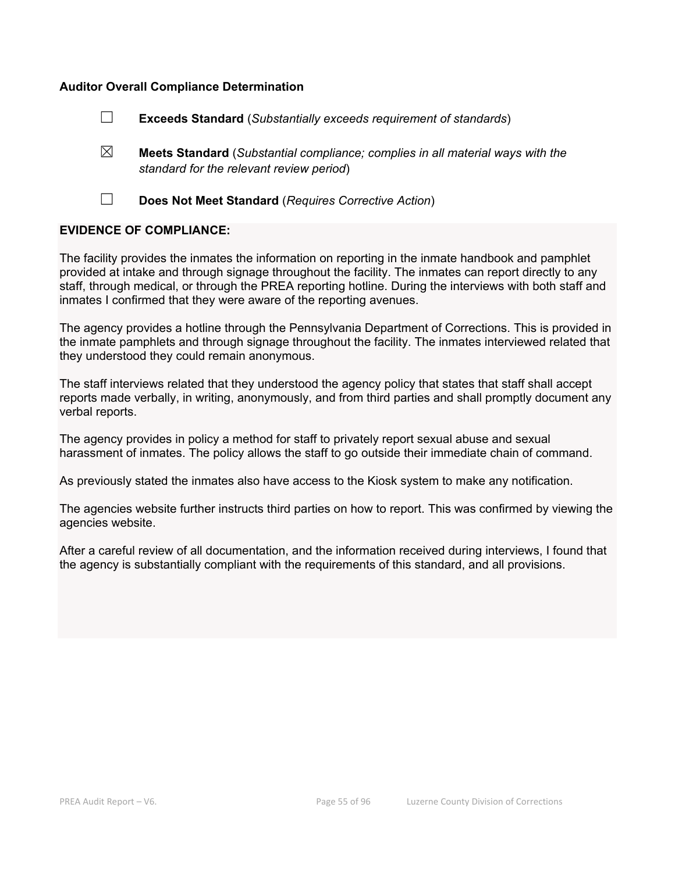#### **Auditor Overall Compliance Determination**

- ☐ **Exceeds Standard** (*Substantially exceeds requirement of standards*)
- ☒ **Meets Standard** (*Substantial compliance; complies in all material ways with the standard for the relevant review period*)
- 
- ☐ **Does Not Meet Standard** (*Requires Corrective Action*)

#### **EVIDENCE OF COMPLIANCE:**

The facility provides the inmates the information on reporting in the inmate handbook and pamphlet provided at intake and through signage throughout the facility. The inmates can report directly to any staff, through medical, or through the PREA reporting hotline. During the interviews with both staff and inmates I confirmed that they were aware of the reporting avenues.

The agency provides a hotline through the Pennsylvania Department of Corrections. This is provided in the inmate pamphlets and through signage throughout the facility. The inmates interviewed related that they understood they could remain anonymous.

The staff interviews related that they understood the agency policy that states that staff shall accept reports made verbally, in writing, anonymously, and from third parties and shall promptly document any verbal reports.

The agency provides in policy a method for staff to privately report sexual abuse and sexual harassment of inmates. The policy allows the staff to go outside their immediate chain of command.

As previously stated the inmates also have access to the Kiosk system to make any notification.

The agencies website further instructs third parties on how to report. This was confirmed by viewing the agencies website.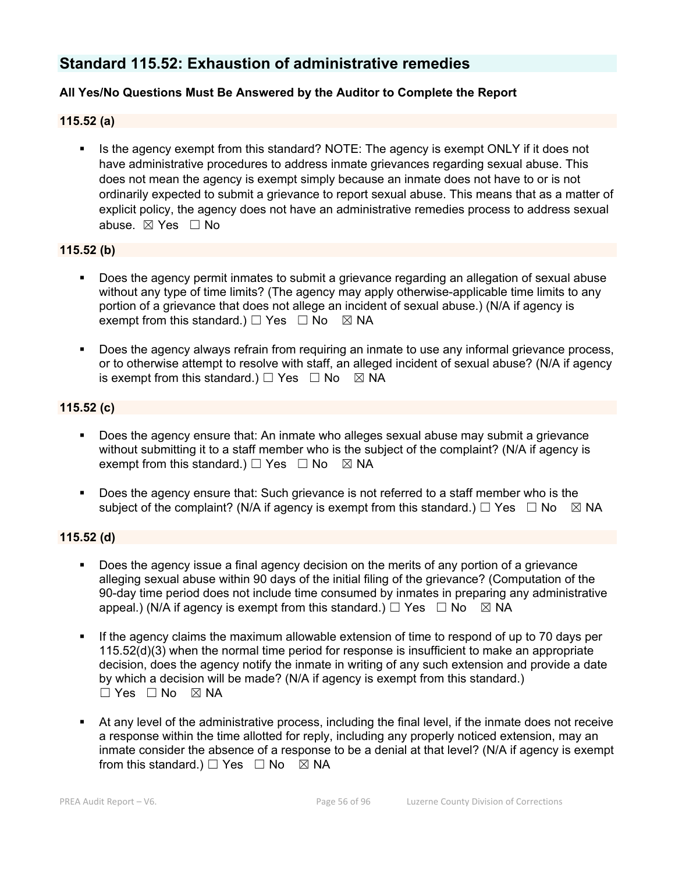# **Standard 115.52: Exhaustion of administrative remedies**

# **All Yes/No Questions Must Be Answered by the Auditor to Complete the Report**

#### **115.52 (a)**

 Is the agency exempt from this standard? NOTE: The agency is exempt ONLY if it does not have administrative procedures to address inmate grievances regarding sexual abuse. This does not mean the agency is exempt simply because an inmate does not have to or is not ordinarily expected to submit a grievance to report sexual abuse. This means that as a matter of explicit policy, the agency does not have an administrative remedies process to address sexual abuse. ☒ Yes ☐ No

#### **115.52 (b)**

- Does the agency permit inmates to submit a grievance regarding an allegation of sexual abuse without any type of time limits? (The agency may apply otherwise-applicable time limits to any portion of a grievance that does not allege an incident of sexual abuse.) (N/A if agency is exempt from this standard.)  $\Box$  Yes  $\Box$  No  $\boxtimes$  NA
- Does the agency always refrain from requiring an inmate to use any informal grievance process, or to otherwise attempt to resolve with staff, an alleged incident of sexual abuse? (N/A if agency is exempt from this standard.)  $\Box$  Yes  $\Box$  No  $\boxtimes$  NA

#### **115.52 (c)**

- Does the agency ensure that: An inmate who alleges sexual abuse may submit a grievance without submitting it to a staff member who is the subject of the complaint? (N/A if agency is exempt from this standard.)  $\Box$  Yes  $\Box$  No  $\boxtimes$  NA
- Does the agency ensure that: Such grievance is not referred to a staff member who is the subject of the complaint? (N/A if agency is exempt from this standard.)  $\Box$  Yes  $\Box$  No  $\boxtimes$  NA

#### **115.52 (d)**

- Does the agency issue a final agency decision on the merits of any portion of a grievance alleging sexual abuse within 90 days of the initial filing of the grievance? (Computation of the 90-day time period does not include time consumed by inmates in preparing any administrative appeal.) (N/A if agency is exempt from this standard.)  $\Box$  Yes  $\Box$  No  $\Box$  NA
- If the agency claims the maximum allowable extension of time to respond of up to 70 days per 115.52(d)(3) when the normal time period for response is insufficient to make an appropriate decision, does the agency notify the inmate in writing of any such extension and provide a date by which a decision will be made? (N/A if agency is exempt from this standard.)  $\square$  Yes  $\square$  No  $\square$  NA
- At any level of the administrative process, including the final level, if the inmate does not receive a response within the time allotted for reply, including any properly noticed extension, may an inmate consider the absence of a response to be a denial at that level? (N/A if agency is exempt from this standard.)  $\Box$  Yes  $\Box$  No  $\boxtimes$  NA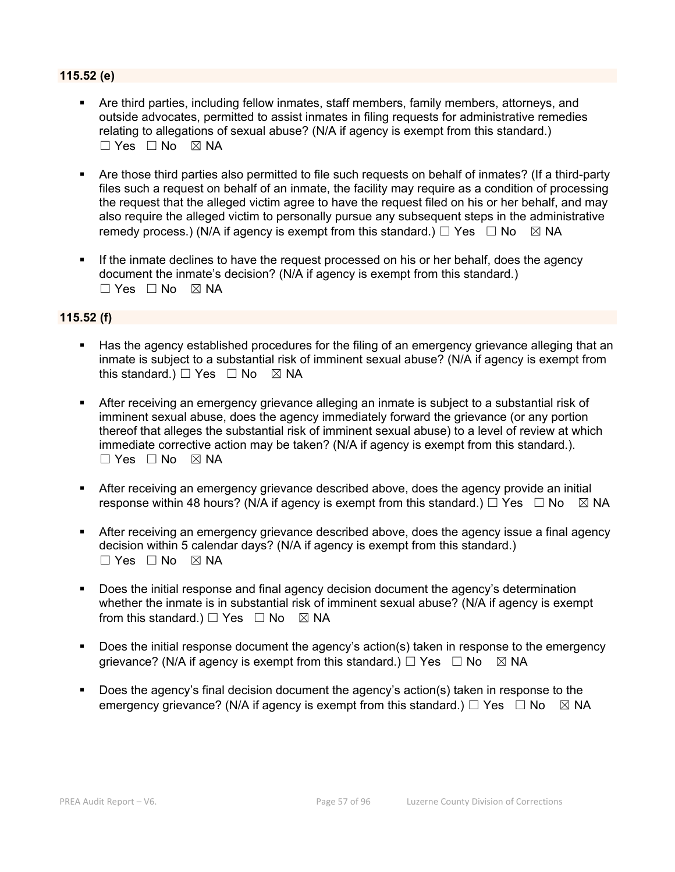# **115.52 (e)**

- Are third parties, including fellow inmates, staff members, family members, attorneys, and outside advocates, permitted to assist inmates in filing requests for administrative remedies relating to allegations of sexual abuse? (N/A if agency is exempt from this standard.)  $\Box$  Yes  $\Box$  No  $\boxtimes$  NA
- Are those third parties also permitted to file such requests on behalf of inmates? (If a third-party files such a request on behalf of an inmate, the facility may require as a condition of processing the request that the alleged victim agree to have the request filed on his or her behalf, and may also require the alleged victim to personally pursue any subsequent steps in the administrative remedy process.) (N/A if agency is exempt from this standard.)  $\Box$  Yes  $\Box$  No  $\boxtimes$  NA
- If the inmate declines to have the request processed on his or her behalf, does the agency document the inmate's decision? (N/A if agency is exempt from this standard.) ☐ Yes ☐ No ☒ NA

#### **115.52 (f)**

- Has the agency established procedures for the filing of an emergency grievance alleging that an inmate is subject to a substantial risk of imminent sexual abuse? (N/A if agency is exempt from this standard.)  $\Box$  Yes  $\Box$  No  $\boxtimes$  NA
- After receiving an emergency grievance alleging an inmate is subject to a substantial risk of imminent sexual abuse, does the agency immediately forward the grievance (or any portion thereof that alleges the substantial risk of imminent sexual abuse) to a level of review at which immediate corrective action may be taken? (N/A if agency is exempt from this standard.).  $\Box$  Yes  $\Box$  No  $\boxtimes$  NA
- After receiving an emergency grievance described above, does the agency provide an initial response within 48 hours? (N/A if agency is exempt from this standard.)  $\Box$  Yes  $\Box$  No  $\boxtimes$  NA
- After receiving an emergency grievance described above, does the agency issue a final agency decision within 5 calendar days? (N/A if agency is exempt from this standard.)  $\square$  Yes  $\square$  No  $\square$  NA
- Does the initial response and final agency decision document the agency's determination whether the inmate is in substantial risk of imminent sexual abuse? (N/A if agency is exempt from this standard.)  $\Box$  Yes  $\Box$  No  $\boxtimes$  NA
- Does the initial response document the agency's action(s) taken in response to the emergency grievance? (N/A if agency is exempt from this standard.)  $\Box$  Yes  $\Box$  No  $\boxtimes$  NA
- Does the agency's final decision document the agency's action(s) taken in response to the emergency grievance? (N/A if agency is exempt from this standard.)  $\Box$  Yes  $\Box$  No  $\boxtimes$  NA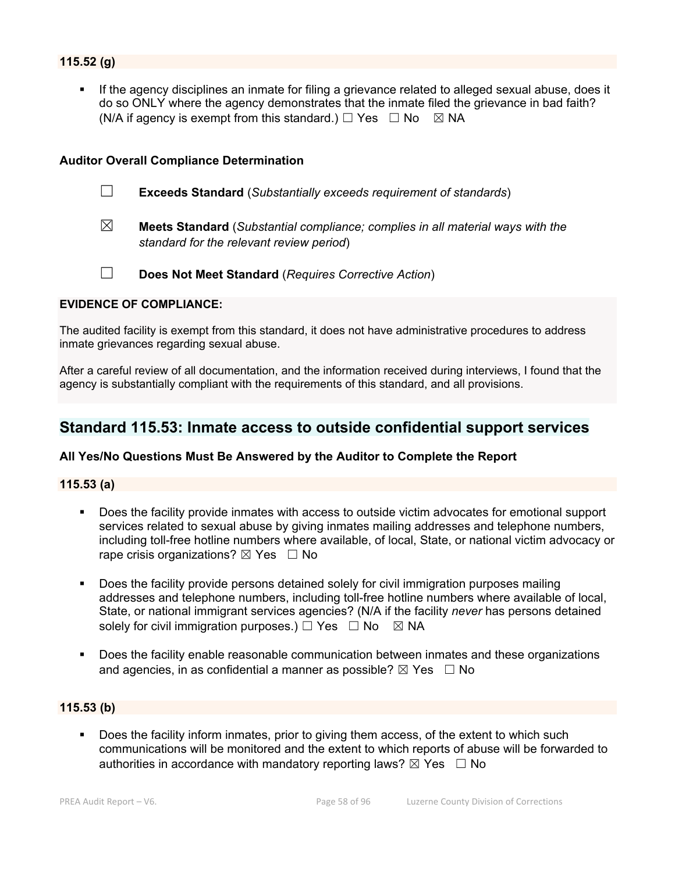# **115.52 (g)**

 If the agency disciplines an inmate for filing a grievance related to alleged sexual abuse, does it do so ONLY where the agency demonstrates that the inmate filed the grievance in bad faith? (N/A if agency is exempt from this standard.)  $\Box$  Yes  $\Box$  No  $\boxtimes$  NA

#### **Auditor Overall Compliance Determination**

- ☐ **Exceeds Standard** (*Substantially exceeds requirement of standards*)
- ☒ **Meets Standard** (*Substantial compliance; complies in all material ways with the standard for the relevant review period*)
- 
- ☐ **Does Not Meet Standard** (*Requires Corrective Action*)

#### **EVIDENCE OF COMPLIANCE:**

The audited facility is exempt from this standard, it does not have administrative procedures to address inmate grievances regarding sexual abuse.

After a careful review of all documentation, and the information received during interviews, I found that the agency is substantially compliant with the requirements of this standard, and all provisions.

# **Standard 115.53: Inmate access to outside confidential support services**

#### **All Yes/No Questions Must Be Answered by the Auditor to Complete the Report**

#### **115.53 (a)**

- Does the facility provide inmates with access to outside victim advocates for emotional support services related to sexual abuse by giving inmates mailing addresses and telephone numbers, including toll-free hotline numbers where available, of local, State, or national victim advocacy or rape crisis organizations?  $\boxtimes$  Yes  $\Box$  No
- **Does the facility provide persons detained solely for civil immigration purposes mailing** addresses and telephone numbers, including toll-free hotline numbers where available of local, State, or national immigrant services agencies? (N/A if the facility *never* has persons detained solely for civil immigration purposes.)  $\Box$  Yes  $\Box$  No  $\boxtimes$  NA
- Does the facility enable reasonable communication between inmates and these organizations and agencies, in as confidential a manner as possible?  $\boxtimes$  Yes  $\Box$  No

#### **115.53 (b)**

 Does the facility inform inmates, prior to giving them access, of the extent to which such communications will be monitored and the extent to which reports of abuse will be forwarded to authorities in accordance with mandatory reporting laws?  $\boxtimes$  Yes  $\Box$  No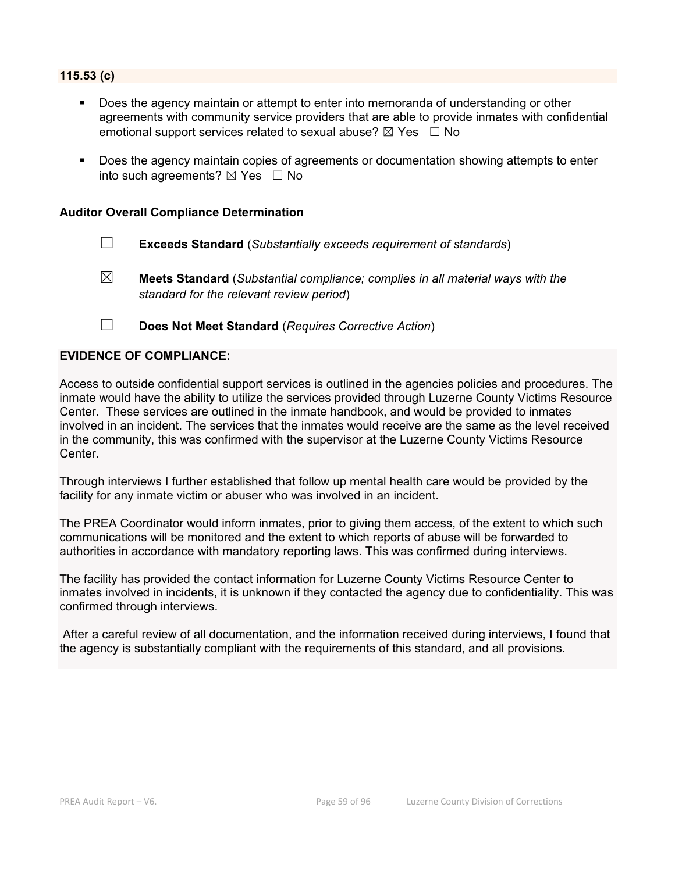#### **115.53 (c)**

- Does the agency maintain or attempt to enter into memoranda of understanding or other agreements with community service providers that are able to provide inmates with confidential emotional support services related to sexual abuse?  $\boxtimes$  Yes  $\Box$  No
- Does the agency maintain copies of agreements or documentation showing attempts to enter into such agreements?  $\boxtimes$  Yes  $\Box$  No

#### **Auditor Overall Compliance Determination**

- ☐ **Exceeds Standard** (*Substantially exceeds requirement of standards*)
- ☒ **Meets Standard** (*Substantial compliance; complies in all material ways with the standard for the relevant review period*)
- ☐ **Does Not Meet Standard** (*Requires Corrective Action*)

#### **EVIDENCE OF COMPLIANCE:**

Access to outside confidential support services is outlined in the agencies policies and procedures. The inmate would have the ability to utilize the services provided through Luzerne County Victims Resource Center. These services are outlined in the inmate handbook, and would be provided to inmates involved in an incident. The services that the inmates would receive are the same as the level received in the community, this was confirmed with the supervisor at the Luzerne County Victims Resource Center.

Through interviews I further established that follow up mental health care would be provided by the facility for any inmate victim or abuser who was involved in an incident.

The PREA Coordinator would inform inmates, prior to giving them access, of the extent to which such communications will be monitored and the extent to which reports of abuse will be forwarded to authorities in accordance with mandatory reporting laws. This was confirmed during interviews.

The facility has provided the contact information for Luzerne County Victims Resource Center to inmates involved in incidents, it is unknown if they contacted the agency due to confidentiality. This was confirmed through interviews.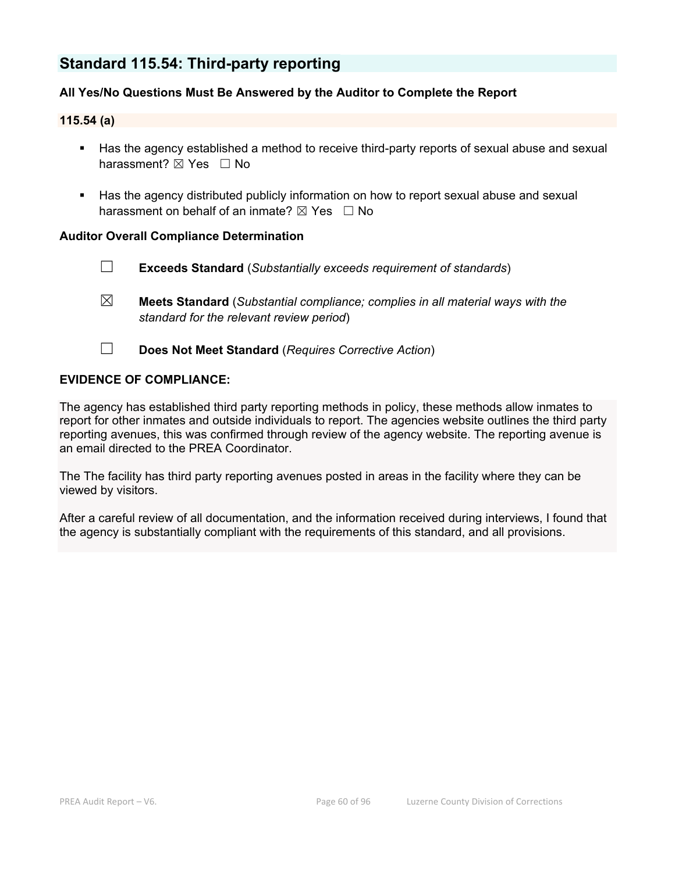# **Standard 115.54: Third-party reporting**

# **All Yes/No Questions Must Be Answered by the Auditor to Complete the Report**

#### **115.54 (a)**

- Has the agency established a method to receive third-party reports of sexual abuse and sexual harassment? ⊠ Yes □ No
- Has the agency distributed publicly information on how to report sexual abuse and sexual harassment on behalf of an inmate?  $\boxtimes$  Yes  $\Box$  No

#### **Auditor Overall Compliance Determination**

- ☐ **Exceeds Standard** (*Substantially exceeds requirement of standards*)
- ☒ **Meets Standard** (*Substantial compliance; complies in all material ways with the standard for the relevant review period*)
- ☐ **Does Not Meet Standard** (*Requires Corrective Action*)

#### **EVIDENCE OF COMPLIANCE:**

The agency has established third party reporting methods in policy, these methods allow inmates to report for other inmates and outside individuals to report. The agencies website outlines the third party reporting avenues, this was confirmed through review of the agency website. The reporting avenue is an email directed to the PREA Coordinator.

The The facility has third party reporting avenues posted in areas in the facility where they can be viewed by visitors.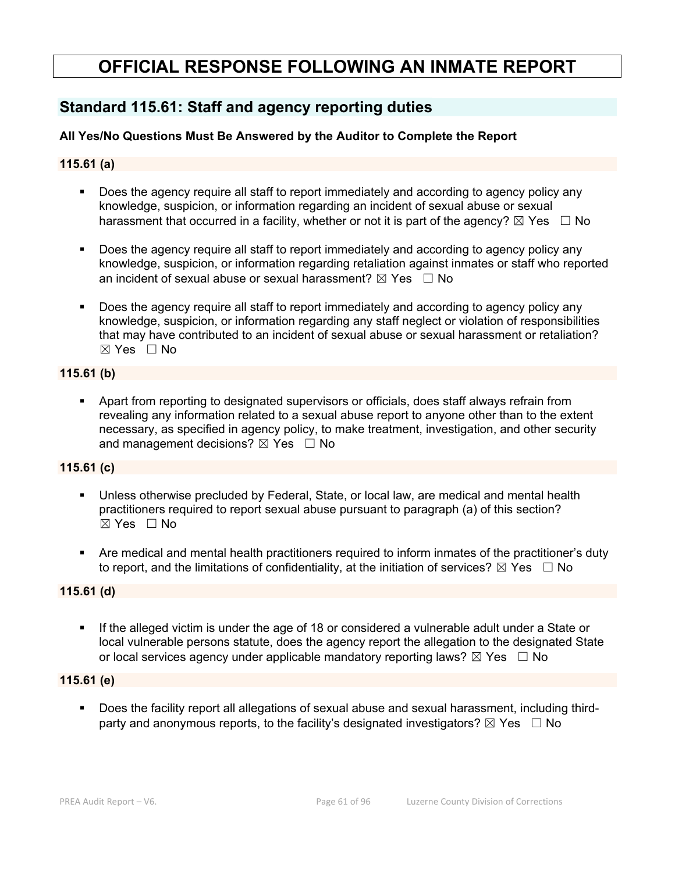# **OFFICIAL RESPONSE FOLLOWING AN INMATE REPORT**

# **Standard 115.61: Staff and agency reporting duties**

# **All Yes/No Questions Must Be Answered by the Auditor to Complete the Report**

# **115.61 (a)**

- Does the agency require all staff to report immediately and according to agency policy any knowledge, suspicion, or information regarding an incident of sexual abuse or sexual harassment that occurred in a facility, whether or not it is part of the agency?  $\boxtimes$  Yes  $\Box$  No
- Does the agency require all staff to report immediately and according to agency policy any knowledge, suspicion, or information regarding retaliation against inmates or staff who reported an incident of sexual abuse or sexual harassment?  $\boxtimes$  Yes  $\Box$  No
- Does the agency require all staff to report immediately and according to agency policy any knowledge, suspicion, or information regarding any staff neglect or violation of responsibilities that may have contributed to an incident of sexual abuse or sexual harassment or retaliation?  $\boxtimes$  Yes  $\Box$  No

# **115.61 (b)**

 Apart from reporting to designated supervisors or officials, does staff always refrain from revealing any information related to a sexual abuse report to anyone other than to the extent necessary, as specified in agency policy, to make treatment, investigation, and other security and management decisions?  $\boxtimes$  Yes  $\Box$  No

#### **115.61 (c)**

- Unless otherwise precluded by Federal, State, or local law, are medical and mental health practitioners required to report sexual abuse pursuant to paragraph (a) of this section?  $\boxtimes$  Yes  $\Box$  No
- Are medical and mental health practitioners required to inform inmates of the practitioner's duty to report, and the limitations of confidentiality, at the initiation of services?  $\boxtimes$  Yes  $\Box$  No

# **115.61 (d)**

 If the alleged victim is under the age of 18 or considered a vulnerable adult under a State or local vulnerable persons statute, does the agency report the allegation to the designated State or local services agency under applicable mandatory reporting laws?  $\boxtimes$  Yes  $\Box$  No

#### **115.61 (e)**

 Does the facility report all allegations of sexual abuse and sexual harassment, including thirdparty and anonymous reports, to the facility's designated investigators?  $\boxtimes$  Yes  $\Box$  No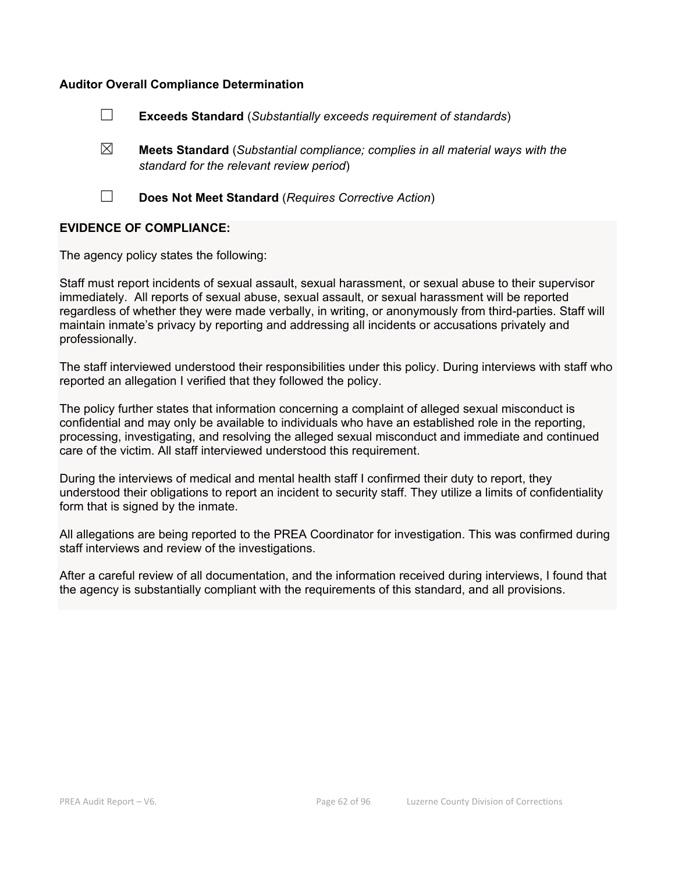#### **Auditor Overall Compliance Determination**

- ☐ **Exceeds Standard** (*Substantially exceeds requirement of standards*)
- ☒ **Meets Standard** (*Substantial compliance; complies in all material ways with the standard for the relevant review period*)
- 

☐ **Does Not Meet Standard** (*Requires Corrective Action*)

#### **EVIDENCE OF COMPLIANCE:**

The agency policy states the following:

Staff must report incidents of sexual assault, sexual harassment, or sexual abuse to their supervisor immediately. All reports of sexual abuse, sexual assault, or sexual harassment will be reported regardless of whether they were made verbally, in writing, or anonymously from third-parties. Staff will maintain inmate's privacy by reporting and addressing all incidents or accusations privately and professionally.

The staff interviewed understood their responsibilities under this policy. During interviews with staff who reported an allegation I verified that they followed the policy.

The policy further states that information concerning a complaint of alleged sexual misconduct is confidential and may only be available to individuals who have an established role in the reporting, processing, investigating, and resolving the alleged sexual misconduct and immediate and continued care of the victim. All staff interviewed understood this requirement.

During the interviews of medical and mental health staff I confirmed their duty to report, they understood their obligations to report an incident to security staff. They utilize a limits of confidentiality form that is signed by the inmate.

All allegations are being reported to the PREA Coordinator for investigation. This was confirmed during staff interviews and review of the investigations.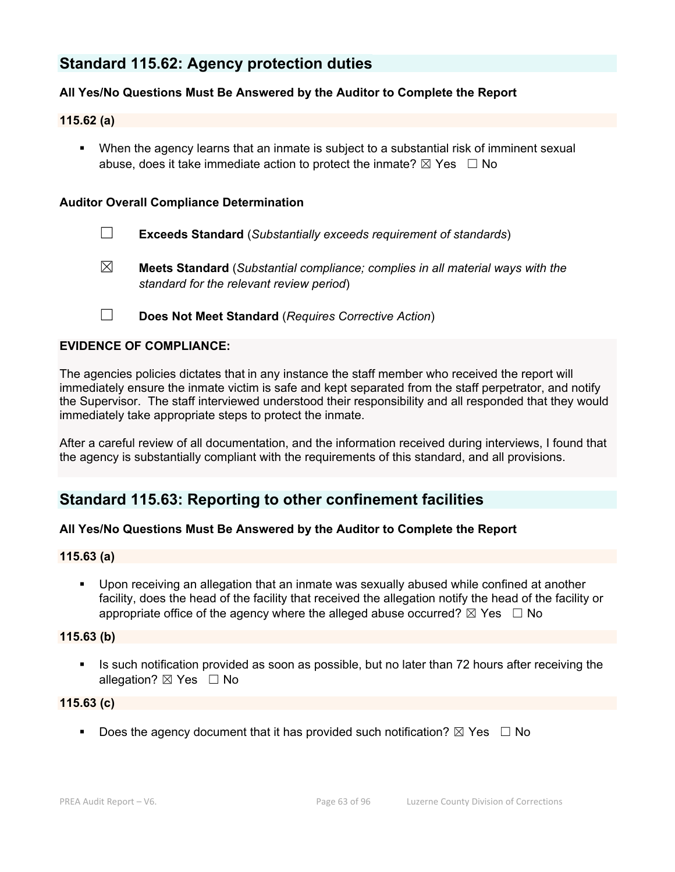# **Standard 115.62: Agency protection duties**

### **All Yes/No Questions Must Be Answered by the Auditor to Complete the Report**

#### **115.62 (a)**

 When the agency learns that an inmate is subject to a substantial risk of imminent sexual abuse, does it take immediate action to protect the inmate?  $\boxtimes$  Yes  $\Box$  No

#### **Auditor Overall Compliance Determination**

- ☐ **Exceeds Standard** (*Substantially exceeds requirement of standards*)
- ☒ **Meets Standard** (*Substantial compliance; complies in all material ways with the standard for the relevant review period*)
- ☐ **Does Not Meet Standard** (*Requires Corrective Action*)

### **EVIDENCE OF COMPLIANCE:**

The agencies policies dictates that in any instance the staff member who received the report will immediately ensure the inmate victim is safe and kept separated from the staff perpetrator, and notify the Supervisor. The staff interviewed understood their responsibility and all responded that they would immediately take appropriate steps to protect the inmate.

After a careful review of all documentation, and the information received during interviews, I found that the agency is substantially compliant with the requirements of this standard, and all provisions.

# **Standard 115.63: Reporting to other confinement facilities**

#### **All Yes/No Questions Must Be Answered by the Auditor to Complete the Report**

#### **115.63 (a)**

 Upon receiving an allegation that an inmate was sexually abused while confined at another facility, does the head of the facility that received the allegation notify the head of the facility or appropriate office of the agency where the alleged abuse occurred?  $\boxtimes$  Yes  $\Box$  No

### **115.63 (b)**

 Is such notification provided as soon as possible, but no later than 72 hours after receiving the allegation? ⊠ Yes □ No

# **115.63 (c)**

Does the agency document that it has provided such notification?  $\boxtimes$  Yes  $\Box$  No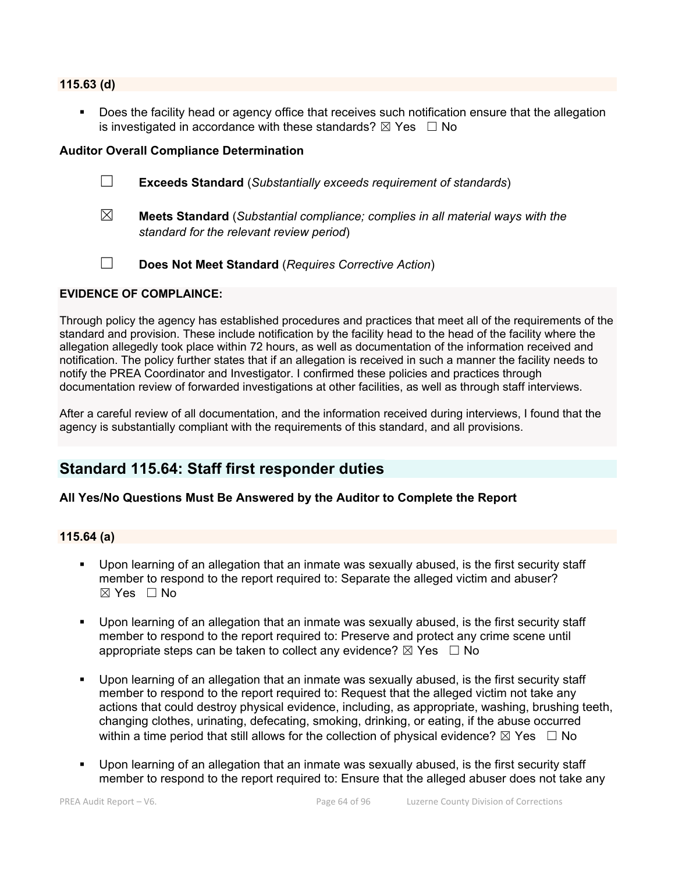#### **115.63 (d)**

 Does the facility head or agency office that receives such notification ensure that the allegation is investigated in accordance with these standards?  $\boxtimes$  Yes  $\Box$  No

#### **Auditor Overall Compliance Determination**

- ☐ **Exceeds Standard** (*Substantially exceeds requirement of standards*)
- ☒ **Meets Standard** (*Substantial compliance; complies in all material ways with the standard for the relevant review period*)
- ☐ **Does Not Meet Standard** (*Requires Corrective Action*)

#### **EVIDENCE OF COMPLAINCE:**

Through policy the agency has established procedures and practices that meet all of the requirements of the standard and provision. These include notification by the facility head to the head of the facility where the allegation allegedly took place within 72 hours, as well as documentation of the information received and notification. The policy further states that if an allegation is received in such a manner the facility needs to notify the PREA Coordinator and Investigator. I confirmed these policies and practices through documentation review of forwarded investigations at other facilities, as well as through staff interviews.

After a careful review of all documentation, and the information received during interviews, I found that the agency is substantially compliant with the requirements of this standard, and all provisions.

# **Standard 115.64: Staff first responder duties**

# **All Yes/No Questions Must Be Answered by the Auditor to Complete the Report**

#### **115.64 (a)**

- Upon learning of an allegation that an inmate was sexually abused, is the first security staff member to respond to the report required to: Separate the alleged victim and abuser?  $\boxtimes$  Yes  $\Box$  No
- Upon learning of an allegation that an inmate was sexually abused, is the first security staff member to respond to the report required to: Preserve and protect any crime scene until appropriate steps can be taken to collect any evidence?  $\boxtimes$  Yes  $\Box$  No
- Upon learning of an allegation that an inmate was sexually abused, is the first security staff member to respond to the report required to: Request that the alleged victim not take any actions that could destroy physical evidence, including, as appropriate, washing, brushing teeth, changing clothes, urinating, defecating, smoking, drinking, or eating, if the abuse occurred within a time period that still allows for the collection of physical evidence?  $\boxtimes$  Yes  $\Box$  No
- Upon learning of an allegation that an inmate was sexually abused, is the first security staff member to respond to the report required to: Ensure that the alleged abuser does not take any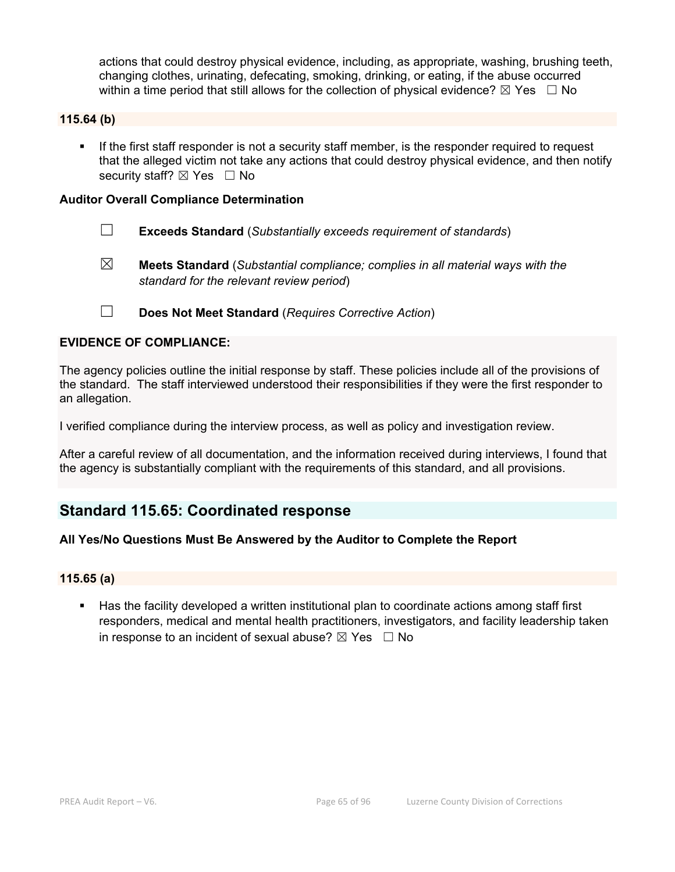actions that could destroy physical evidence, including, as appropriate, washing, brushing teeth, changing clothes, urinating, defecating, smoking, drinking, or eating, if the abuse occurred within a time period that still allows for the collection of physical evidence?  $\boxtimes$  Yes  $\Box$  No

#### **115.64 (b)**

 If the first staff responder is not a security staff member, is the responder required to request that the alleged victim not take any actions that could destroy physical evidence, and then notify security staff? ⊠ Yes □ No

#### **Auditor Overall Compliance Determination**

- ☐ **Exceeds Standard** (*Substantially exceeds requirement of standards*)
- ☒ **Meets Standard** (*Substantial compliance; complies in all material ways with the standard for the relevant review period*)
- ☐ **Does Not Meet Standard** (*Requires Corrective Action*)

#### **EVIDENCE OF COMPLIANCE:**

The agency policies outline the initial response by staff. These policies include all of the provisions of the standard. The staff interviewed understood their responsibilities if they were the first responder to an allegation.

I verified compliance during the interview process, as well as policy and investigation review.

After a careful review of all documentation, and the information received during interviews, I found that the agency is substantially compliant with the requirements of this standard, and all provisions.

# **Standard 115.65: Coordinated response**

#### **All Yes/No Questions Must Be Answered by the Auditor to Complete the Report**

#### **115.65 (a)**

 Has the facility developed a written institutional plan to coordinate actions among staff first responders, medical and mental health practitioners, investigators, and facility leadership taken in response to an incident of sexual abuse?  $\boxtimes$  Yes  $\Box$  No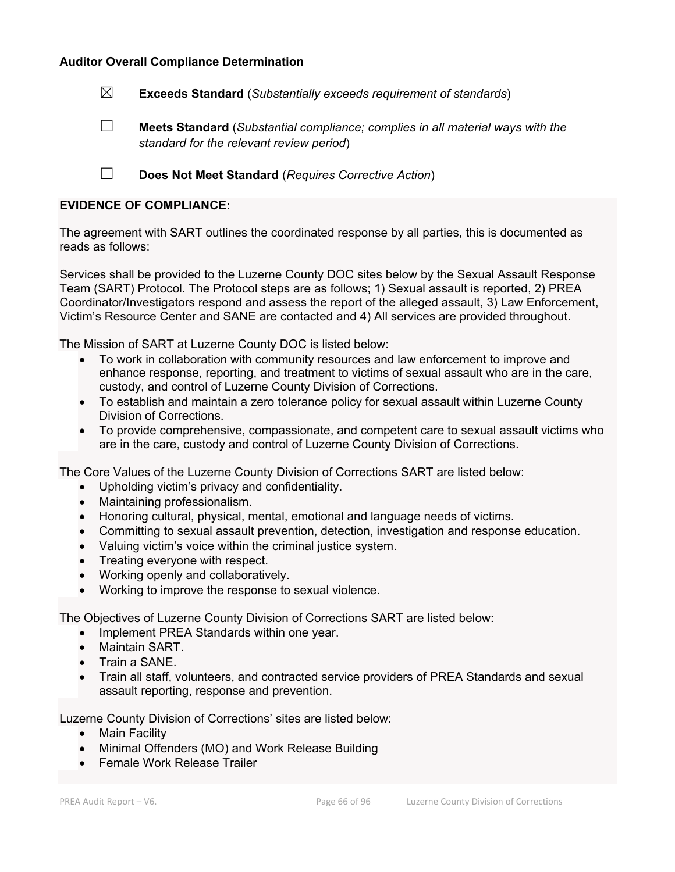#### **Auditor Overall Compliance Determination**

☒ **Exceeds Standard** (*Substantially exceeds requirement of standards*)

☐ **Meets Standard** (*Substantial compliance; complies in all material ways with the standard for the relevant review period*)

☐ **Does Not Meet Standard** (*Requires Corrective Action*)

#### **EVIDENCE OF COMPLIANCE:**

The agreement with SART outlines the coordinated response by all parties, this is documented as reads as follows:

Services shall be provided to the Luzerne County DOC sites below by the Sexual Assault Response Team (SART) Protocol. The Protocol steps are as follows; 1) Sexual assault is reported, 2) PREA Coordinator/Investigators respond and assess the report of the alleged assault, 3) Law Enforcement, Victim's Resource Center and SANE are contacted and 4) All services are provided throughout.

The Mission of SART at Luzerne County DOC is listed below:

- To work in collaboration with community resources and law enforcement to improve and enhance response, reporting, and treatment to victims of sexual assault who are in the care, custody, and control of Luzerne County Division of Corrections.
- To establish and maintain a zero tolerance policy for sexual assault within Luzerne County Division of Corrections.
- To provide comprehensive, compassionate, and competent care to sexual assault victims who are in the care, custody and control of Luzerne County Division of Corrections.

The Core Values of the Luzerne County Division of Corrections SART are listed below:

- Upholding victim's privacy and confidentiality.
- Maintaining professionalism.
- Honoring cultural, physical, mental, emotional and language needs of victims.
- Committing to sexual assault prevention, detection, investigation and response education.
- Valuing victim's voice within the criminal justice system.
- Treating everyone with respect.
- Working openly and collaboratively.
- Working to improve the response to sexual violence.

The Objectives of Luzerne County Division of Corrections SART are listed below:

- Implement PREA Standards within one year.
- Maintain SART.
- Train a SANE.
- Train all staff, volunteers, and contracted service providers of PREA Standards and sexual assault reporting, response and prevention.

Luzerne County Division of Corrections' sites are listed below:

- Main Facility
- Minimal Offenders (MO) and Work Release Building
- Female Work Release Trailer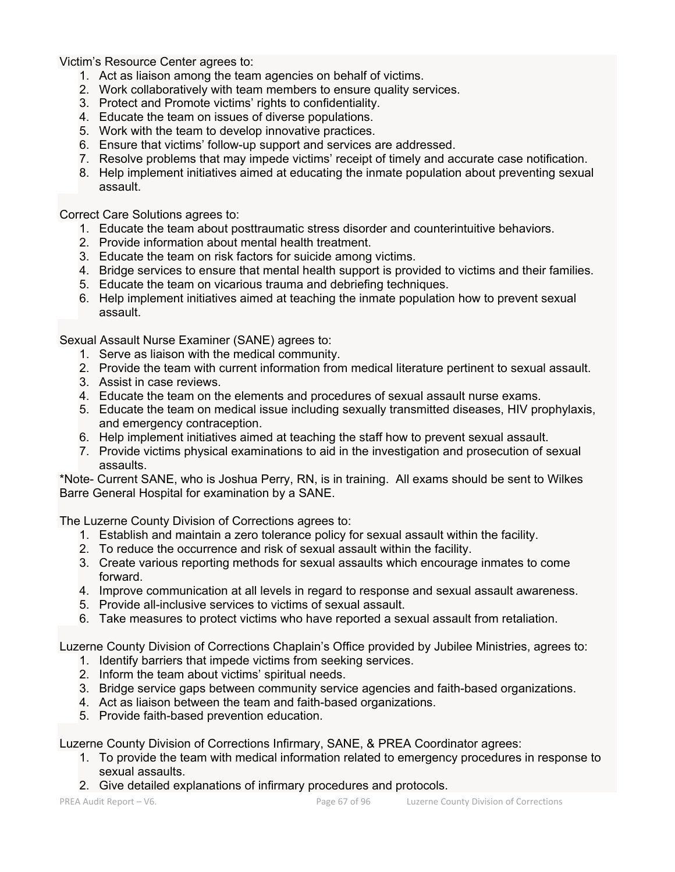Victim's Resource Center agrees to:

- 1. Act as liaison among the team agencies on behalf of victims.
- 2. Work collaboratively with team members to ensure quality services.
- 3. Protect and Promote victims' rights to confidentiality.
- 4. Educate the team on issues of diverse populations.
- 5. Work with the team to develop innovative practices.
- 6. Ensure that victims' follow-up support and services are addressed.
- 7. Resolve problems that may impede victims' receipt of timely and accurate case notification.
- 8. Help implement initiatives aimed at educating the inmate population about preventing sexual assault.

Correct Care Solutions agrees to:

- 1. Educate the team about posttraumatic stress disorder and counterintuitive behaviors.
- 2. Provide information about mental health treatment.
- 3. Educate the team on risk factors for suicide among victims.
- 4. Bridge services to ensure that mental health support is provided to victims and their families.
- 5. Educate the team on vicarious trauma and debriefing techniques.
- 6. Help implement initiatives aimed at teaching the inmate population how to prevent sexual assault.

Sexual Assault Nurse Examiner (SANE) agrees to:

- 1. Serve as liaison with the medical community.
- 2. Provide the team with current information from medical literature pertinent to sexual assault.
- 3. Assist in case reviews.
- 4. Educate the team on the elements and procedures of sexual assault nurse exams.
- 5. Educate the team on medical issue including sexually transmitted diseases, HIV prophylaxis, and emergency contraception.
- 6. Help implement initiatives aimed at teaching the staff how to prevent sexual assault.
- 7. Provide victims physical examinations to aid in the investigation and prosecution of sexual assaults.

\*Note- Current SANE, who is Joshua Perry, RN, is in training. All exams should be sent to Wilkes Barre General Hospital for examination by a SANE.

The Luzerne County Division of Corrections agrees to:

- 1. Establish and maintain a zero tolerance policy for sexual assault within the facility.
- 2. To reduce the occurrence and risk of sexual assault within the facility.
- 3. Create various reporting methods for sexual assaults which encourage inmates to come forward.
- 4. Improve communication at all levels in regard to response and sexual assault awareness.
- 5. Provide all-inclusive services to victims of sexual assault.
- 6. Take measures to protect victims who have reported a sexual assault from retaliation.

Luzerne County Division of Corrections Chaplain's Office provided by Jubilee Ministries, agrees to:

- 1. Identify barriers that impede victims from seeking services.
- 2. Inform the team about victims' spiritual needs.
- 3. Bridge service gaps between community service agencies and faith-based organizations.
- 4. Act as liaison between the team and faith-based organizations.
- 5. Provide faith-based prevention education.

Luzerne County Division of Corrections Infirmary, SANE, & PREA Coordinator agrees:

- 1. To provide the team with medical information related to emergency procedures in response to sexual assaults.
- 2. Give detailed explanations of infirmary procedures and protocols.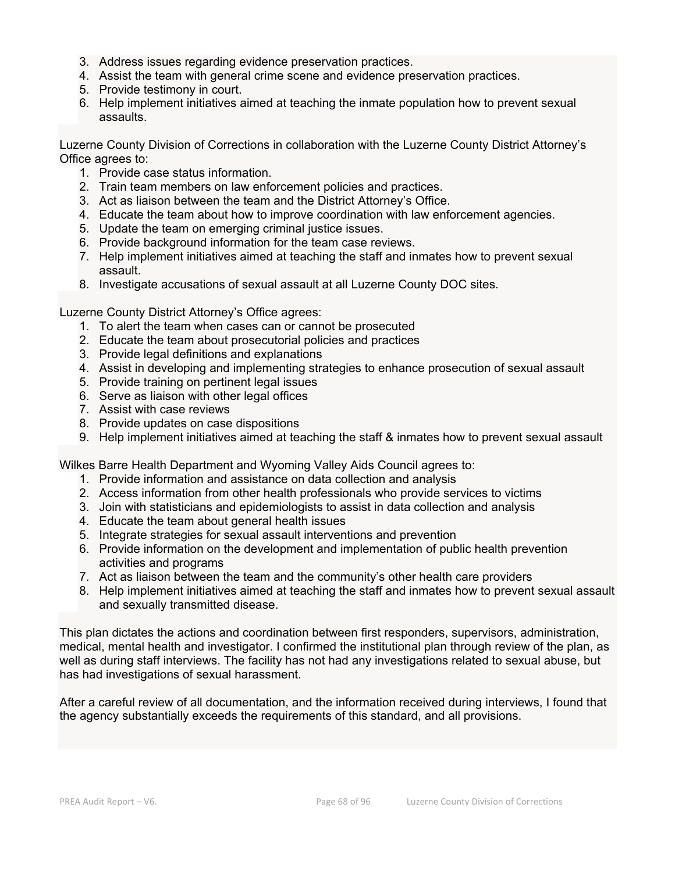- 3. Address issues regarding evidence preservation practices.
- 4. Assist the team with general crime scene and evidence preservation practices.
- 5. Provide testimony in court.
- 6. Help implement initiatives aimed at teaching the inmate population how to prevent sexual assaults.

Luzerne County Division of Corrections in collaboration with the Luzerne County District Attorney's Office agrees to:

- 1. Provide case status information.
- 2. Train team members on law enforcement policies and practices.
- 3. Act as liaison between the team and the District Attorney's Office.
- 4. Educate the team about how to improve coordination with law enforcement agencies.
- 5. Update the team on emerging criminal justice issues.
- 6. Provide background information for the team case reviews.
- 7. Help implement initiatives aimed at teaching the staff and inmates how to prevent sexual assault.
- 8. Investigate accusations of sexual assault at all Luzerne County DOC sites.

Luzerne County District Attorney's Office agrees:

- 1. To alert the team when cases can or cannot be prosecuted
- 2. Educate the team about prosecutorial policies and practices
- 3. Provide legal definitions and explanations
- 4. Assist in developing and implementing strategies to enhance prosecution of sexual assault
- 5. Provide training on pertinent legal issues
- 6. Serve as liaison with other legal offices
- 7. Assist with case reviews
- 8. Provide updates on case dispositions
- 9. Help implement initiatives aimed at teaching the staff & inmates how to prevent sexual assault

Wilkes Barre Health Department and Wyoming Valley Aids Council agrees to:

- 1. Provide information and assistance on data collection and analysis
- 2. Access information from other health professionals who provide services to victims
- 3. Join with statisticians and epidemiologists to assist in data collection and analysis
- 4. Educate the team about general health issues
- 5. Integrate strategies for sexual assault interventions and prevention
- 6. Provide information on the development and implementation of public health prevention activities and programs
- 7. Act as liaison between the team and the community's other health care providers
- 8. Help implement initiatives aimed at teaching the staff and inmates how to prevent sexual assault and sexually transmitted disease.

This plan dictates the actions and coordination between first responders, supervisors, administration, medical, mental health and investigator. I confirmed the institutional plan through review of the plan, as well as during staff interviews. The facility has not had any investigations related to sexual abuse, but has had investigations of sexual harassment.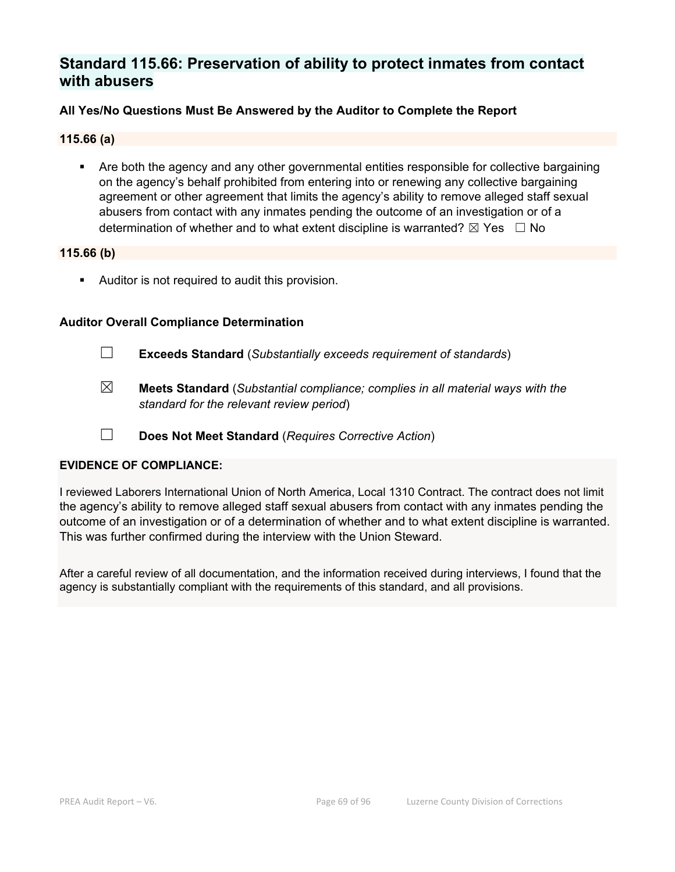# **Standard 115.66: Preservation of ability to protect inmates from contact with abusers**

### **All Yes/No Questions Must Be Answered by the Auditor to Complete the Report**

#### **115.66 (a)**

 Are both the agency and any other governmental entities responsible for collective bargaining on the agency's behalf prohibited from entering into or renewing any collective bargaining agreement or other agreement that limits the agency's ability to remove alleged staff sexual abusers from contact with any inmates pending the outcome of an investigation or of a determination of whether and to what extent discipline is warranted?  $\boxtimes$  Yes  $\Box$  No

#### **115.66 (b)**

Auditor is not required to audit this provision.

#### **Auditor Overall Compliance Determination**

- ☐ **Exceeds Standard** (*Substantially exceeds requirement of standards*)
- ☒ **Meets Standard** (*Substantial compliance; complies in all material ways with the standard for the relevant review period*)
- ☐ **Does Not Meet Standard** (*Requires Corrective Action*)

#### **EVIDENCE OF COMPLIANCE:**

I reviewed Laborers International Union of North America, Local 1310 Contract. The contract does not limit the agency's ability to remove alleged staff sexual abusers from contact with any inmates pending the outcome of an investigation or of a determination of whether and to what extent discipline is warranted. This was further confirmed during the interview with the Union Steward.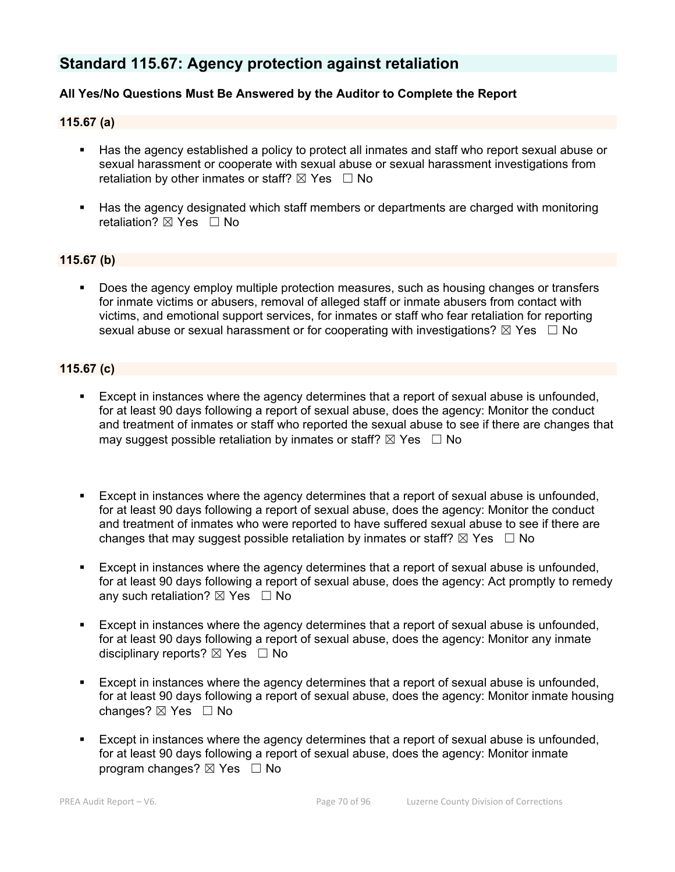# **Standard 115.67: Agency protection against retaliation**

# **All Yes/No Questions Must Be Answered by the Auditor to Complete the Report**

#### **115.67 (a)**

- Has the agency established a policy to protect all inmates and staff who report sexual abuse or sexual harassment or cooperate with sexual abuse or sexual harassment investigations from retaliation by other inmates or staff?  $\boxtimes$  Yes  $\Box$  No
- Has the agency designated which staff members or departments are charged with monitoring retaliation?  $\boxtimes$  Yes  $\Box$  No

#### **115.67 (b)**

 Does the agency employ multiple protection measures, such as housing changes or transfers for inmate victims or abusers, removal of alleged staff or inmate abusers from contact with victims, and emotional support services, for inmates or staff who fear retaliation for reporting sexual abuse or sexual harassment or for cooperating with investigations?  $\boxtimes$  Yes  $\Box$  No

#### **115.67 (c)**

- **Except in instances where the agency determines that a report of sexual abuse is unfounded,** for at least 90 days following a report of sexual abuse, does the agency: Monitor the conduct and treatment of inmates or staff who reported the sexual abuse to see if there are changes that may suggest possible retaliation by inmates or staff?  $\boxtimes$  Yes  $\Box$  No
- Except in instances where the agency determines that a report of sexual abuse is unfounded, for at least 90 days following a report of sexual abuse, does the agency: Monitor the conduct and treatment of inmates who were reported to have suffered sexual abuse to see if there are changes that may suggest possible retaliation by inmates or staff?  $\boxtimes$  Yes  $\Box$  No
- Except in instances where the agency determines that a report of sexual abuse is unfounded, for at least 90 days following a report of sexual abuse, does the agency: Act promptly to remedy any such retaliation?  $\boxtimes$  Yes  $\Box$  No
- Except in instances where the agency determines that a report of sexual abuse is unfounded, for at least 90 days following a report of sexual abuse, does the agency: Monitor any inmate disciplinary reports?  $\boxtimes$  Yes  $\Box$  No
- Except in instances where the agency determines that a report of sexual abuse is unfounded, for at least 90 days following a report of sexual abuse, does the agency: Monitor inmate housing changes? ⊠ Yes □ No
- Except in instances where the agency determines that a report of sexual abuse is unfounded, for at least 90 days following a report of sexual abuse, does the agency: Monitor inmate program changes?  $\boxtimes$  Yes  $\Box$  No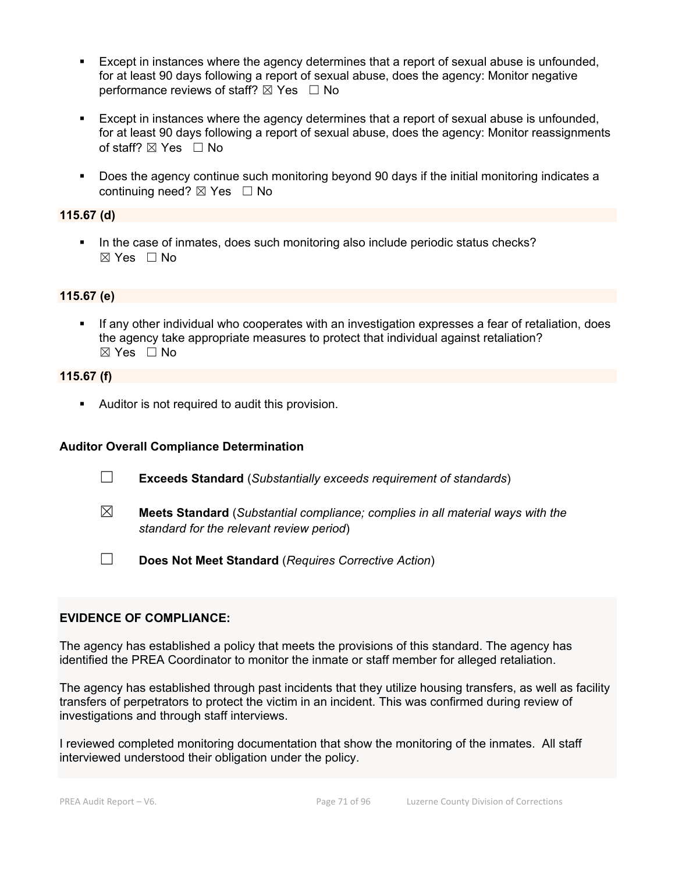- Except in instances where the agency determines that a report of sexual abuse is unfounded, for at least 90 days following a report of sexual abuse, does the agency: Monitor negative performance reviews of staff?  $\boxtimes$  Yes  $\Box$  No
- Except in instances where the agency determines that a report of sexual abuse is unfounded, for at least 90 days following a report of sexual abuse, does the agency: Monitor reassignments of staff?  $\boxtimes$  Yes  $\Box$  No
- Does the agency continue such monitoring beyond 90 days if the initial monitoring indicates a continuing need? ⊠ Yes □ No

### **115.67 (d)**

In the case of inmates, does such monitoring also include periodic status checks?  $\boxtimes$  Yes  $\Box$  No

#### **115.67 (e)**

 If any other individual who cooperates with an investigation expresses a fear of retaliation, does the agency take appropriate measures to protect that individual against retaliation?  $\boxtimes$  Yes  $\Box$  No

#### **115.67 (f)**

Auditor is not required to audit this provision.

#### **Auditor Overall Compliance Determination**

- ☐ **Exceeds Standard** (*Substantially exceeds requirement of standards*)
- ☒ **Meets Standard** (*Substantial compliance; complies in all material ways with the standard for the relevant review period*)
- ☐ **Does Not Meet Standard** (*Requires Corrective Action*)

#### **EVIDENCE OF COMPLIANCE:**

The agency has established a policy that meets the provisions of this standard. The agency has identified the PREA Coordinator to monitor the inmate or staff member for alleged retaliation.

The agency has established through past incidents that they utilize housing transfers, as well as facility transfers of perpetrators to protect the victim in an incident. This was confirmed during review of investigations and through staff interviews.

I reviewed completed monitoring documentation that show the monitoring of the inmates. All staff interviewed understood their obligation under the policy.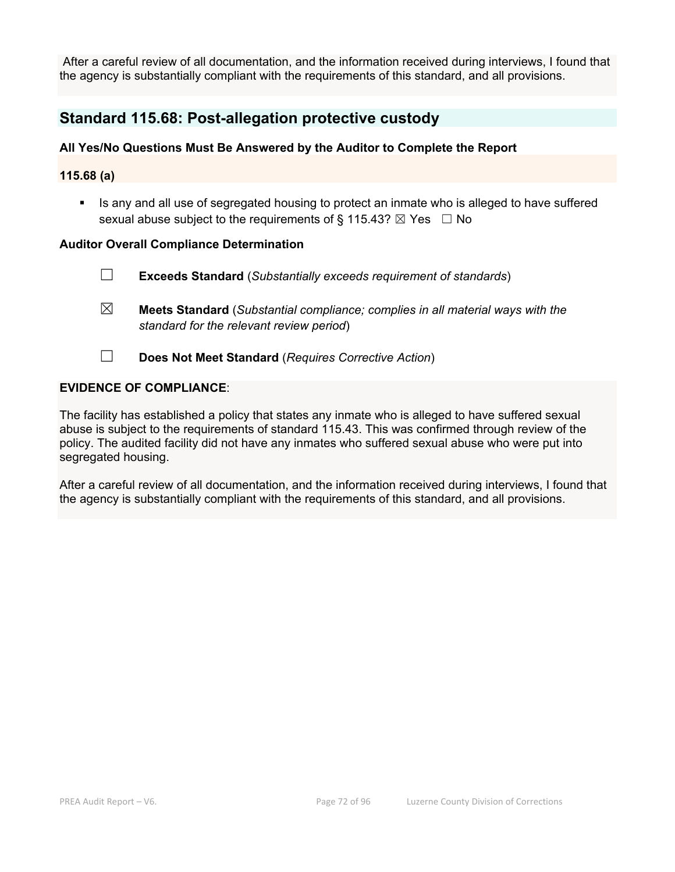After a careful review of all documentation, and the information received during interviews, I found that the agency is substantially compliant with the requirements of this standard, and all provisions.

# **Standard 115.68: Post-allegation protective custody**

# **All Yes/No Questions Must Be Answered by the Auditor to Complete the Report**

#### **115.68 (a)**

 Is any and all use of segregated housing to protect an inmate who is alleged to have suffered sexual abuse subject to the requirements of § 115.43?  $\boxtimes$  Yes  $\Box$  No

#### **Auditor Overall Compliance Determination**

- ☐ **Exceeds Standard** (*Substantially exceeds requirement of standards*)
- ☒ **Meets Standard** (*Substantial compliance; complies in all material ways with the standard for the relevant review period*)
- ☐ **Does Not Meet Standard** (*Requires Corrective Action*)

# **EVIDENCE OF COMPLIANCE**:

The facility has established a policy that states any inmate who is alleged to have suffered sexual abuse is subject to the requirements of standard 115.43. This was confirmed through review of the policy. The audited facility did not have any inmates who suffered sexual abuse who were put into segregated housing.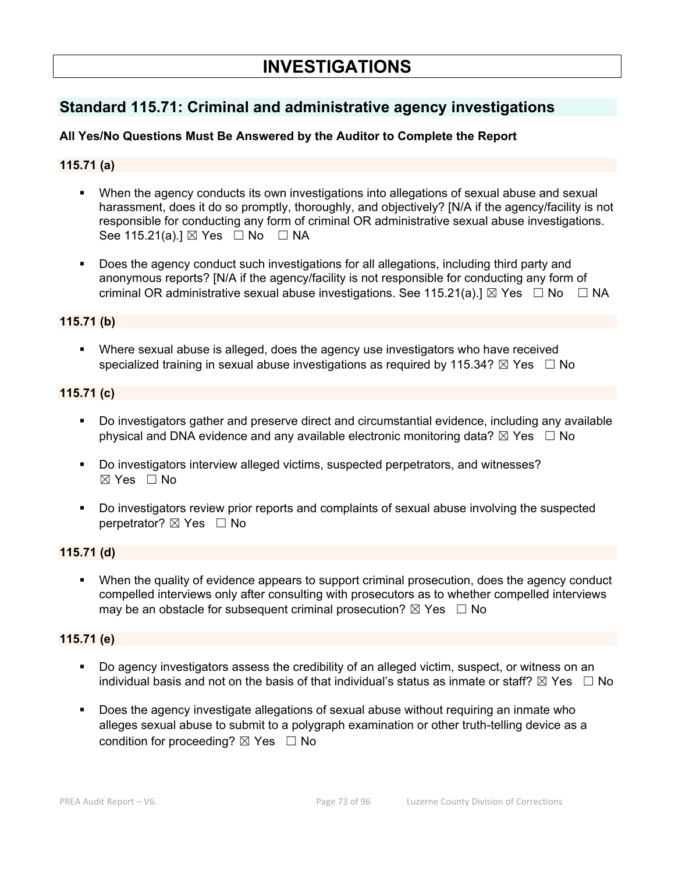# **Standard 115.71: Criminal and administrative agency investigations**

# **All Yes/No Questions Must Be Answered by the Auditor to Complete the Report**

# **115.71 (a)**

- When the agency conducts its own investigations into allegations of sexual abuse and sexual harassment, does it do so promptly, thoroughly, and objectively? [N/A if the agency/facility is not responsible for conducting any form of criminal OR administrative sexual abuse investigations. See 115.21(a).]  $\boxtimes$  Yes  $\Box$  No  $\Box$  NA
- Does the agency conduct such investigations for all allegations, including third party and anonymous reports? [N/A if the agency/facility is not responsible for conducting any form of criminal OR administrative sexual abuse investigations. See 115.21(a).]  $\boxtimes$  Yes  $\Box$  No  $\Box$  NA

#### **115.71 (b)**

 Where sexual abuse is alleged, does the agency use investigators who have received specialized training in sexual abuse investigations as required by 115.34?  $\boxtimes$  Yes  $\Box$  No

## **115.71 (c)**

- Do investigators gather and preserve direct and circumstantial evidence, including any available physical and DNA evidence and any available electronic monitoring data?  $\boxtimes$  Yes  $\Box$  No
- Do investigators interview alleged victims, suspected perpetrators, and witnesses?  $\boxtimes$  Yes  $\Box$  No
- Do investigators review prior reports and complaints of sexual abuse involving the suspected perpetrator?  $\boxtimes$  Yes  $\Box$  No

#### **115.71 (d)**

 When the quality of evidence appears to support criminal prosecution, does the agency conduct compelled interviews only after consulting with prosecutors as to whether compelled interviews may be an obstacle for subsequent criminal prosecution?  $\boxtimes$  Yes  $\Box$  No

# **115.71 (e)**

- Do agency investigators assess the credibility of an alleged victim, suspect, or witness on an individual basis and not on the basis of that individual's status as inmate or staff?  $\boxtimes$  Yes  $\Box$  No
- Does the agency investigate allegations of sexual abuse without requiring an inmate who alleges sexual abuse to submit to a polygraph examination or other truth-telling device as a condition for proceeding?  $\boxtimes$  Yes  $\Box$  No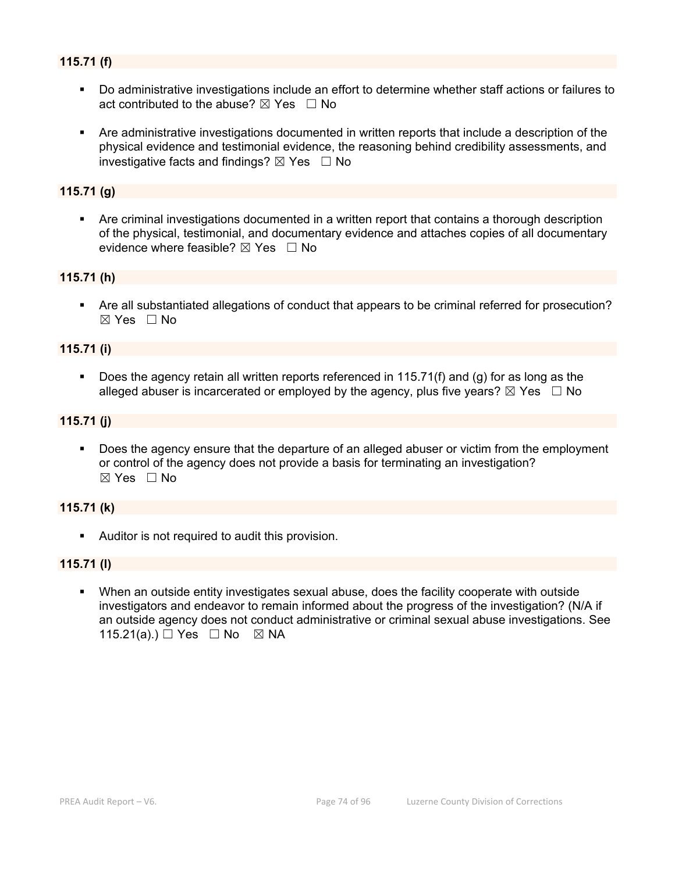# **115.71 (f)**

- Do administrative investigations include an effort to determine whether staff actions or failures to act contributed to the abuse?  $\boxtimes$  Yes  $\Box$  No
- Are administrative investigations documented in written reports that include a description of the physical evidence and testimonial evidence, the reasoning behind credibility assessments, and investigative facts and findings?  $\boxtimes$  Yes  $\Box$  No

# **115.71 (g)**

 Are criminal investigations documented in a written report that contains a thorough description of the physical, testimonial, and documentary evidence and attaches copies of all documentary evidence where feasible?  $\boxtimes$  Yes  $\Box$  No

#### **115.71 (h)**

 Are all substantiated allegations of conduct that appears to be criminal referred for prosecution?  $\boxtimes$  Yes  $\Box$  No

#### **115.71 (i)**

 Does the agency retain all written reports referenced in 115.71(f) and (g) for as long as the alleged abuser is incarcerated or employed by the agency, plus five years?  $\boxtimes$  Yes  $\Box$  No

#### **115.71 (j)**

 Does the agency ensure that the departure of an alleged abuser or victim from the employment or control of the agency does not provide a basis for terminating an investigation? ☒ Yes ☐ No

#### **115.71 (k)**

Auditor is not required to audit this provision.

#### **115.71 (l)**

 When an outside entity investigates sexual abuse, does the facility cooperate with outside investigators and endeavor to remain informed about the progress of the investigation? (N/A if an outside agency does not conduct administrative or criminal sexual abuse investigations. See 115.21(a).) □ Yes □ No ⊠ NA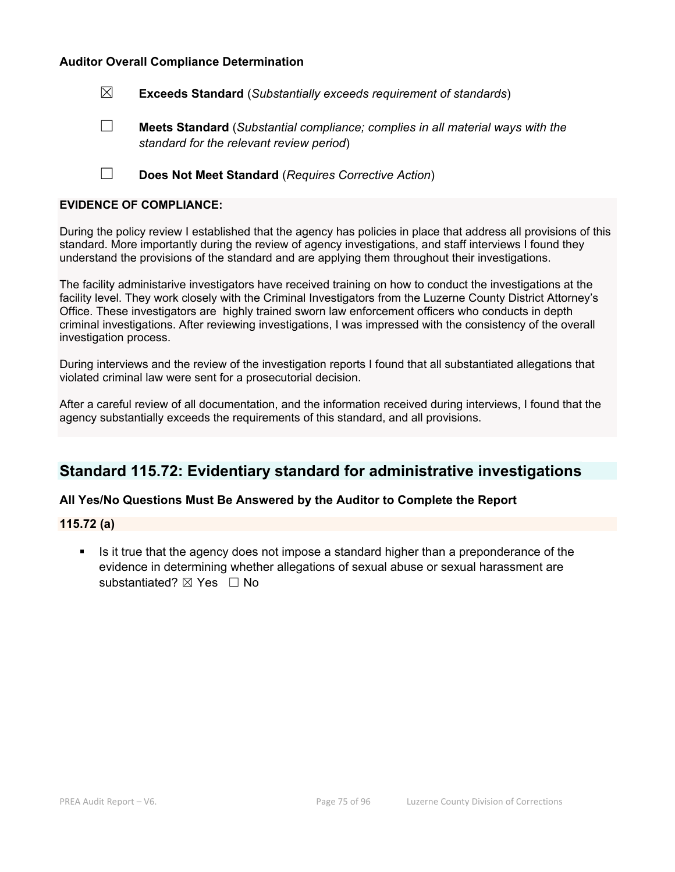☒ **Exceeds Standard** (*Substantially exceeds requirement of standards*)

☐ **Meets Standard** (*Substantial compliance; complies in all material ways with the standard for the relevant review period*)

☐ **Does Not Meet Standard** (*Requires Corrective Action*)

#### **EVIDENCE OF COMPLIANCE:**

During the policy review I established that the agency has policies in place that address all provisions of this standard. More importantly during the review of agency investigations, and staff interviews I found they understand the provisions of the standard and are applying them throughout their investigations.

The facility administarive investigators have received training on how to conduct the investigations at the facility level. They work closely with the Criminal Investigators from the Luzerne County District Attorney's Office. These investigators are highly trained sworn law enforcement officers who conducts in depth criminal investigations. After reviewing investigations, I was impressed with the consistency of the overall investigation process.

During interviews and the review of the investigation reports I found that all substantiated allegations that violated criminal law were sent for a prosecutorial decision.

After a careful review of all documentation, and the information received during interviews, I found that the agency substantially exceeds the requirements of this standard, and all provisions.

# **Standard 115.72: Evidentiary standard for administrative investigations**

#### **All Yes/No Questions Must Be Answered by the Auditor to Complete the Report**

**115.72 (a)** 

 Is it true that the agency does not impose a standard higher than a preponderance of the evidence in determining whether allegations of sexual abuse or sexual harassment are substantiated? ⊠ Yes □ No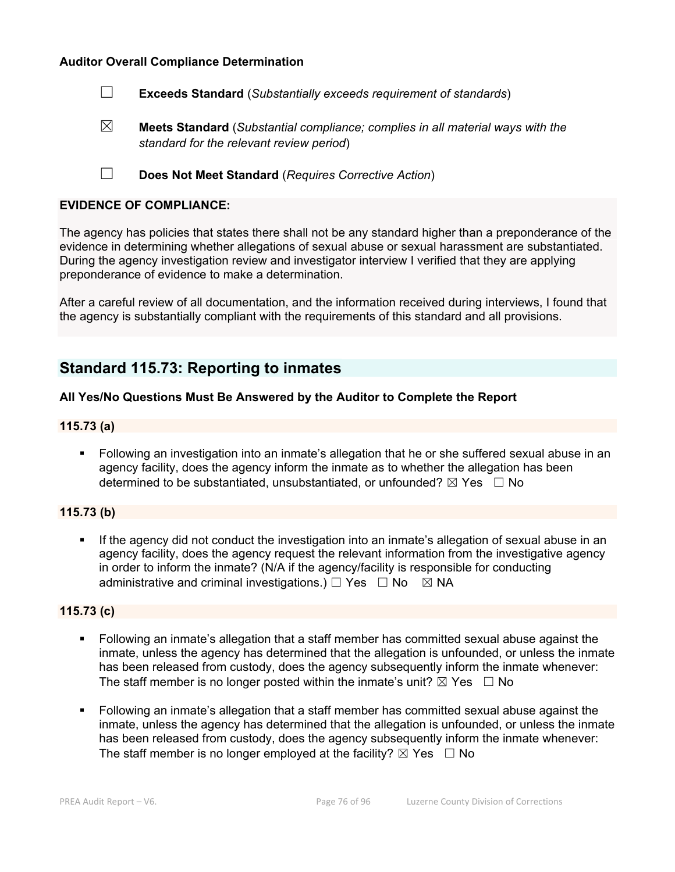☐ **Exceeds Standard** (*Substantially exceeds requirement of standards*)

- ☒ **Meets Standard** (*Substantial compliance; complies in all material ways with the standard for the relevant review period*)
- ☐ **Does Not Meet Standard** (*Requires Corrective Action*)

#### **EVIDENCE OF COMPLIANCE:**

The agency has policies that states there shall not be any standard higher than a preponderance of the evidence in determining whether allegations of sexual abuse or sexual harassment are substantiated. During the agency investigation review and investigator interview I verified that they are applying preponderance of evidence to make a determination.

After a careful review of all documentation, and the information received during interviews, I found that the agency is substantially compliant with the requirements of this standard and all provisions.

# **Standard 115.73: Reporting to inmates**

## **All Yes/No Questions Must Be Answered by the Auditor to Complete the Report**

#### **115.73 (a)**

 Following an investigation into an inmate's allegation that he or she suffered sexual abuse in an agency facility, does the agency inform the inmate as to whether the allegation has been determined to be substantiated, unsubstantiated, or unfounded?  $\boxtimes$  Yes  $\Box$  No

#### **115.73 (b)**

If the agency did not conduct the investigation into an inmate's allegation of sexual abuse in an agency facility, does the agency request the relevant information from the investigative agency in order to inform the inmate? (N/A if the agency/facility is responsible for conducting administrative and criminal investigations.)  $\Box$  Yes  $\Box$  No  $\boxtimes$  NA

#### **115.73 (c)**

- Following an inmate's allegation that a staff member has committed sexual abuse against the inmate, unless the agency has determined that the allegation is unfounded, or unless the inmate has been released from custody, does the agency subsequently inform the inmate whenever: The staff member is no longer posted within the inmate's unit?  $\boxtimes$  Yes  $\Box$  No
- Following an inmate's allegation that a staff member has committed sexual abuse against the inmate, unless the agency has determined that the allegation is unfounded, or unless the inmate has been released from custody, does the agency subsequently inform the inmate whenever: The staff member is no longer employed at the facility?  $\boxtimes$  Yes  $\Box$  No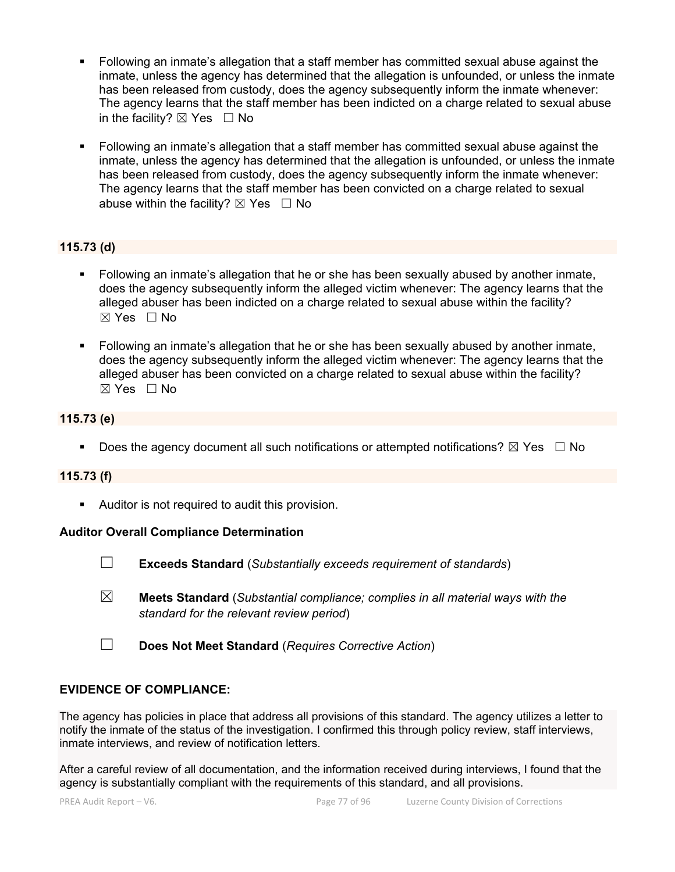- Following an inmate's allegation that a staff member has committed sexual abuse against the inmate, unless the agency has determined that the allegation is unfounded, or unless the inmate has been released from custody, does the agency subsequently inform the inmate whenever: The agency learns that the staff member has been indicted on a charge related to sexual abuse in the facility?  $\boxtimes$  Yes  $\Box$  No
- Following an inmate's allegation that a staff member has committed sexual abuse against the inmate, unless the agency has determined that the allegation is unfounded, or unless the inmate has been released from custody, does the agency subsequently inform the inmate whenever: The agency learns that the staff member has been convicted on a charge related to sexual abuse within the facility?  $\boxtimes$  Yes  $\Box$  No

# **115.73 (d)**

- Following an inmate's allegation that he or she has been sexually abused by another inmate, does the agency subsequently inform the alleged victim whenever: The agency learns that the alleged abuser has been indicted on a charge related to sexual abuse within the facility?  $\boxtimes$  Yes  $\Box$  No
- Following an inmate's allegation that he or she has been sexually abused by another inmate, does the agency subsequently inform the alleged victim whenever: The agency learns that the alleged abuser has been convicted on a charge related to sexual abuse within the facility? ☒ Yes ☐ No

# **115.73 (e)**

Does the agency document all such notifications or attempted notifications?  $\boxtimes$  Yes  $\Box$  No

#### **115.73 (f)**

Auditor is not required to audit this provision.

#### **Auditor Overall Compliance Determination**

- ☐ **Exceeds Standard** (*Substantially exceeds requirement of standards*)
- ☒ **Meets Standard** (*Substantial compliance; complies in all material ways with the standard for the relevant review period*)
- ☐ **Does Not Meet Standard** (*Requires Corrective Action*)

#### **EVIDENCE OF COMPLIANCE:**

The agency has policies in place that address all provisions of this standard. The agency utilizes a letter to notify the inmate of the status of the investigation. I confirmed this through policy review, staff interviews, inmate interviews, and review of notification letters.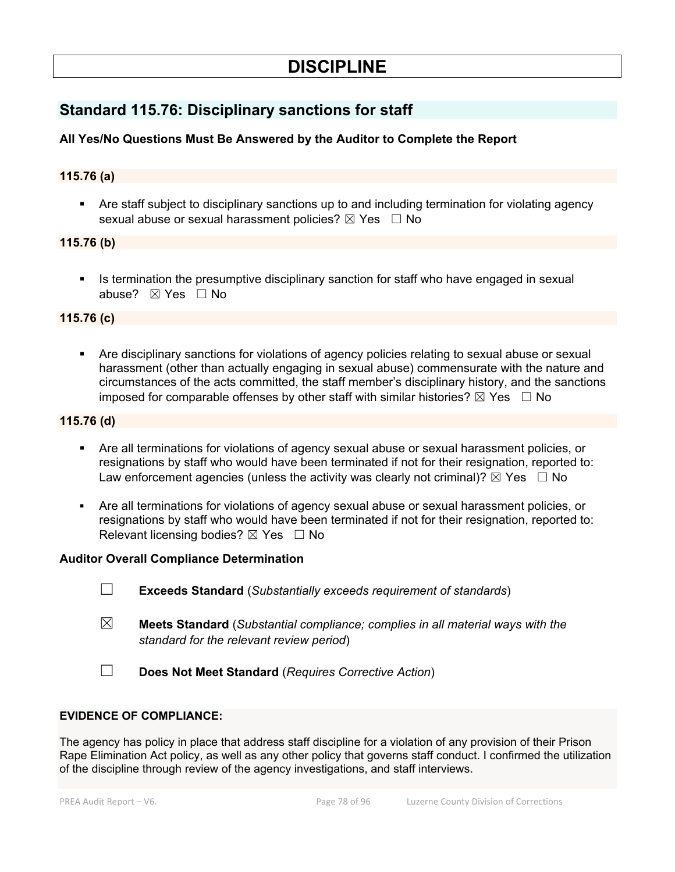# **DISCIPLINE**

# **Standard 115.76: Disciplinary sanctions for staff**

# **All Yes/No Questions Must Be Answered by the Auditor to Complete the Report**

# **115.76 (a)**

 Are staff subject to disciplinary sanctions up to and including termination for violating agency sexual abuse or sexual harassment policies?  $\boxtimes$  Yes  $\Box$  No

## **115.76 (b)**

 Is termination the presumptive disciplinary sanction for staff who have engaged in sexual abuse? ⊠ Yes □ No

## **115.76 (c)**

 Are disciplinary sanctions for violations of agency policies relating to sexual abuse or sexual harassment (other than actually engaging in sexual abuse) commensurate with the nature and circumstances of the acts committed, the staff member's disciplinary history, and the sanctions imposed for comparable offenses by other staff with similar histories?  $\boxtimes$  Yes  $\Box$  No

# **115.76 (d)**

- Are all terminations for violations of agency sexual abuse or sexual harassment policies, or resignations by staff who would have been terminated if not for their resignation, reported to: Law enforcement agencies (unless the activity was clearly not criminal)?  $\boxtimes$  Yes  $\Box$  No
- Are all terminations for violations of agency sexual abuse or sexual harassment policies, or resignations by staff who would have been terminated if not for their resignation, reported to: Relevant licensing bodies?  $\boxtimes$  Yes  $\Box$  No

#### **Auditor Overall Compliance Determination**

- ☐ **Exceeds Standard** (*Substantially exceeds requirement of standards*)
- ☒ **Meets Standard** (*Substantial compliance; complies in all material ways with the standard for the relevant review period*)
- ☐ **Does Not Meet Standard** (*Requires Corrective Action*)

#### **EVIDENCE OF COMPLIANCE:**

The agency has policy in place that address staff discipline for a violation of any provision of their Prison Rape Elimination Act policy, as well as any other policy that governs staff conduct. I confirmed the utilization of the discipline through review of the agency investigations, and staff interviews.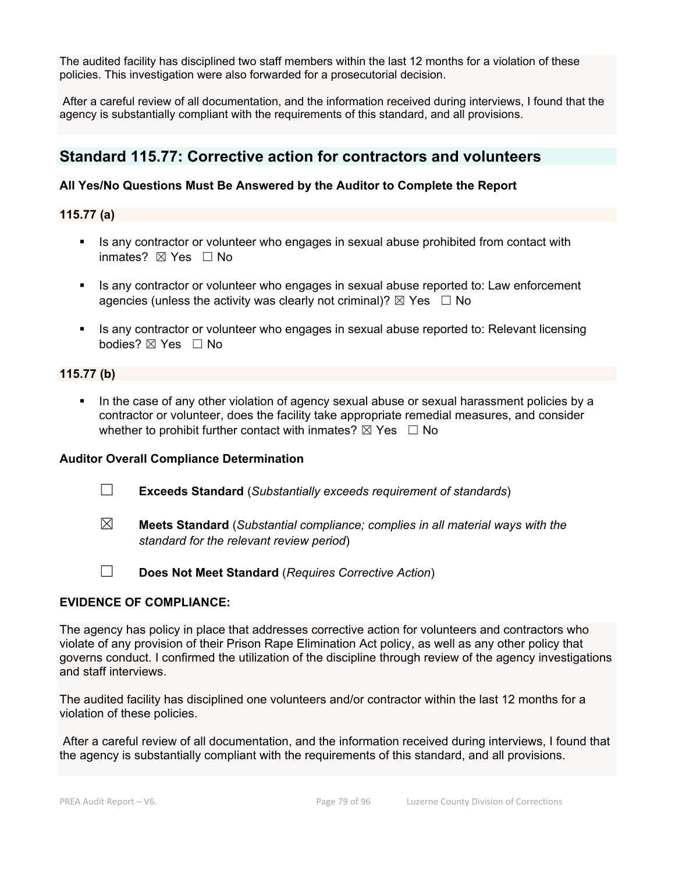The audited facility has disciplined two staff members within the last 12 months for a violation of these policies. This investigation were also forwarded for a prosecutorial decision.

 After a careful review of all documentation, and the information received during interviews, I found that the agency is substantially compliant with the requirements of this standard, and all provisions.

# **Standard 115.77: Corrective action for contractors and volunteers**

# **All Yes/No Questions Must Be Answered by the Auditor to Complete the Report**

**115.77 (a)** 

- Is any contractor or volunteer who engages in sexual abuse prohibited from contact with inmates? ⊠ Yes □ No
- Is any contractor or volunteer who engages in sexual abuse reported to: Law enforcement agencies (unless the activity was clearly not criminal)?  $\boxtimes$  Yes  $\Box$  No
- Is any contractor or volunteer who engages in sexual abuse reported to: Relevant licensing bodies? ☒ Yes ☐ No

## **115.77 (b)**

 In the case of any other violation of agency sexual abuse or sexual harassment policies by a contractor or volunteer, does the facility take appropriate remedial measures, and consider whether to prohibit further contact with inmates?  $\boxtimes$  Yes  $\Box$  No

# **Auditor Overall Compliance Determination**

- ☐ **Exceeds Standard** (*Substantially exceeds requirement of standards*)
- ☒ **Meets Standard** (*Substantial compliance; complies in all material ways with the standard for the relevant review period*)
- ☐ **Does Not Meet Standard** (*Requires Corrective Action*)

#### **EVIDENCE OF COMPLIANCE:**

The agency has policy in place that addresses corrective action for volunteers and contractors who violate of any provision of their Prison Rape Elimination Act policy, as well as any other policy that governs conduct. I confirmed the utilization of the discipline through review of the agency investigations and staff interviews.

The audited facility has disciplined one volunteers and/or contractor within the last 12 months for a violation of these policies.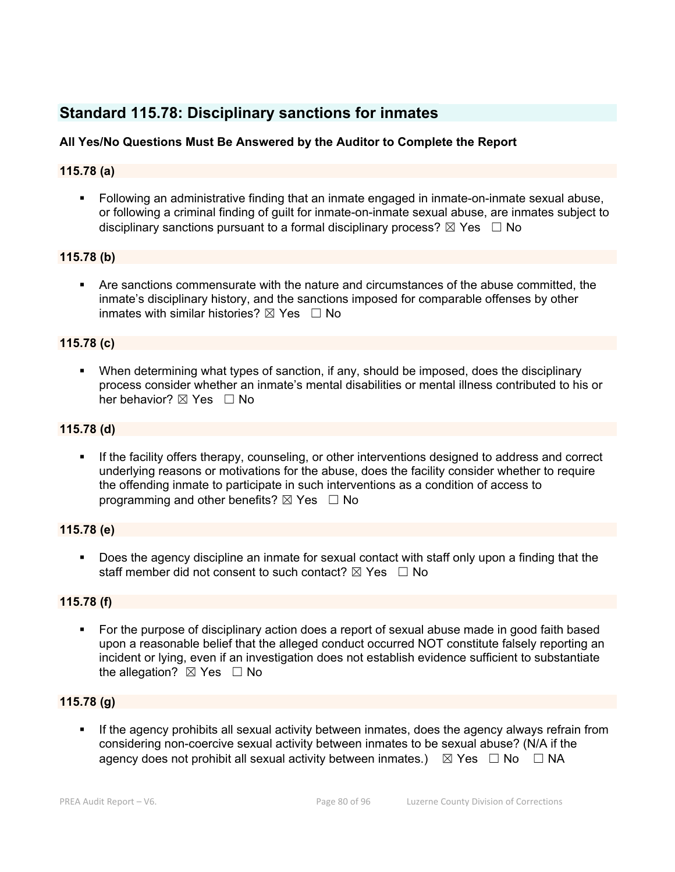# **Standard 115.78: Disciplinary sanctions for inmates**

# **All Yes/No Questions Must Be Answered by the Auditor to Complete the Report**

# **115.78 (a)**

 Following an administrative finding that an inmate engaged in inmate-on-inmate sexual abuse, or following a criminal finding of guilt for inmate-on-inmate sexual abuse, are inmates subject to disciplinary sanctions pursuant to a formal disciplinary process?  $\boxtimes$  Yes  $\Box$  No

## **115.78 (b)**

 Are sanctions commensurate with the nature and circumstances of the abuse committed, the inmate's disciplinary history, and the sanctions imposed for comparable offenses by other inmates with similar histories?  $\boxtimes$  Yes  $\Box$  No

## **115.78 (c)**

 When determining what types of sanction, if any, should be imposed, does the disciplinary process consider whether an inmate's mental disabilities or mental illness contributed to his or her behavior? ⊠ Yes □ No

## **115.78 (d)**

 If the facility offers therapy, counseling, or other interventions designed to address and correct underlying reasons or motivations for the abuse, does the facility consider whether to require the offending inmate to participate in such interventions as a condition of access to programming and other benefits?  $\boxtimes$  Yes  $\Box$  No

#### **115.78 (e)**

Does the agency discipline an inmate for sexual contact with staff only upon a finding that the staff member did not consent to such contact?  $\boxtimes$  Yes  $\Box$  No

# **115.78 (f)**

• For the purpose of disciplinary action does a report of sexual abuse made in good faith based upon a reasonable belief that the alleged conduct occurred NOT constitute falsely reporting an incident or lying, even if an investigation does not establish evidence sufficient to substantiate the allegation?  $\boxtimes$  Yes  $\Box$  No

# **115.78 (g)**

 If the agency prohibits all sexual activity between inmates, does the agency always refrain from considering non-coercive sexual activity between inmates to be sexual abuse? (N/A if the agency does not prohibit all sexual activity between inmates.)  $\boxtimes$  Yes  $\Box$  No  $\Box$  NA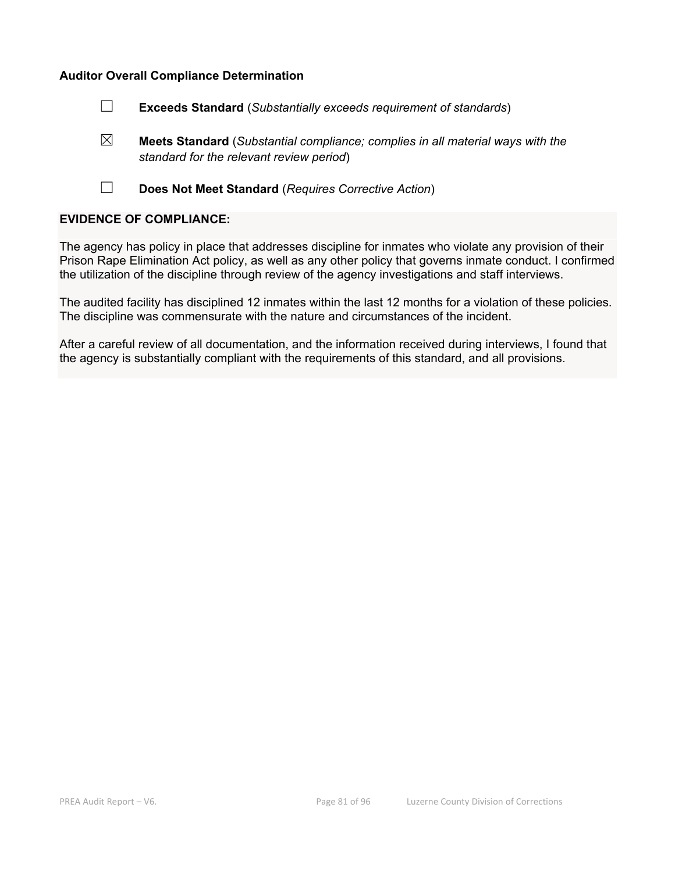- ☐ **Exceeds Standard** (*Substantially exceeds requirement of standards*)
- ☒ **Meets Standard** (*Substantial compliance; complies in all material ways with the standard for the relevant review period*)
- ☐ **Does Not Meet Standard** (*Requires Corrective Action*)

# **EVIDENCE OF COMPLIANCE:**

The agency has policy in place that addresses discipline for inmates who violate any provision of their Prison Rape Elimination Act policy, as well as any other policy that governs inmate conduct. I confirmed the utilization of the discipline through review of the agency investigations and staff interviews.

The audited facility has disciplined 12 inmates within the last 12 months for a violation of these policies. The discipline was commensurate with the nature and circumstances of the incident.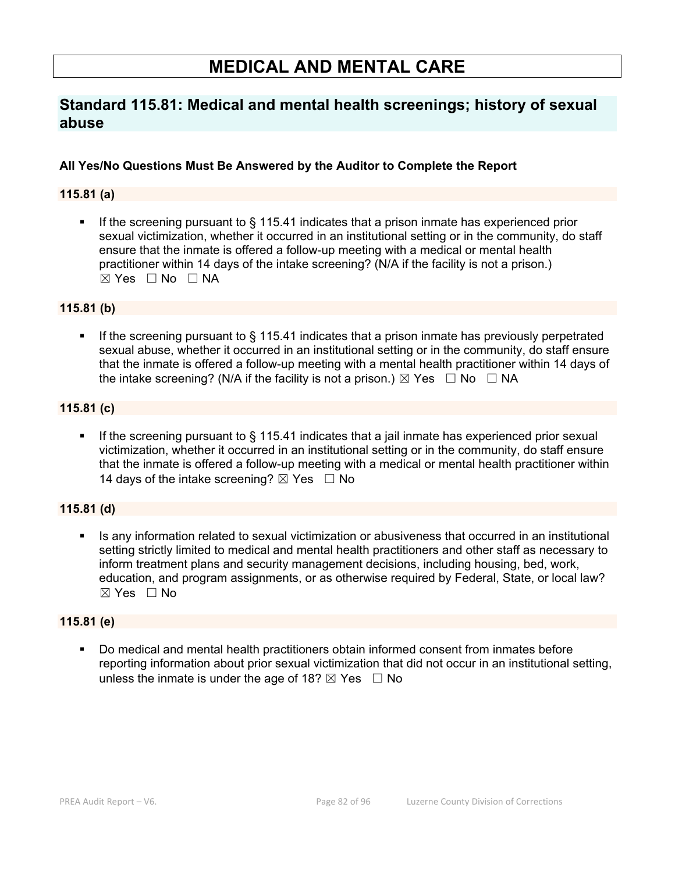# **MEDICAL AND MENTAL CARE**

# **Standard 115.81: Medical and mental health screenings; history of sexual abuse**

# **All Yes/No Questions Must Be Answered by the Auditor to Complete the Report**

# **115.81 (a)**

 If the screening pursuant to § 115.41 indicates that a prison inmate has experienced prior sexual victimization, whether it occurred in an institutional setting or in the community, do staff ensure that the inmate is offered a follow-up meeting with a medical or mental health practitioner within 14 days of the intake screening? (N/A if the facility is not a prison.)  $\boxtimes$  Yes  $\Box$  No  $\Box$  NA

## **115.81 (b)**

 If the screening pursuant to § 115.41 indicates that a prison inmate has previously perpetrated sexual abuse, whether it occurred in an institutional setting or in the community, do staff ensure that the inmate is offered a follow-up meeting with a mental health practitioner within 14 days of the intake screening? (N/A if the facility is not a prison.)  $\boxtimes$  Yes  $\Box$  No  $\Box$  NA

## **115.81 (c)**

If the screening pursuant to § 115.41 indicates that a jail inmate has experienced prior sexual victimization, whether it occurred in an institutional setting or in the community, do staff ensure that the inmate is offered a follow-up meeting with a medical or mental health practitioner within 14 days of the intake screening?  $\boxtimes$  Yes  $\Box$  No

# **115.81 (d)**

Is any information related to sexual victimization or abusiveness that occurred in an institutional setting strictly limited to medical and mental health practitioners and other staff as necessary to inform treatment plans and security management decisions, including housing, bed, work, education, and program assignments, or as otherwise required by Federal, State, or local law?  $\boxtimes$  Yes  $\Box$  No

#### **115.81 (e)**

 Do medical and mental health practitioners obtain informed consent from inmates before reporting information about prior sexual victimization that did not occur in an institutional setting, unless the inmate is under the age of 18?  $\boxtimes$  Yes  $\Box$  No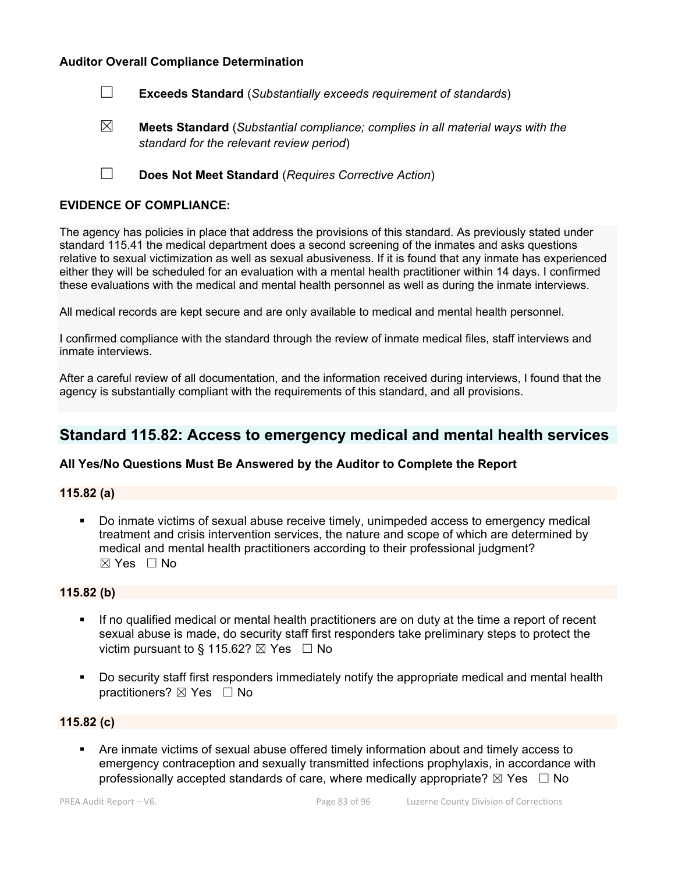☐ **Exceeds Standard** (*Substantially exceeds requirement of standards*)

☒ **Meets Standard** (*Substantial compliance; complies in all material ways with the standard for the relevant review period*)

☐ **Does Not Meet Standard** (*Requires Corrective Action*)

#### **EVIDENCE OF COMPLIANCE:**

The agency has policies in place that address the provisions of this standard. As previously stated under standard 115.41 the medical department does a second screening of the inmates and asks questions relative to sexual victimization as well as sexual abusiveness. If it is found that any inmate has experienced either they will be scheduled for an evaluation with a mental health practitioner within 14 days. I confirmed these evaluations with the medical and mental health personnel as well as during the inmate interviews.

All medical records are kept secure and are only available to medical and mental health personnel.

I confirmed compliance with the standard through the review of inmate medical files, staff interviews and inmate interviews.

After a careful review of all documentation, and the information received during interviews, I found that the agency is substantially compliant with the requirements of this standard, and all provisions.

# **Standard 115.82: Access to emergency medical and mental health services**

#### **All Yes/No Questions Must Be Answered by the Auditor to Complete the Report**

## **115.82 (a)**

 Do inmate victims of sexual abuse receive timely, unimpeded access to emergency medical treatment and crisis intervention services, the nature and scope of which are determined by medical and mental health practitioners according to their professional judgment? ☒ Yes ☐ No

#### **115.82 (b)**

- If no qualified medical or mental health practitioners are on duty at the time a report of recent sexual abuse is made, do security staff first responders take preliminary steps to protect the victim pursuant to § 115.62?  $\boxtimes$  Yes  $\Box$  No
- Do security staff first responders immediately notify the appropriate medical and mental health practitioners?  $\boxtimes$  Yes  $\Box$  No

#### **115.82 (c)**

 Are inmate victims of sexual abuse offered timely information about and timely access to emergency contraception and sexually transmitted infections prophylaxis, in accordance with professionally accepted standards of care, where medically appropriate?  $\boxtimes$  Yes  $\Box$  No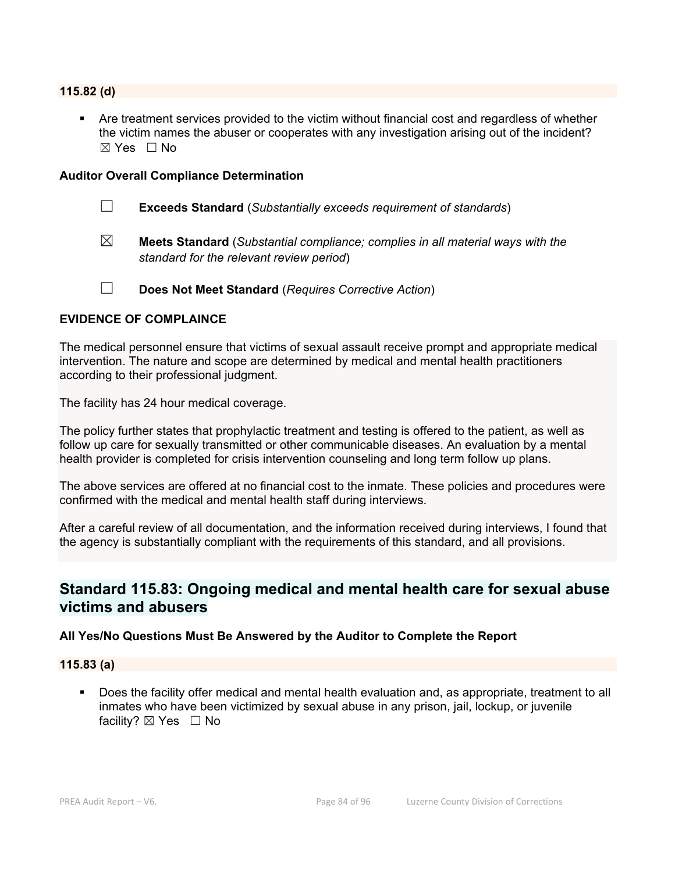# **115.82 (d)**

 Are treatment services provided to the victim without financial cost and regardless of whether the victim names the abuser or cooperates with any investigation arising out of the incident?  $\boxtimes$  Yes  $\Box$  No

#### **Auditor Overall Compliance Determination**

- ☐ **Exceeds Standard** (*Substantially exceeds requirement of standards*)
- ☒ **Meets Standard** (*Substantial compliance; complies in all material ways with the standard for the relevant review period*)
- ☐ **Does Not Meet Standard** (*Requires Corrective Action*)

#### **EVIDENCE OF COMPLAINCE**

The medical personnel ensure that victims of sexual assault receive prompt and appropriate medical intervention. The nature and scope are determined by medical and mental health practitioners according to their professional judgment.

The facility has 24 hour medical coverage.

The policy further states that prophylactic treatment and testing is offered to the patient, as well as follow up care for sexually transmitted or other communicable diseases. An evaluation by a mental health provider is completed for crisis intervention counseling and long term follow up plans.

The above services are offered at no financial cost to the inmate. These policies and procedures were confirmed with the medical and mental health staff during interviews.

After a careful review of all documentation, and the information received during interviews, I found that the agency is substantially compliant with the requirements of this standard, and all provisions.

# **Standard 115.83: Ongoing medical and mental health care for sexual abuse victims and abusers**

#### **All Yes/No Questions Must Be Answered by the Auditor to Complete the Report**

#### **115.83 (a)**

 Does the facility offer medical and mental health evaluation and, as appropriate, treatment to all inmates who have been victimized by sexual abuse in any prison, jail, lockup, or juvenile facility? ⊠ Yes □ No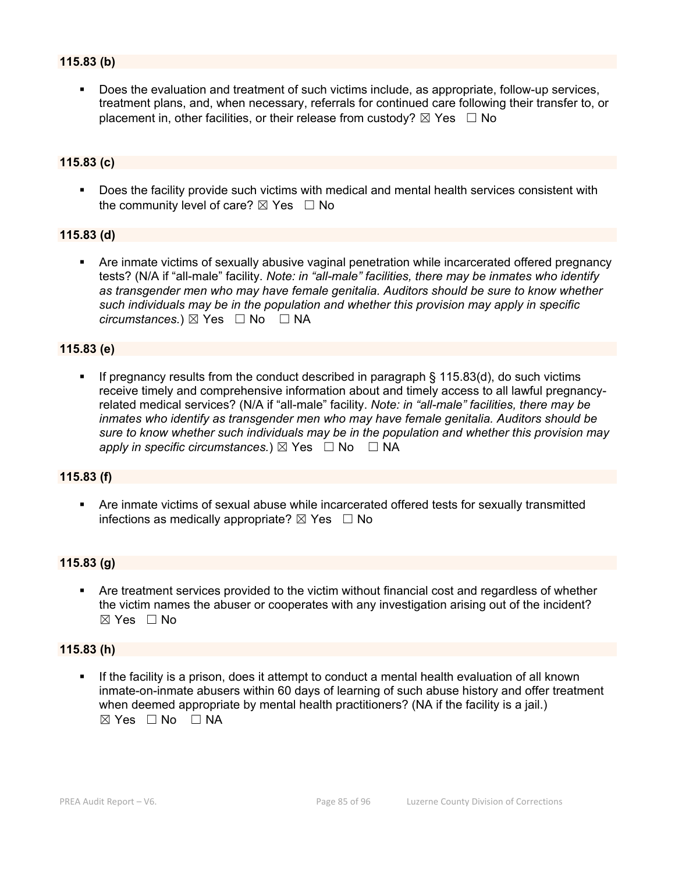# **115.83 (b)**

 Does the evaluation and treatment of such victims include, as appropriate, follow-up services, treatment plans, and, when necessary, referrals for continued care following their transfer to, or placement in, other facilities, or their release from custody?  $\boxtimes$  Yes  $\Box$  No

# **115.83 (c)**

**Does the facility provide such victims with medical and mental health services consistent with** the community level of care?  $\boxtimes$  Yes  $\Box$  No

## **115.83 (d)**

 Are inmate victims of sexually abusive vaginal penetration while incarcerated offered pregnancy tests? (N/A if "all-male" facility. *Note: in "all-male" facilities, there may be inmates who identify as transgender men who may have female genitalia. Auditors should be sure to know whether such individuals may be in the population and whether this provision may apply in specific circumstances.*) ⊠ Yes  $□$  No  $□$  NA

#### **115.83 (e)**

 If pregnancy results from the conduct described in paragraph § 115.83(d), do such victims receive timely and comprehensive information about and timely access to all lawful pregnancyrelated medical services? (N/A if "all-male" facility. *Note: in "all-male" facilities, there may be inmates who identify as transgender men who may have female genitalia. Auditors should be sure to know whether such individuals may be in the population and whether this provision may apply in specific circumstances.*) ⊠ Yes  $□$  No  $□$  NA

#### **115.83 (f)**

 Are inmate victims of sexual abuse while incarcerated offered tests for sexually transmitted infections as medically appropriate?  $\boxtimes$  Yes  $\Box$  No

# **115.83 (g)**

 Are treatment services provided to the victim without financial cost and regardless of whether the victim names the abuser or cooperates with any investigation arising out of the incident? ☒ Yes ☐ No

#### **115.83 (h)**

 If the facility is a prison, does it attempt to conduct a mental health evaluation of all known inmate-on-inmate abusers within 60 days of learning of such abuse history and offer treatment when deemed appropriate by mental health practitioners? (NA if the facility is a jail.)  $⊠ Yes ⊡ No ⊡ NA$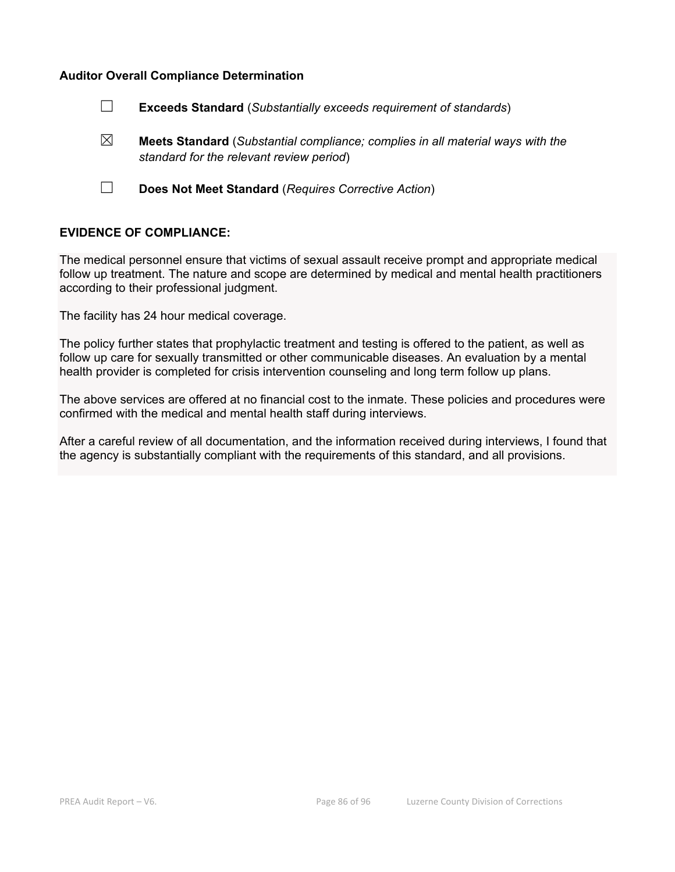- ☐ **Exceeds Standard** (*Substantially exceeds requirement of standards*)
- ☒ **Meets Standard** (*Substantial compliance; complies in all material ways with the standard for the relevant review period*)
- ☐ **Does Not Meet Standard** (*Requires Corrective Action*)

#### **EVIDENCE OF COMPLIANCE:**

The medical personnel ensure that victims of sexual assault receive prompt and appropriate medical follow up treatment. The nature and scope are determined by medical and mental health practitioners according to their professional judgment.

The facility has 24 hour medical coverage.

The policy further states that prophylactic treatment and testing is offered to the patient, as well as follow up care for sexually transmitted or other communicable diseases. An evaluation by a mental health provider is completed for crisis intervention counseling and long term follow up plans.

The above services are offered at no financial cost to the inmate. These policies and procedures were confirmed with the medical and mental health staff during interviews.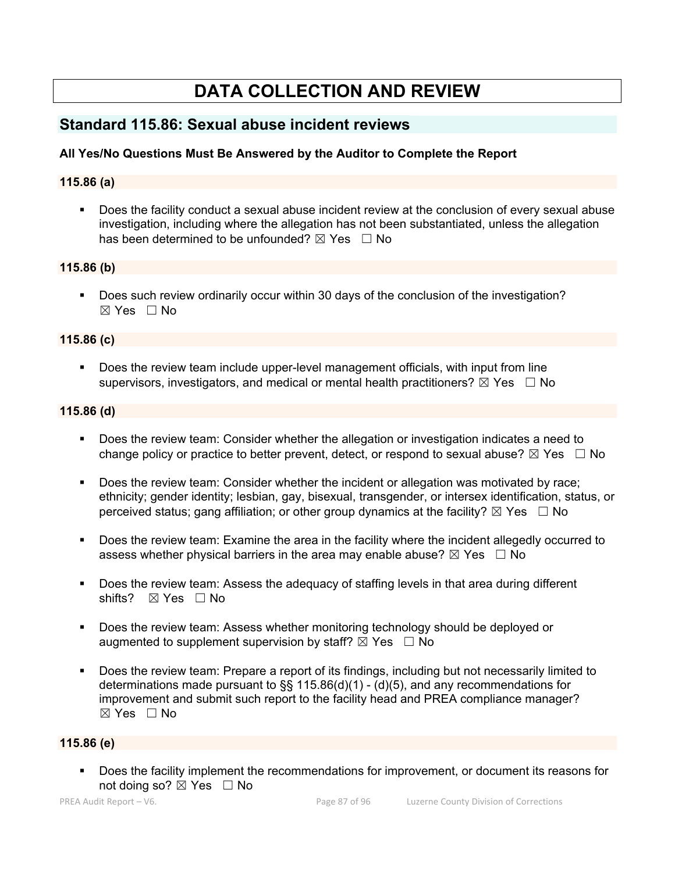# **DATA COLLECTION AND REVIEW**

# **Standard 115.86: Sexual abuse incident reviews**

# **All Yes/No Questions Must Be Answered by the Auditor to Complete the Report**

# **115.86 (a)**

 Does the facility conduct a sexual abuse incident review at the conclusion of every sexual abuse investigation, including where the allegation has not been substantiated, unless the allegation has been determined to be unfounded?  $\boxtimes$  Yes  $\Box$  No

## **115.86 (b)**

 Does such review ordinarily occur within 30 days of the conclusion of the investigation? ☒ Yes ☐ No

## **115.86 (c)**

 Does the review team include upper-level management officials, with input from line supervisors, investigators, and medical or mental health practitioners?  $\boxtimes$  Yes  $\Box$  No

# **115.86 (d)**

- Does the review team: Consider whether the allegation or investigation indicates a need to change policy or practice to better prevent, detect, or respond to sexual abuse?  $\boxtimes$  Yes  $\Box$  No
- Does the review team: Consider whether the incident or allegation was motivated by race; ethnicity; gender identity; lesbian, gay, bisexual, transgender, or intersex identification, status, or perceived status; gang affiliation; or other group dynamics at the facility?  $\boxtimes$  Yes  $\Box$  No
- Does the review team: Examine the area in the facility where the incident allegedly occurred to assess whether physical barriers in the area may enable abuse?  $\boxtimes$  Yes  $\Box$  No
- Does the review team: Assess the adequacy of staffing levels in that area during different shifts? ⊠ Yes □ No
- Does the review team: Assess whether monitoring technology should be deployed or augmented to supplement supervision by staff?  $\boxtimes$  Yes  $\Box$  No
- Does the review team: Prepare a report of its findings, including but not necessarily limited to determinations made pursuant to  $\S$ § 115.86(d)(1) - (d)(5), and any recommendations for improvement and submit such report to the facility head and PREA compliance manager?  $\boxtimes$  Yes  $\Box$  No

# **115.86 (e)**

 Does the facility implement the recommendations for improvement, or document its reasons for not doing so?  $\boxtimes$  Yes  $\Box$  No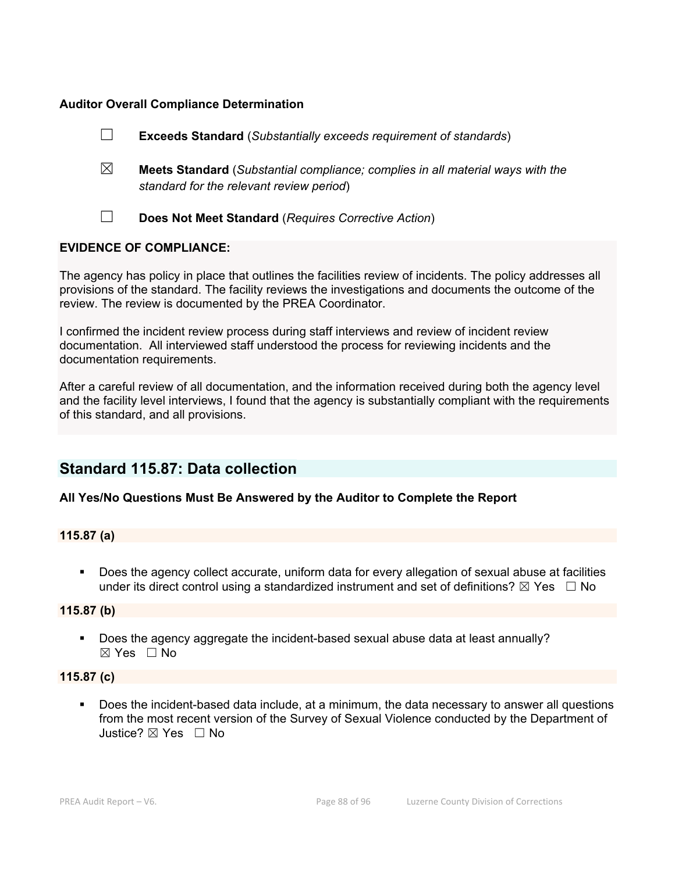|                                | <b>Exceeds Standard</b> (Substantially exceeds requirement of standards)                                                          |  |
|--------------------------------|-----------------------------------------------------------------------------------------------------------------------------------|--|
| $\boxtimes$                    | <b>Meets Standard</b> (Substantial compliance; complies in all material ways with the<br>standard for the relevant review period) |  |
|                                | Does Not Meet Standard (Requires Corrective Action)                                                                               |  |
| <b>EVIDENCE OF COMPLIANCE:</b> |                                                                                                                                   |  |

The agency has policy in place that outlines the facilities review of incidents. The policy addresses all provisions of the standard. The facility reviews the investigations and documents the outcome of the review. The review is documented by the PREA Coordinator.

I confirmed the incident review process during staff interviews and review of incident review documentation. All interviewed staff understood the process for reviewing incidents and the documentation requirements.

After a careful review of all documentation, and the information received during both the agency level and the facility level interviews, I found that the agency is substantially compliant with the requirements of this standard, and all provisions.

# **Standard 115.87: Data collection**

# **All Yes/No Questions Must Be Answered by the Auditor to Complete the Report**

# **115.87 (a)**

 Does the agency collect accurate, uniform data for every allegation of sexual abuse at facilities under its direct control using a standardized instrument and set of definitions?  $\boxtimes$  Yes  $\Box$  No

#### **115.87 (b)**

 Does the agency aggregate the incident-based sexual abuse data at least annually? ☒ Yes ☐ No

#### **115.87 (c)**

 Does the incident-based data include, at a minimum, the data necessary to answer all questions from the most recent version of the Survey of Sexual Violence conducted by the Department of Justice? ☒ Yes ☐ No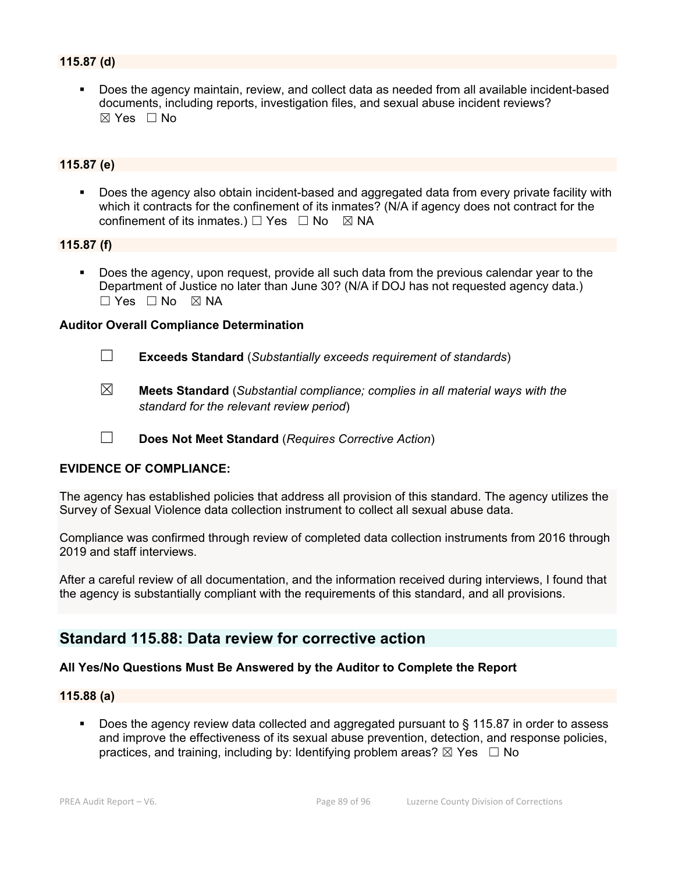# **115.87 (d)**

 Does the agency maintain, review, and collect data as needed from all available incident-based documents, including reports, investigation files, and sexual abuse incident reviews?  $\boxtimes$  Yes  $\Box$  No

# **115.87 (e)**

**Does the agency also obtain incident-based and aggregated data from every private facility with** which it contracts for the confinement of its inmates? (N/A if agency does not contract for the confinement of its inmates.)  $\Box$  Yes  $\Box$  No  $\boxtimes$  NA

#### **115.87 (f)**

 Does the agency, upon request, provide all such data from the previous calendar year to the Department of Justice no later than June 30? (N/A if DOJ has not requested agency data.)  $\Box$  Yes  $\Box$  No  $\boxtimes$  NA

#### **Auditor Overall Compliance Determination**

- ☐ **Exceeds Standard** (*Substantially exceeds requirement of standards*)
- ☒ **Meets Standard** (*Substantial compliance; complies in all material ways with the standard for the relevant review period*)
- ☐ **Does Not Meet Standard** (*Requires Corrective Action*)

#### **EVIDENCE OF COMPLIANCE:**

The agency has established policies that address all provision of this standard. The agency utilizes the Survey of Sexual Violence data collection instrument to collect all sexual abuse data.

Compliance was confirmed through review of completed data collection instruments from 2016 through 2019 and staff interviews.

After a careful review of all documentation, and the information received during interviews, I found that the agency is substantially compliant with the requirements of this standard, and all provisions.

# **Standard 115.88: Data review for corrective action**

#### **All Yes/No Questions Must Be Answered by the Auditor to Complete the Report**

#### **115.88 (a)**

 Does the agency review data collected and aggregated pursuant to § 115.87 in order to assess and improve the effectiveness of its sexual abuse prevention, detection, and response policies, practices, and training, including by: Identifying problem areas?  $\boxtimes$  Yes  $\Box$  No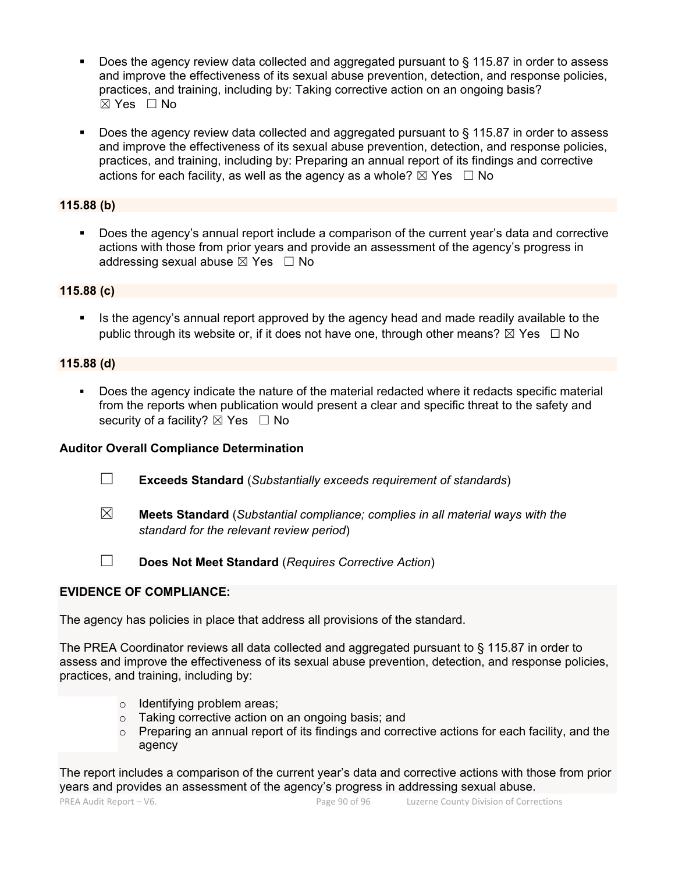- Does the agency review data collected and aggregated pursuant to § 115.87 in order to assess and improve the effectiveness of its sexual abuse prevention, detection, and response policies, practices, and training, including by: Taking corrective action on an ongoing basis? ☒ Yes ☐ No
- Does the agency review data collected and aggregated pursuant to § 115.87 in order to assess and improve the effectiveness of its sexual abuse prevention, detection, and response policies, practices, and training, including by: Preparing an annual report of its findings and corrective actions for each facility, as well as the agency as a whole?  $\boxtimes$  Yes  $\Box$  No

# **115.88 (b)**

 Does the agency's annual report include a comparison of the current year's data and corrective actions with those from prior years and provide an assessment of the agency's progress in addressing sexual abuse  $\boxtimes$  Yes  $\Box$  No

# **115.88 (c)**

 Is the agency's annual report approved by the agency head and made readily available to the public through its website or, if it does not have one, through other means?  $\boxtimes$  Yes  $\Box$  No

# **115.88 (d)**

 Does the agency indicate the nature of the material redacted where it redacts specific material from the reports when publication would present a clear and specific threat to the safety and security of a facility?  $\boxtimes$  Yes  $\Box$  No

# **Auditor Overall Compliance Determination**

- ☐ **Exceeds Standard** (*Substantially exceeds requirement of standards*)
- ☒ **Meets Standard** (*Substantial compliance; complies in all material ways with the standard for the relevant review period*)
- 
- ☐ **Does Not Meet Standard** (*Requires Corrective Action*)

# **EVIDENCE OF COMPLIANCE:**

The agency has policies in place that address all provisions of the standard.

The PREA Coordinator reviews all data collected and aggregated pursuant to § 115.87 in order to assess and improve the effectiveness of its sexual abuse prevention, detection, and response policies, practices, and training, including by:

- o Identifying problem areas;
- o Taking corrective action on an ongoing basis; and
- $\circ$  Preparing an annual report of its findings and corrective actions for each facility, and the agency

The report includes a comparison of the current year's data and corrective actions with those from prior years and provides an assessment of the agency's progress in addressing sexual abuse.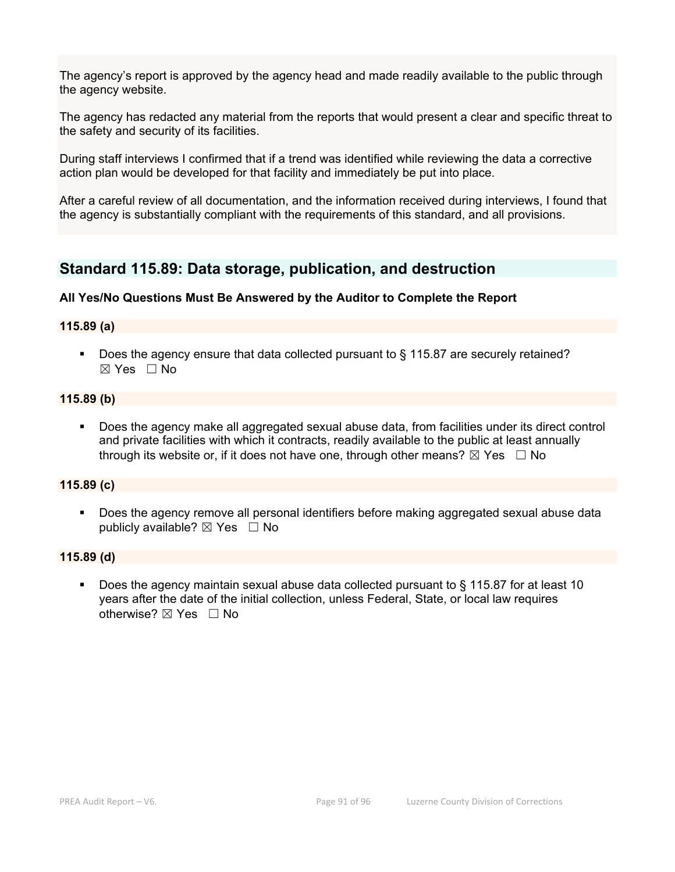The agency's report is approved by the agency head and made readily available to the public through the agency website.

The agency has redacted any material from the reports that would present a clear and specific threat to the safety and security of its facilities.

During staff interviews I confirmed that if a trend was identified while reviewing the data a corrective action plan would be developed for that facility and immediately be put into place.

After a careful review of all documentation, and the information received during interviews, I found that the agency is substantially compliant with the requirements of this standard, and all provisions.

# **Standard 115.89: Data storage, publication, and destruction**

## **All Yes/No Questions Must Be Answered by the Auditor to Complete the Report**

#### **115.89 (a)**

 Does the agency ensure that data collected pursuant to § 115.87 are securely retained?  $\boxtimes$  Yes  $\Box$  No

#### **115.89 (b)**

 Does the agency make all aggregated sexual abuse data, from facilities under its direct control and private facilities with which it contracts, readily available to the public at least annually through its website or, if it does not have one, through other means?  $\boxtimes$  Yes  $\Box$  No

#### **115.89 (c)**

**Does the agency remove all personal identifiers before making aggregated sexual abuse data** publicly available?  $\boxtimes$  Yes  $\Box$  No

#### **115.89 (d)**

 Does the agency maintain sexual abuse data collected pursuant to § 115.87 for at least 10 years after the date of the initial collection, unless Federal, State, or local law requires otherwise? ⊠ Yes □ No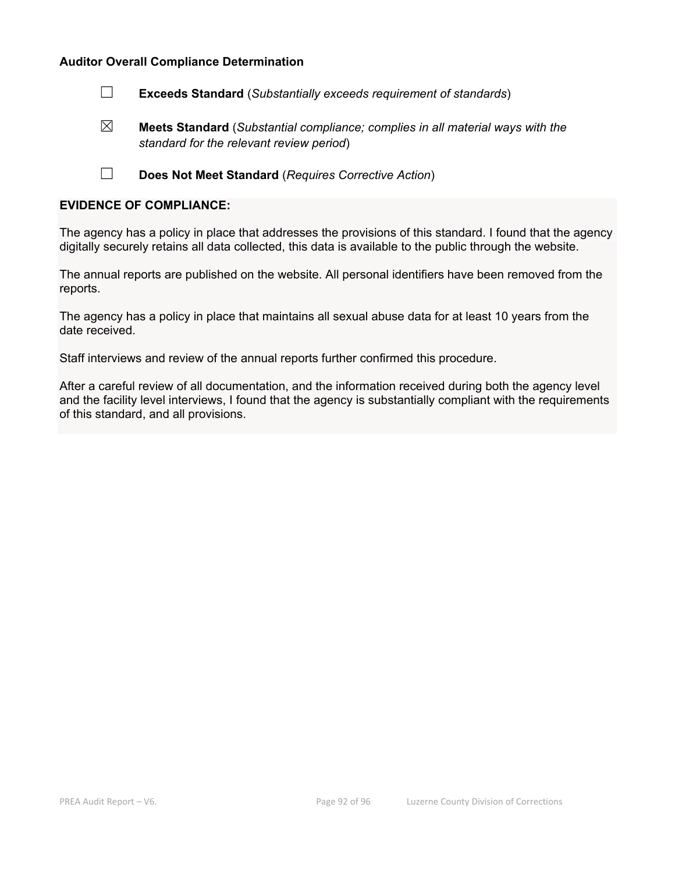☐ **Exceeds Standard** (*Substantially exceeds requirement of standards*)

☒ **Meets Standard** (*Substantial compliance; complies in all material ways with the standard for the relevant review period*)

☐ **Does Not Meet Standard** (*Requires Corrective Action*)

#### **EVIDENCE OF COMPLIANCE:**

The agency has a policy in place that addresses the provisions of this standard. I found that the agency digitally securely retains all data collected, this data is available to the public through the website.

The annual reports are published on the website. All personal identifiers have been removed from the reports.

The agency has a policy in place that maintains all sexual abuse data for at least 10 years from the date received.

Staff interviews and review of the annual reports further confirmed this procedure.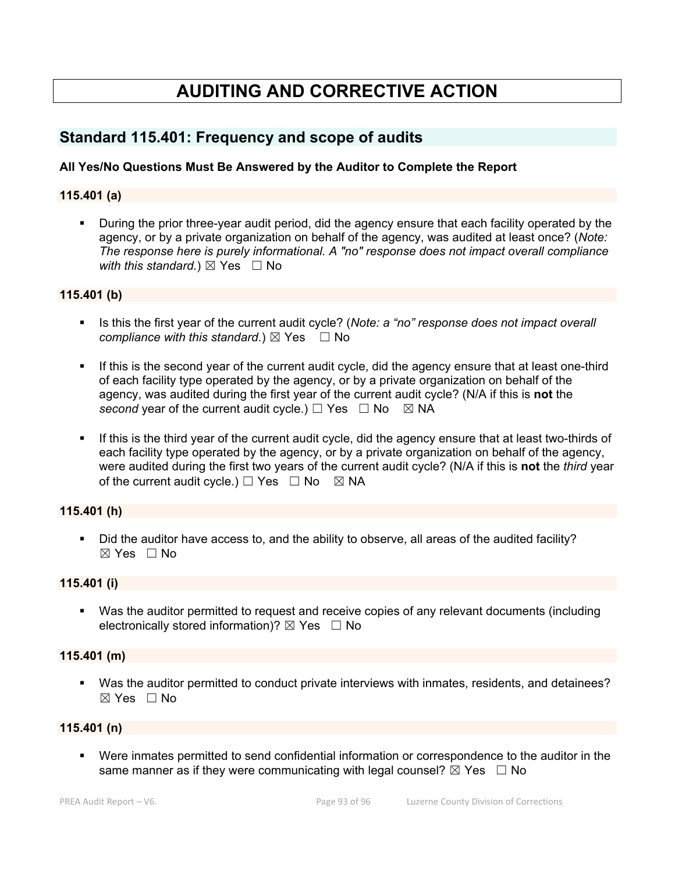# **AUDITING AND CORRECTIVE ACTION**

# **Standard 115.401: Frequency and scope of audits**

# **All Yes/No Questions Must Be Answered by the Auditor to Complete the Report**

#### **115.401 (a)**

 During the prior three-year audit period, did the agency ensure that each facility operated by the agency, or by a private organization on behalf of the agency, was audited at least once? (*Note: The response here is purely informational. A "no" response does not impact overall compliance with this standard.*)  $\boxtimes$  Yes  $\Box$  No

#### **115.401 (b)**

- Is this the first year of the current audit cycle? (*Note: a "no" response does not impact overall compliance with this standard.*)  $\boxtimes$  Yes  $\Box$  No
- If this is the second year of the current audit cycle, did the agency ensure that at least one-third of each facility type operated by the agency, or by a private organization on behalf of the agency, was audited during the first year of the current audit cycle? (N/A if this is **not** the *second* year of the current audit cycle.)  $\Box$  Yes  $\Box$  No  $\boxtimes$  NA
- If this is the third year of the current audit cycle, did the agency ensure that at least two-thirds of each facility type operated by the agency, or by a private organization on behalf of the agency, were audited during the first two years of the current audit cycle? (N/A if this is **not** the *third* year of the current audit cycle.)  $\Box$  Yes  $\Box$  No  $\boxtimes$  NA

# **115.401 (h)**

Did the auditor have access to, and the ability to observe, all areas of the audited facility?  $\boxtimes$  Yes  $\Box$  No

#### **115.401 (i)**

 Was the auditor permitted to request and receive copies of any relevant documents (including electronically stored information)?  $\boxtimes$  Yes  $\Box$  No

#### **115.401 (m)**

 Was the auditor permitted to conduct private interviews with inmates, residents, and detainees?  $\boxtimes$  Yes  $\Box$  No

## **115.401 (n)**

 Were inmates permitted to send confidential information or correspondence to the auditor in the same manner as if they were communicating with legal counsel?  $\boxtimes$  Yes  $\Box$  No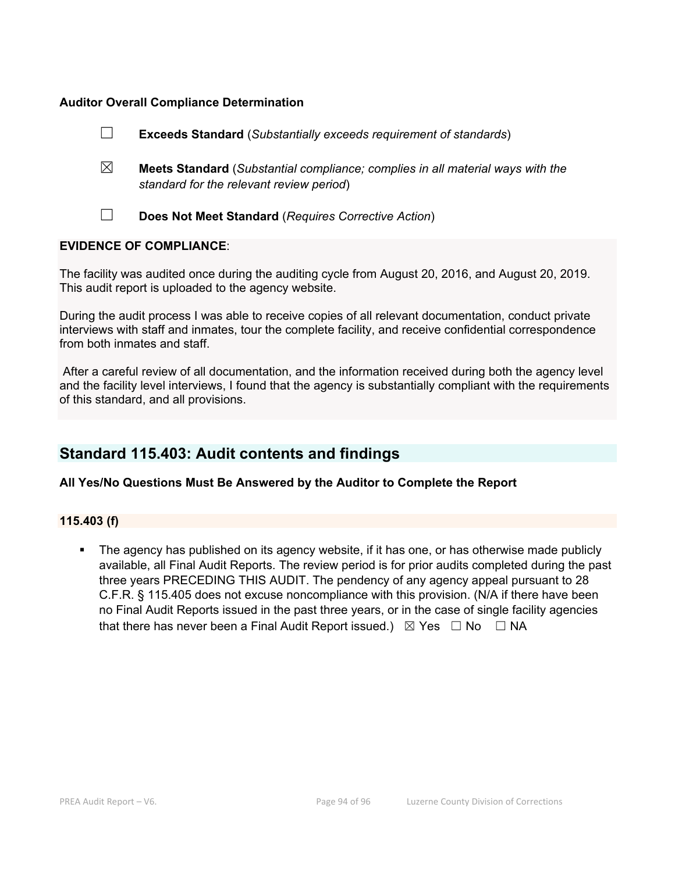|                                |             | <b>Exceeds Standard</b> (Substantially exceeds requirement of standards)                                                          |
|--------------------------------|-------------|-----------------------------------------------------------------------------------------------------------------------------------|
|                                | $\boxtimes$ | <b>Meets Standard</b> (Substantial compliance; complies in all material ways with the<br>standard for the relevant review period) |
|                                |             | Does Not Meet Standard (Requires Corrective Action)                                                                               |
| <b>EVIDENCE OF COMPLIANCE:</b> |             |                                                                                                                                   |
|                                |             |                                                                                                                                   |

The facility was audited once during the auditing cycle from August 20, 2016, and August 20, 2019. This audit report is uploaded to the agency website.

During the audit process I was able to receive copies of all relevant documentation, conduct private interviews with staff and inmates, tour the complete facility, and receive confidential correspondence from both inmates and staff.

 After a careful review of all documentation, and the information received during both the agency level and the facility level interviews, I found that the agency is substantially compliant with the requirements of this standard, and all provisions.

# **Standard 115.403: Audit contents and findings**

# **All Yes/No Questions Must Be Answered by the Auditor to Complete the Report**

## **115.403 (f)**

 The agency has published on its agency website, if it has one, or has otherwise made publicly available, all Final Audit Reports. The review period is for prior audits completed during the past three years PRECEDING THIS AUDIT. The pendency of any agency appeal pursuant to 28 C.F.R. § 115.405 does not excuse noncompliance with this provision. (N/A if there have been no Final Audit Reports issued in the past three years, or in the case of single facility agencies that there has never been a Final Audit Report issued.)  $\boxtimes$  Yes  $\Box$  No  $\Box$  NA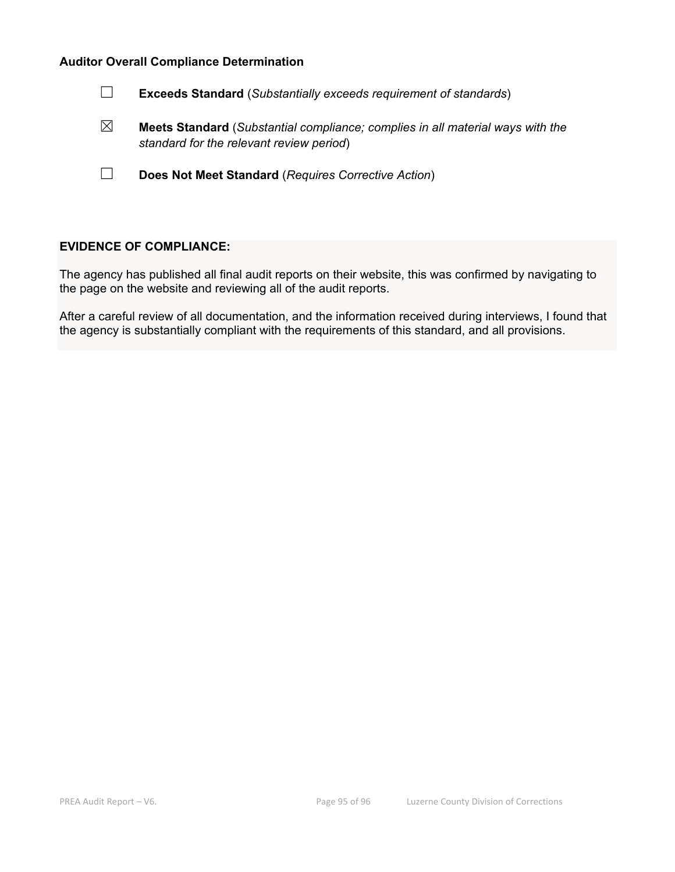| <b>Exceeds Standard</b> (Substantially exceeds requirement of standards)                                                          |
|-----------------------------------------------------------------------------------------------------------------------------------|
| <b>Meets Standard</b> (Substantial compliance; complies in all material ways with the<br>standard for the relevant review period) |
| Does Not Meet Standard (Requires Corrective Action)                                                                               |

## **EVIDENCE OF COMPLIANCE:**

The agency has published all final audit reports on their website, this was confirmed by navigating to the page on the website and reviewing all of the audit reports.